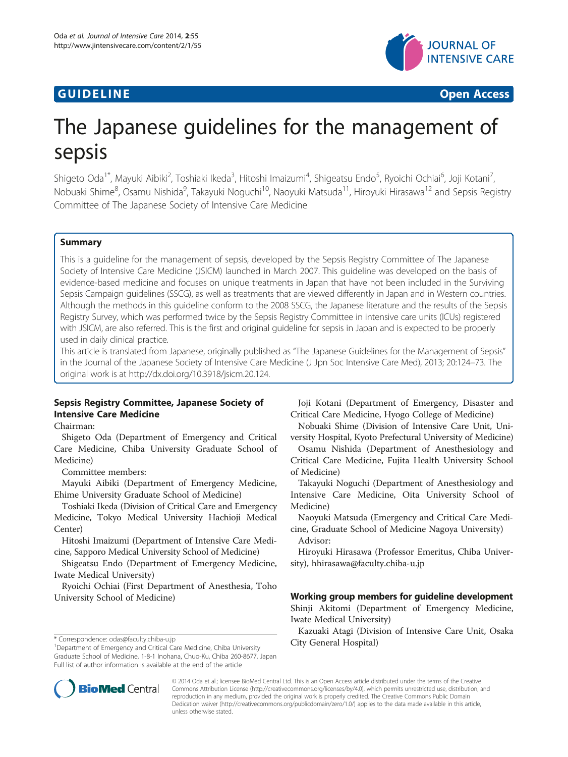# **GUIDELINE GUIDELINE CONSUMING A CONSUMING A CONSUMING A CONSUMING A CONSUMING A CONSUMING A CONSUMING A CONSUMING A CONSUMING A CONSUMING A CONSUMING A CONSUMING A CONSUMING A CONSUMING A CONSUMING A CONSUMING A CONSU**



# The Japanese guidelines for the management of sepsis

Shigeto Oda<sup>1\*</sup>, Mayuki Aibiki<sup>2</sup>, Toshiaki Ikeda<sup>3</sup>, Hitoshi Imaizumi<sup>4</sup>, Shigeatsu Endo<sup>5</sup>, Ryoichi Ochiai<sup>6</sup>, Joji Kotani<sup>7</sup> , Nobuaki Shime<sup>8</sup>, Osamu Nishida<sup>9</sup>, Takayuki Noguchi<sup>10</sup>, Naoyuki Matsuda<sup>11</sup>, Hiroyuki Hirasawa<sup>12</sup> and Sepsis Registry Committee of The Japanese Society of Intensive Care Medicine

# Summary

This is a guideline for the management of sepsis, developed by the Sepsis Registry Committee of The Japanese Society of Intensive Care Medicine (JSICM) launched in March 2007. This guideline was developed on the basis of evidence-based medicine and focuses on unique treatments in Japan that have not been included in the Surviving Sepsis Campaign guidelines (SSCG), as well as treatments that are viewed differently in Japan and in Western countries. Although the methods in this guideline conform to the 2008 SSCG, the Japanese literature and the results of the Sepsis Registry Survey, which was performed twice by the Sepsis Registry Committee in intensive care units (ICUs) registered with JSICM, are also referred. This is the first and original guideline for sepsis in Japan and is expected to be properly used in daily clinical practice.

This article is translated from Japanese, originally published as "The Japanese Guidelines for the Management of Sepsis" in the Journal of the Japanese Society of Intensive Care Medicine (J Jpn Soc Intensive Care Med), 2013; 20:124–73. The original work is at http://dx.doi.org/[10.3918/jsicm.20.124.](http://dx.doi.org/10.3918/jsicm.20.124)

# Sepsis Registry Committee, Japanese Society of Intensive Care Medicine

Chairman:

Shigeto Oda (Department of Emergency and Critical Care Medicine, Chiba University Graduate School of Medicine)

Committee members:

Mayuki Aibiki (Department of Emergency Medicine, Ehime University Graduate School of Medicine)

Toshiaki Ikeda (Division of Critical Care and Emergency Medicine, Tokyo Medical University Hachioji Medical Center)

Hitoshi Imaizumi (Department of Intensive Care Medicine, Sapporo Medical University School of Medicine)

Shigeatsu Endo (Department of Emergency Medicine, Iwate Medical University)

Ryoichi Ochiai (First Department of Anesthesia, Toho University School of Medicine)

\* Correspondence: [odas@faculty.chiba-u.jp](mailto:odas@faculty.chiba-u.jp)<br><sup>1</sup>Department of Emergency and Critical Care Medicine, Chiba University **1996 City General Hospital** Graduate School of Medicine, 1-8-1 Inohana, Chuo-Ku, Chiba 260-8677, Japan Full list of author information is available at the end of the article

Joji Kotani (Department of Emergency, Disaster and Critical Care Medicine, Hyogo College of Medicine)

Nobuaki Shime (Division of Intensive Care Unit, University Hospital, Kyoto Prefectural University of Medicine)

Osamu Nishida (Department of Anesthesiology and Critical Care Medicine, Fujita Health University School of Medicine)

Takayuki Noguchi (Department of Anesthesiology and Intensive Care Medicine, Oita University School of Medicine)

Naoyuki Matsuda (Emergency and Critical Care Medicine, Graduate School of Medicine Nagoya University)

Advisor:

Hiroyuki Hirasawa (Professor Emeritus, Chiba University), hhirasawa@faculty.chiba-u.jp

Working group members for guideline development Shinji Akitomi (Department of Emergency Medicine, Iwate Medical University)

Kazuaki Atagi (Division of Intensive Care Unit, Osaka



© 2014 Oda et al.; licensee BioMed Central Ltd. This is an Open Access article distributed under the terms of the Creative Commons Attribution License [\(http://creativecommons.org/licenses/by/4.0\)](http://creativecommons.org/licenses/by/4.0), which permits unrestricted use, distribution, and reproduction in any medium, provided the original work is properly credited. The Creative Commons Public Domain Dedication waiver [\(http://creativecommons.org/publicdomain/zero/1.0/](http://creativecommons.org/publicdomain/zero/1.0/)) applies to the data made available in this article, unless otherwise stated.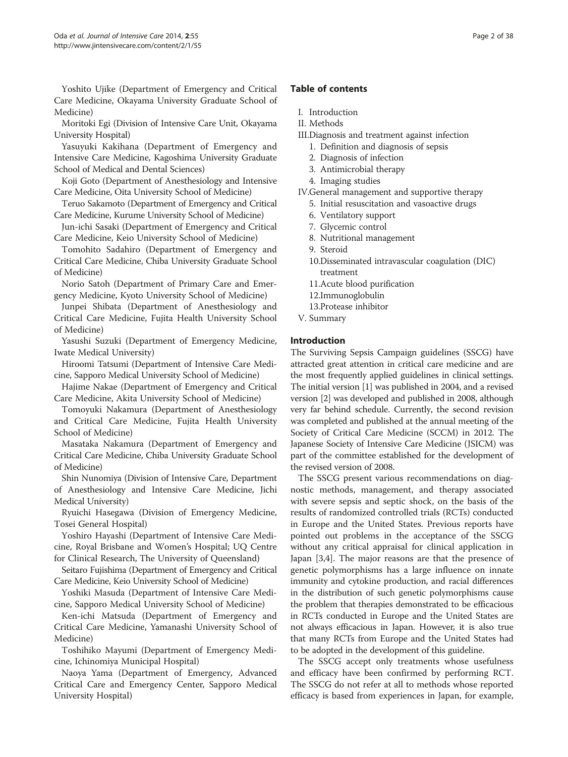Yoshito Ujike (Department of Emergency and Critical Care Medicine, Okayama University Graduate School of Medicine)

Moritoki Egi (Division of Intensive Care Unit, Okayama University Hospital)

Yasuyuki Kakihana (Department of Emergency and Intensive Care Medicine, Kagoshima University Graduate School of Medical and Dental Sciences)

Koji Goto (Department of Anesthesiology and Intensive Care Medicine, Oita University School of Medicine)

Teruo Sakamoto (Department of Emergency and Critical Care Medicine, Kurume University School of Medicine)

Jun-ichi Sasaki (Department of Emergency and Critical Care Medicine, Keio University School of Medicine)

Tomohito Sadahiro (Department of Emergency and Critical Care Medicine, Chiba University Graduate School of Medicine)

Norio Satoh (Department of Primary Care and Emergency Medicine, Kyoto University School of Medicine)

Junpei Shibata (Department of Anesthesiology and Critical Care Medicine, Fujita Health University School of Medicine)

Yasushi Suzuki (Department of Emergency Medicine, Iwate Medical University)

Hiroomi Tatsumi (Department of Intensive Care Medicine, Sapporo Medical University School of Medicine)

Hajime Nakae (Department of Emergency and Critical Care Medicine, Akita University School of Medicine)

Tomoyuki Nakamura (Department of Anesthesiology and Critical Care Medicine, Fujita Health University School of Medicine)

Masataka Nakamura (Department of Emergency and Critical Care Medicine, Chiba University Graduate School of Medicine)

Shin Nunomiya (Division of Intensive Care, Department of Anesthesiology and Intensive Care Medicine, Jichi Medical University)

Ryuichi Hasegawa (Division of Emergency Medicine, Tosei General Hospital)

Yoshiro Hayashi (Department of Intensive Care Medicine, Royal Brisbane and Women's Hospital; UQ Centre for Clinical Research, The University of Queensland)

Seitaro Fujishima (Department of Emergency and Critical Care Medicine, Keio University School of Medicine)

Yoshiki Masuda (Department of Intensive Care Medicine, Sapporo Medical University School of Medicine)

Ken-ichi Matsuda (Department of Emergency and Critical Care Medicine, Yamanashi University School of Medicine)

Toshihiko Mayumi (Department of Emergency Medicine, Ichinomiya Municipal Hospital)

Naoya Yama (Department of Emergency, Advanced Critical Care and Emergency Center, Sapporo Medical University Hospital)

# Table of contents

- I. Introduction
- II. Methods
- III.Diagnosis and treatment against infection
	- 1. Definition and diagnosis of sepsis
	- 2. Diagnosis of infection
	- 3. Antimicrobial therapy
	- 4. Imaging studies
- IV.General management and supportive therapy
	- 5. Initial resuscitation and vasoactive drugs
	- 6. Ventilatory support
	- 7. Glycemic control
	- 8. Nutritional management
	- 9. Steroid
	- 10.Disseminated intravascular coagulation (DIC) treatment
	- 11.Acute blood purification
	- 12.Immunoglobulin
	- 13.Protease inhibitor
- V. Summary

#### Introduction

The Surviving Sepsis Campaign guidelines (SSCG) have attracted great attention in critical care medicine and are the most frequently applied guidelines in clinical settings. The initial version [[1\]](#page-28-0) was published in 2004, and a revised version [\[2](#page-28-0)] was developed and published in 2008, although very far behind schedule. Currently, the second revision was completed and published at the annual meeting of the Society of Critical Care Medicine (SCCM) in 2012. The Japanese Society of Intensive Care Medicine (JSICM) was part of the committee established for the development of the revised version of 2008.

The SSCG present various recommendations on diagnostic methods, management, and therapy associated with severe sepsis and septic shock, on the basis of the results of randomized controlled trials (RCTs) conducted in Europe and the United States. Previous reports have pointed out problems in the acceptance of the SSCG without any critical appraisal for clinical application in Japan [\[3,4](#page-28-0)]. The major reasons are that the presence of genetic polymorphisms has a large influence on innate immunity and cytokine production, and racial differences in the distribution of such genetic polymorphisms cause the problem that therapies demonstrated to be efficacious in RCTs conducted in Europe and the United States are not always efficacious in Japan. However, it is also true that many RCTs from Europe and the United States had to be adopted in the development of this guideline.

The SSCG accept only treatments whose usefulness and efficacy have been confirmed by performing RCT. The SSCG do not refer at all to methods whose reported efficacy is based from experiences in Japan, for example,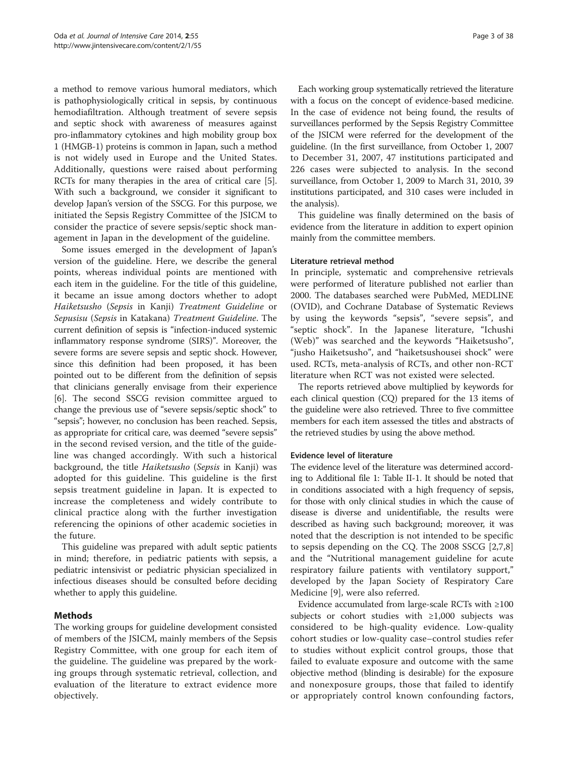a method to remove various humoral mediators, which is pathophysiologically critical in sepsis, by continuous hemodiafiltration. Although treatment of severe sepsis and septic shock with awareness of measures against pro-inflammatory cytokines and high mobility group box 1 (HMGB-1) proteins is common in Japan, such a method is not widely used in Europe and the United States. Additionally, questions were raised about performing RCTs for many therapies in the area of critical care [[5](#page-28-0)]. With such a background, we consider it significant to develop Japan's version of the SSCG. For this purpose, we initiated the Sepsis Registry Committee of the JSICM to consider the practice of severe sepsis/septic shock management in Japan in the development of the guideline.

Some issues emerged in the development of Japan's version of the guideline. Here, we describe the general points, whereas individual points are mentioned with each item in the guideline. For the title of this guideline, it became an issue among doctors whether to adopt Haiketsusho (Sepsis in Kanji) Treatment Guideline or Sepusisu (Sepsis in Katakana) Treatment Guideline. The current definition of sepsis is "infection-induced systemic inflammatory response syndrome (SIRS)". Moreover, the severe forms are severe sepsis and septic shock. However, since this definition had been proposed, it has been pointed out to be different from the definition of sepsis that clinicians generally envisage from their experience [[6\]](#page-28-0). The second SSCG revision committee argued to change the previous use of "severe sepsis/septic shock" to "sepsis"; however, no conclusion has been reached. Sepsis, as appropriate for critical care, was deemed "severe sepsis" in the second revised version, and the title of the guideline was changed accordingly. With such a historical background, the title Haiketsusho (Sepsis in Kanji) was adopted for this guideline. This guideline is the first sepsis treatment guideline in Japan. It is expected to increase the completeness and widely contribute to clinical practice along with the further investigation referencing the opinions of other academic societies in the future.

This guideline was prepared with adult septic patients in mind; therefore, in pediatric patients with sepsis, a pediatric intensivist or pediatric physician specialized in infectious diseases should be consulted before deciding whether to apply this guideline.

# Methods

The working groups for guideline development consisted of members of the JSICM, mainly members of the Sepsis Registry Committee, with one group for each item of the guideline. The guideline was prepared by the working groups through systematic retrieval, collection, and evaluation of the literature to extract evidence more objectively.

Each working group systematically retrieved the literature with a focus on the concept of evidence-based medicine. In the case of evidence not being found, the results of surveillances performed by the Sepsis Registry Committee of the JSICM were referred for the development of the guideline. (In the first surveillance, from October 1, 2007 to December 31, 2007, 47 institutions participated and 226 cases were subjected to analysis. In the second surveillance, from October 1, 2009 to March 31, 2010, 39 institutions participated, and 310 cases were included in the analysis).

This guideline was finally determined on the basis of evidence from the literature in addition to expert opinion mainly from the committee members.

#### Literature retrieval method

In principle, systematic and comprehensive retrievals were performed of literature published not earlier than 2000. The databases searched were PubMed, MEDLINE (OVID), and Cochrane Database of Systematic Reviews by using the keywords "sepsis", "severe sepsis", and "septic shock". In the Japanese literature, "Ichushi (Web)" was searched and the keywords "Haiketsusho", "jusho Haiketsusho", and "haiketsushousei shock" were used. RCTs, meta-analysis of RCTs, and other non-RCT literature when RCT was not existed were selected.

The reports retrieved above multiplied by keywords for each clinical question (CQ) prepared for the 13 items of the guideline were also retrieved. Three to five committee members for each item assessed the titles and abstracts of the retrieved studies by using the above method.

#### Evidence level of literature

The evidence level of the literature was determined according to Additional file [1](#page-27-0): Table II-1. It should be noted that in conditions associated with a high frequency of sepsis, for those with only clinical studies in which the cause of disease is diverse and unidentifiable, the results were described as having such background; moreover, it was noted that the description is not intended to be specific to sepsis depending on the CQ. The 2008 SSCG [[2,7,8](#page-28-0)] and the "Nutritional management guideline for acute respiratory failure patients with ventilatory support," developed by the Japan Society of Respiratory Care Medicine [[9\]](#page-28-0), were also referred.

Evidence accumulated from large-scale RCTs with  $\geq 100$ subjects or cohort studies with ≥1,000 subjects was considered to be high-quality evidence. Low-quality cohort studies or low-quality case–control studies refer to studies without explicit control groups, those that failed to evaluate exposure and outcome with the same objective method (blinding is desirable) for the exposure and nonexposure groups, those that failed to identify or appropriately control known confounding factors,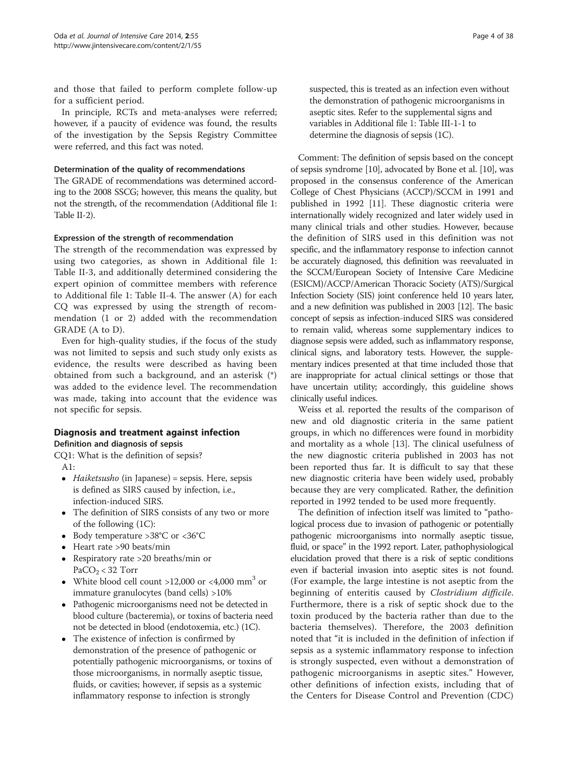and those that failed to perform complete follow-up for a sufficient period.

In principle, RCTs and meta-analyses were referred; however, if a paucity of evidence was found, the results of the investigation by the Sepsis Registry Committee were referred, and this fact was noted.

#### Determination of the quality of recommendations

The GRADE of recommendations was determined according to the 2008 SSCG; however, this means the quality, but not the strength, of the recommendation (Additional file [1](#page-27-0): Table II-2).

#### Expression of the strength of recommendation

The strength of the recommendation was expressed by using two categories, as shown in Additional file [1](#page-27-0): Table II-3, and additionally determined considering the expert opinion of committee members with reference to Additional file [1](#page-27-0): Table II-4. The answer (A) for each CQ was expressed by using the strength of recommendation (1 or 2) added with the recommendation GRADE (A to D).

Even for high-quality studies, if the focus of the study was not limited to sepsis and such study only exists as evidence, the results were described as having been obtained from such a background, and an asterisk (\*) was added to the evidence level. The recommendation was made, taking into account that the evidence was not specific for sepsis.

#### Diagnosis and treatment against infection Definition and diagnosis of sepsis

CQ1: What is the definition of sepsis? A1:

- $\bullet$  *Haiketsusho* (in Japanese) = sepsis. Here, sepsis is defined as SIRS caused by infection, i.e., infection-induced SIRS.
- The definition of SIRS consists of any two or more of the following (1C):
- Body temperature >38°C or <36°C
- Heart rate >90 beats/min
- Respiratory rate >20 breaths/min or  $PaCO<sub>2</sub> < 32$  Torr
- White blood cell count  $>12,000$  or  $<4,000$  mm<sup>3</sup> or immature granulocytes (band cells) >10%
- Pathogenic microorganisms need not be detected in blood culture (bacteremia), or toxins of bacteria need not be detected in blood (endotoxemia, etc.) (1C).
- The existence of infection is confirmed by demonstration of the presence of pathogenic or potentially pathogenic microorganisms, or toxins of those microorganisms, in normally aseptic tissue, fluids, or cavities; however, if sepsis as a systemic inflammatory response to infection is strongly

suspected, this is treated as an infection even without the demonstration of pathogenic microorganisms in aseptic sites. Refer to the supplemental signs and variables in Additional file [1](#page-27-0): Table III-1-1 to determine the diagnosis of sepsis (1C).

Comment: The definition of sepsis based on the concept of sepsis syndrome [\[10\]](#page-28-0), advocated by Bone et al. [\[10\]](#page-28-0), was proposed in the consensus conference of the American College of Chest Physicians (ACCP)/SCCM in 1991 and published in 1992 [\[11\]](#page-28-0). These diagnostic criteria were internationally widely recognized and later widely used in many clinical trials and other studies. However, because the definition of SIRS used in this definition was not specific, and the inflammatory response to infection cannot be accurately diagnosed, this definition was reevaluated in the SCCM/European Society of Intensive Care Medicine (ESICM)/ACCP/American Thoracic Society (ATS)/Surgical Infection Society (SIS) joint conference held 10 years later, and a new definition was published in 2003 [\[12](#page-28-0)]. The basic concept of sepsis as infection-induced SIRS was considered to remain valid, whereas some supplementary indices to diagnose sepsis were added, such as inflammatory response, clinical signs, and laboratory tests. However, the supplementary indices presented at that time included those that are inappropriate for actual clinical settings or those that have uncertain utility; accordingly, this guideline shows clinically useful indices.

Weiss et al. reported the results of the comparison of new and old diagnostic criteria in the same patient groups, in which no differences were found in morbidity and mortality as a whole [[13](#page-28-0)]. The clinical usefulness of the new diagnostic criteria published in 2003 has not been reported thus far. It is difficult to say that these new diagnostic criteria have been widely used, probably because they are very complicated. Rather, the definition reported in 1992 tended to be used more frequently.

The definition of infection itself was limited to "pathological process due to invasion of pathogenic or potentially pathogenic microorganisms into normally aseptic tissue, fluid, or space" in the 1992 report. Later, pathophysiological elucidation proved that there is a risk of septic conditions even if bacterial invasion into aseptic sites is not found. (For example, the large intestine is not aseptic from the beginning of enteritis caused by Clostridium difficile. Furthermore, there is a risk of septic shock due to the toxin produced by the bacteria rather than due to the bacteria themselves). Therefore, the 2003 definition noted that "it is included in the definition of infection if sepsis as a systemic inflammatory response to infection is strongly suspected, even without a demonstration of pathogenic microorganisms in aseptic sites." However, other definitions of infection exists, including that of the Centers for Disease Control and Prevention (CDC)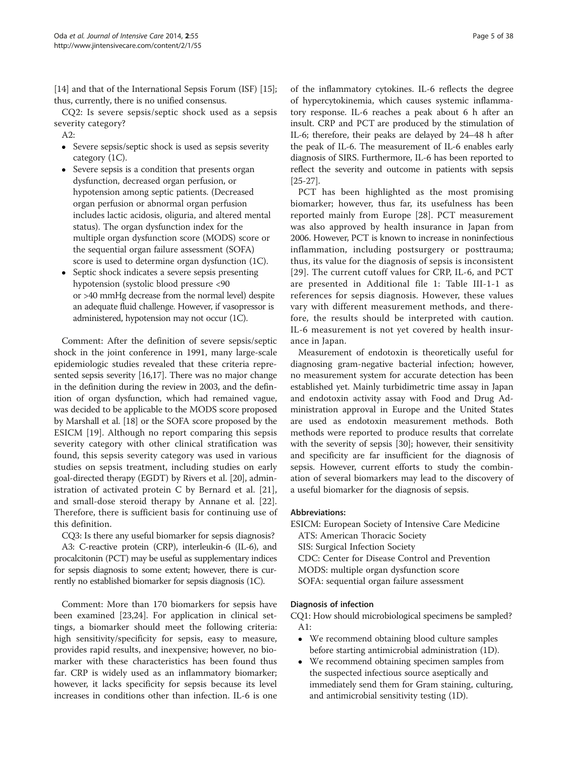[[14](#page-28-0)] and that of the International Sepsis Forum (ISF) [[15](#page-28-0)]; thus, currently, there is no unified consensus.

CQ2: Is severe sepsis/septic shock used as a sepsis severity category?

- A2:
- Severe sepsis/septic shock is used as sepsis severity category (1C).
- Severe sepsis is a condition that presents organ dysfunction, decreased organ perfusion, or hypotension among septic patients. (Decreased organ perfusion or abnormal organ perfusion includes lactic acidosis, oliguria, and altered mental status). The organ dysfunction index for the multiple organ dysfunction score (MODS) score or the sequential organ failure assessment (SOFA) score is used to determine organ dysfunction (1C).
- Septic shock indicates a severe sepsis presenting hypotension (systolic blood pressure <90 or >40 mmHg decrease from the normal level) despite an adequate fluid challenge. However, if vasopressor is administered, hypotension may not occur (1C).

Comment: After the definition of severe sepsis/septic shock in the joint conference in 1991, many large-scale epidemiologic studies revealed that these criteria represented sepsis severity [\[16,17](#page-28-0)]. There was no major change in the definition during the review in 2003, and the definition of organ dysfunction, which had remained vague, was decided to be applicable to the MODS score proposed by Marshall et al. [\[18\]](#page-28-0) or the SOFA score proposed by the ESICM [[19\]](#page-28-0). Although no report comparing this sepsis severity category with other clinical stratification was found, this sepsis severity category was used in various studies on sepsis treatment, including studies on early goal-directed therapy (EGDT) by Rivers et al. [\[20\]](#page-28-0), administration of activated protein C by Bernard et al. [\[21](#page-28-0)], and small-dose steroid therapy by Annane et al. [[22](#page-28-0)]. Therefore, there is sufficient basis for continuing use of this definition.

CQ3: Is there any useful biomarker for sepsis diagnosis?

A3: C-reactive protein (CRP), interleukin-6 (IL-6), and procalcitonin (PCT) may be useful as supplementary indices for sepsis diagnosis to some extent; however, there is currently no established biomarker for sepsis diagnosis (1C).

Comment: More than 170 biomarkers for sepsis have been examined [\[23,24](#page-28-0)]. For application in clinical settings, a biomarker should meet the following criteria: high sensitivity/specificity for sepsis, easy to measure, provides rapid results, and inexpensive; however, no biomarker with these characteristics has been found thus far. CRP is widely used as an inflammatory biomarker; however, it lacks specificity for sepsis because its level increases in conditions other than infection. IL-6 is one

of the inflammatory cytokines. IL-6 reflects the degree of hypercytokinemia, which causes systemic inflammatory response. IL-6 reaches a peak about 6 h after an insult. CRP and PCT are produced by the stimulation of IL-6; therefore, their peaks are delayed by 24–48 h after the peak of IL-6. The measurement of IL-6 enables early diagnosis of SIRS. Furthermore, IL-6 has been reported to reflect the severity and outcome in patients with sepsis [[25](#page-28-0)-[27\]](#page-28-0).

PCT has been highlighted as the most promising biomarker; however, thus far, its usefulness has been reported mainly from Europe [[28\]](#page-28-0). PCT measurement was also approved by health insurance in Japan from 2006. However, PCT is known to increase in noninfectious inflammation, including postsurgery or posttrauma; thus, its value for the diagnosis of sepsis is inconsistent [[29](#page-28-0)]. The current cutoff values for CRP, IL-6, and PCT are presented in Additional file [1](#page-27-0): Table III-1-1 as references for sepsis diagnosis. However, these values vary with different measurement methods, and therefore, the results should be interpreted with caution. IL-6 measurement is not yet covered by health insurance in Japan.

Measurement of endotoxin is theoretically useful for diagnosing gram-negative bacterial infection; however, no measurement system for accurate detection has been established yet. Mainly turbidimetric time assay in Japan and endotoxin activity assay with Food and Drug Administration approval in Europe and the United States are used as endotoxin measurement methods. Both methods were reported to produce results that correlate with the severity of sepsis [\[30\]](#page-28-0); however, their sensitivity and specificity are far insufficient for the diagnosis of sepsis. However, current efforts to study the combination of several biomarkers may lead to the discovery of a useful biomarker for the diagnosis of sepsis.

#### Abbreviations:

ESICM: European Society of Intensive Care Medicine ATS: American Thoracic Society SIS: Surgical Infection Society CDC: Center for Disease Control and Prevention MODS: multiple organ dysfunction score SOFA: sequential organ failure assessment

#### Diagnosis of infection

CQ1: How should microbiological specimens be sampled? A1:

- We recommend obtaining blood culture samples before starting antimicrobial administration (1D).
- We recommend obtaining specimen samples from the suspected infectious source aseptically and immediately send them for Gram staining, culturing, and antimicrobial sensitivity testing (1D).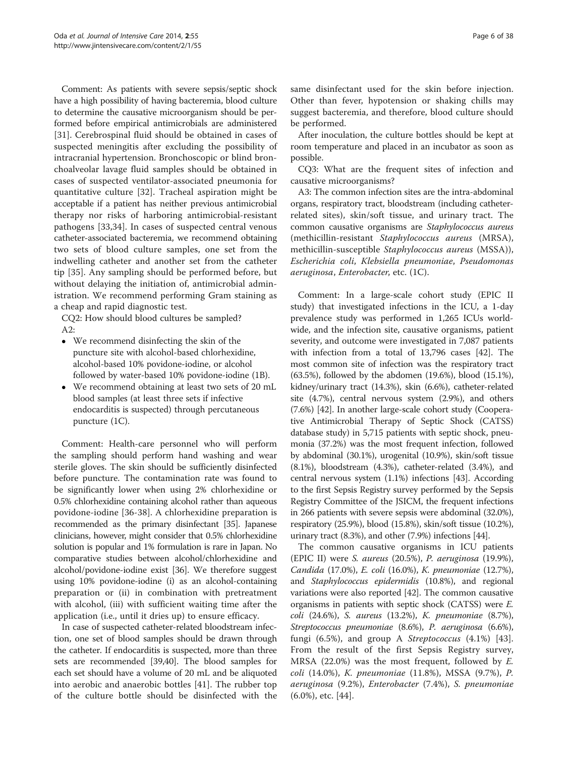Comment: As patients with severe sepsis/septic shock have a high possibility of having bacteremia, blood culture to determine the causative microorganism should be performed before empirical antimicrobials are administered [[31\]](#page-28-0). Cerebrospinal fluid should be obtained in cases of suspected meningitis after excluding the possibility of intracranial hypertension. Bronchoscopic or blind bronchoalveolar lavage fluid samples should be obtained in cases of suspected ventilator-associated pneumonia for quantitative culture [[32](#page-28-0)]. Tracheal aspiration might be acceptable if a patient has neither previous antimicrobial therapy nor risks of harboring antimicrobial-resistant pathogens [[33,34\]](#page-28-0). In cases of suspected central venous catheter-associated bacteremia, we recommend obtaining two sets of blood culture samples, one set from the indwelling catheter and another set from the catheter tip [\[35](#page-28-0)]. Any sampling should be performed before, but without delaying the initiation of, antimicrobial administration. We recommend performing Gram staining as a cheap and rapid diagnostic test.

CQ2: How should blood cultures be sampled? A2:

- We recommend disinfecting the skin of the puncture site with alcohol-based chlorhexidine, alcohol-based 10% povidone-iodine, or alcohol followed by water-based 10% povidone-iodine (1B).
- We recommend obtaining at least two sets of 20 mL blood samples (at least three sets if infective endocarditis is suspected) through percutaneous puncture (1C).

Comment: Health-care personnel who will perform the sampling should perform hand washing and wear sterile gloves. The skin should be sufficiently disinfected before puncture. The contamination rate was found to be significantly lower when using 2% chlorhexidine or 0.5% chlorhexidine containing alcohol rather than aqueous povidone-iodine [[36-38](#page-28-0)]. A chlorhexidine preparation is recommended as the primary disinfectant [\[35\]](#page-28-0). Japanese clinicians, however, might consider that 0.5% chlorhexidine solution is popular and 1% formulation is rare in Japan. No comparative studies between alcohol/chlorhexidine and alcohol/povidone-iodine exist [[36](#page-28-0)]. We therefore suggest using 10% povidone-iodine (i) as an alcohol-containing preparation or (ii) in combination with pretreatment with alcohol, (iii) with sufficient waiting time after the application (i.e., until it dries up) to ensure efficacy.

In case of suspected catheter-related bloodstream infection, one set of blood samples should be drawn through the catheter. If endocarditis is suspected, more than three sets are recommended [[39,40](#page-29-0)]. The blood samples for each set should have a volume of 20 mL and be aliquoted into aerobic and anaerobic bottles [[41](#page-29-0)]. The rubber top of the culture bottle should be disinfected with the same disinfectant used for the skin before injection. Other than fever, hypotension or shaking chills may suggest bacteremia, and therefore, blood culture should be performed.

After inoculation, the culture bottles should be kept at room temperature and placed in an incubator as soon as possible.

CQ3: What are the frequent sites of infection and causative microorganisms?

A3: The common infection sites are the intra-abdominal organs, respiratory tract, bloodstream (including catheterrelated sites), skin/soft tissue, and urinary tract. The common causative organisms are Staphylococcus aureus (methicillin-resistant Staphylococcus aureus (MRSA), methicillin-susceptible Staphylococcus aureus (MSSA)), Escherichia coli, Klebsiella pneumoniae, Pseudomonas aeruginosa, Enterobacter, etc. (1C).

Comment: In a large-scale cohort study (EPIC II study) that investigated infections in the ICU, a 1-day prevalence study was performed in 1,265 ICUs worldwide, and the infection site, causative organisms, patient severity, and outcome were investigated in 7,087 patients with infection from a total of 13,796 cases [[42\]](#page-29-0). The most common site of infection was the respiratory tract (63.5%), followed by the abdomen (19.6%), blood (15.1%), kidney/urinary tract (14.3%), skin (6.6%), catheter-related site (4.7%), central nervous system (2.9%), and others (7.6%) [[42](#page-29-0)]. In another large-scale cohort study (Cooperative Antimicrobial Therapy of Septic Shock (CATSS) database study) in 5,715 patients with septic shock, pneumonia (37.2%) was the most frequent infection, followed by abdominal (30.1%), urogenital (10.9%), skin/soft tissue (8.1%), bloodstream (4.3%), catheter-related (3.4%), and central nervous system (1.1%) infections [\[43\]](#page-29-0). According to the first Sepsis Registry survey performed by the Sepsis Registry Committee of the JSICM, the frequent infections in 266 patients with severe sepsis were abdominal (32.0%), respiratory (25.9%), blood (15.8%), skin/soft tissue (10.2%), urinary tract (8.3%), and other (7.9%) infections [\[44\]](#page-29-0).

The common causative organisms in ICU patients (EPIC II) were S. aureus (20.5%), P. aeruginosa (19.9%), Candida (17.0%), E. coli (16.0%), K. pneumoniae (12.7%), and Staphylococcus epidermidis (10.8%), and regional variations were also reported [[42\]](#page-29-0). The common causative organisms in patients with septic shock (CATSS) were E. coli (24.6%), S. aureus (13.2%), K. pneumoniae (8.7%), Streptococcus pneumoniae (8.6%), P. aeruginosa (6.6%), fungi (6.5%), and group A Streptococcus (4.1%) [\[43](#page-29-0)]. From the result of the first Sepsis Registry survey, MRSA  $(22.0%)$  was the most frequent, followed by E. coli (14.0%), K. pneumoniae (11.8%), MSSA (9.7%), P. aeruginosa (9.2%), Enterobacter (7.4%), S. pneumoniae (6.0%), etc. [[44\]](#page-29-0).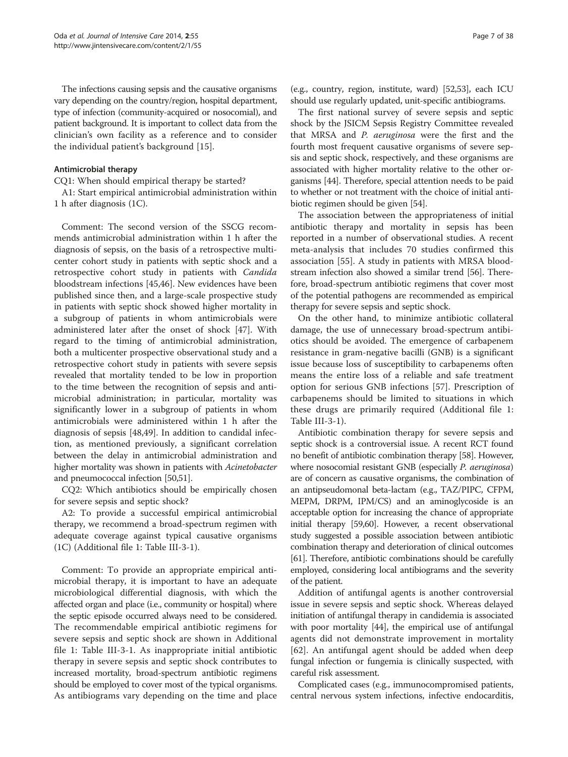The infections causing sepsis and the causative organisms vary depending on the country/region, hospital department, type of infection (community-acquired or nosocomial), and patient background. It is important to collect data from the clinician's own facility as a reference and to consider the individual patient's background [\[15](#page-28-0)].

#### Antimicrobial therapy

CQ1: When should empirical therapy be started?

A1: Start empirical antimicrobial administration within 1 h after diagnosis (1C).

Comment: The second version of the SSCG recommends antimicrobial administration within 1 h after the diagnosis of sepsis, on the basis of a retrospective multicenter cohort study in patients with septic shock and a retrospective cohort study in patients with Candida bloodstream infections [\[45,46\]](#page-29-0). New evidences have been published since then, and a large-scale prospective study in patients with septic shock showed higher mortality in a subgroup of patients in whom antimicrobials were administered later after the onset of shock [[47](#page-29-0)]. With regard to the timing of antimicrobial administration, both a multicenter prospective observational study and a retrospective cohort study in patients with severe sepsis revealed that mortality tended to be low in proportion to the time between the recognition of sepsis and antimicrobial administration; in particular, mortality was significantly lower in a subgroup of patients in whom antimicrobials were administered within 1 h after the diagnosis of sepsis [[48,49\]](#page-29-0). In addition to candidal infection, as mentioned previously, a significant correlation between the delay in antimicrobial administration and higher mortality was shown in patients with Acinetobacter and pneumococcal infection [\[50,51\]](#page-29-0).

CQ2: Which antibiotics should be empirically chosen for severe sepsis and septic shock?

A2: To provide a successful empirical antimicrobial therapy, we recommend a broad-spectrum regimen with adequate coverage against typical causative organisms (1C) (Additional file [1](#page-27-0): Table III-3-1).

Comment: To provide an appropriate empirical antimicrobial therapy, it is important to have an adequate microbiological differential diagnosis, with which the affected organ and place (i.e., community or hospital) where the septic episode occurred always need to be considered. The recommendable empirical antibiotic regimens for severe sepsis and septic shock are shown in Additional file [1:](#page-27-0) Table III-3-1. As inappropriate initial antibiotic therapy in severe sepsis and septic shock contributes to increased mortality, broad-spectrum antibiotic regimens should be employed to cover most of the typical organisms. As antibiograms vary depending on the time and place

(e.g., country, region, institute, ward) [\[52,53\]](#page-29-0), each ICU should use regularly updated, unit-specific antibiograms.

The first national survey of severe sepsis and septic shock by the JSICM Sepsis Registry Committee revealed that MRSA and P. aeruginosa were the first and the fourth most frequent causative organisms of severe sepsis and septic shock, respectively, and these organisms are associated with higher mortality relative to the other organisms [[44](#page-29-0)]. Therefore, special attention needs to be paid to whether or not treatment with the choice of initial antibiotic regimen should be given [\[54\]](#page-29-0).

The association between the appropriateness of initial antibiotic therapy and mortality in sepsis has been reported in a number of observational studies. A recent meta-analysis that includes 70 studies confirmed this association [[55\]](#page-29-0). A study in patients with MRSA bloodstream infection also showed a similar trend [\[56\]](#page-29-0). Therefore, broad-spectrum antibiotic regimens that cover most of the potential pathogens are recommended as empirical therapy for severe sepsis and septic shock.

On the other hand, to minimize antibiotic collateral damage, the use of unnecessary broad-spectrum antibiotics should be avoided. The emergence of carbapenem resistance in gram-negative bacilli (GNB) is a significant issue because loss of susceptibility to carbapenems often means the entire loss of a reliable and safe treatment option for serious GNB infections [[57\]](#page-29-0). Prescription of carbapenems should be limited to situations in which these drugs are primarily required (Additional file [1](#page-27-0): Table III-3-1).

Antibiotic combination therapy for severe sepsis and septic shock is a controversial issue. A recent RCT found no benefit of antibiotic combination therapy [\[58\]](#page-29-0). However, where nosocomial resistant GNB (especially P. aeruginosa) are of concern as causative organisms, the combination of an antipseudomonal beta-lactam (e.g., TAZ/PIPC, CFPM, MEPM, DRPM, IPM/CS) and an aminoglycoside is an acceptable option for increasing the chance of appropriate initial therapy [\[59](#page-29-0),[60](#page-29-0)]. However, a recent observational study suggested a possible association between antibiotic combination therapy and deterioration of clinical outcomes [[61](#page-29-0)]. Therefore, antibiotic combinations should be carefully employed, considering local antibiograms and the severity of the patient.

Addition of antifungal agents is another controversial issue in severe sepsis and septic shock. Whereas delayed initiation of antifungal therapy in candidemia is associated with poor mortality [[44](#page-29-0)], the empirical use of antifungal agents did not demonstrate improvement in mortality [[62\]](#page-29-0). An antifungal agent should be added when deep fungal infection or fungemia is clinically suspected, with careful risk assessment.

Complicated cases (e.g., immunocompromised patients, central nervous system infections, infective endocarditis,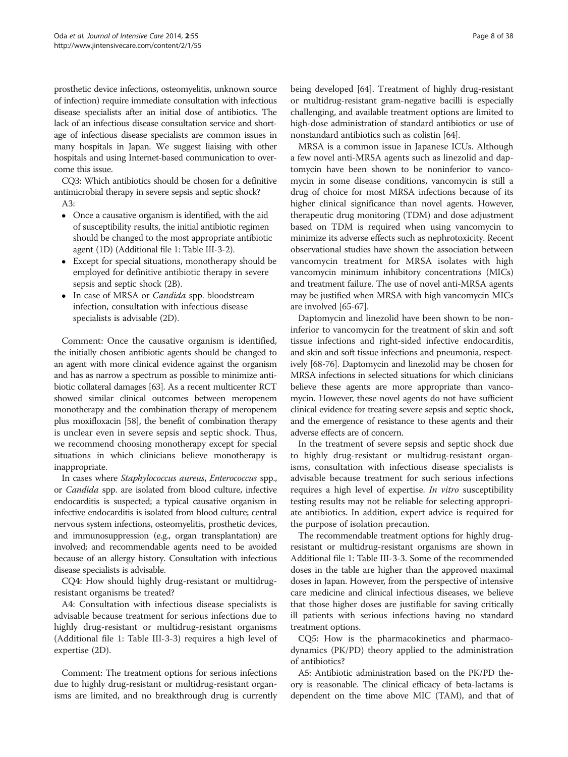prosthetic device infections, osteomyelitis, unknown source of infection) require immediate consultation with infectious disease specialists after an initial dose of antibiotics. The lack of an infectious disease consultation service and shortage of infectious disease specialists are common issues in many hospitals in Japan. We suggest liaising with other hospitals and using Internet-based communication to overcome this issue.

CQ3: Which antibiotics should be chosen for a definitive antimicrobial therapy in severe sepsis and septic shock? A3:

- Once a causative organism is identified, with the aid of susceptibility results, the initial antibiotic regimen should be changed to the most appropriate antibiotic agent (1D) (Additional file [1](#page-27-0): Table III-3-2).
- Except for special situations, monotherapy should be employed for definitive antibiotic therapy in severe sepsis and septic shock (2B).
- In case of MRSA or *Candida* spp. bloodstream infection, consultation with infectious disease specialists is advisable (2D).

Comment: Once the causative organism is identified, the initially chosen antibiotic agents should be changed to an agent with more clinical evidence against the organism and has as narrow a spectrum as possible to minimize antibiotic collateral damages [\[63](#page-29-0)]. As a recent multicenter RCT showed similar clinical outcomes between meropenem monotherapy and the combination therapy of meropenem plus moxifloxacin [\[58\]](#page-29-0), the benefit of combination therapy is unclear even in severe sepsis and septic shock. Thus, we recommend choosing monotherapy except for special situations in which clinicians believe monotherapy is inappropriate.

In cases where Staphylococcus aureus, Enterococcus spp., or Candida spp. are isolated from blood culture, infective endocarditis is suspected; a typical causative organism in infective endocarditis is isolated from blood culture; central nervous system infections, osteomyelitis, prosthetic devices, and immunosuppression (e.g., organ transplantation) are involved; and recommendable agents need to be avoided because of an allergy history. Consultation with infectious disease specialists is advisable.

CQ4: How should highly drug-resistant or multidrugresistant organisms be treated?

A4: Consultation with infectious disease specialists is advisable because treatment for serious infections due to highly drug-resistant or multidrug-resistant organisms (Additional file [1:](#page-27-0) Table III-3-3) requires a high level of expertise (2D).

Comment: The treatment options for serious infections due to highly drug-resistant or multidrug-resistant organisms are limited, and no breakthrough drug is currently being developed [[64](#page-29-0)]. Treatment of highly drug-resistant or multidrug-resistant gram-negative bacilli is especially challenging, and available treatment options are limited to high-dose administration of standard antibiotics or use of nonstandard antibiotics such as colistin [[64\]](#page-29-0).

MRSA is a common issue in Japanese ICUs. Although a few novel anti-MRSA agents such as linezolid and daptomycin have been shown to be noninferior to vancomycin in some disease conditions, vancomycin is still a drug of choice for most MRSA infections because of its higher clinical significance than novel agents. However, therapeutic drug monitoring (TDM) and dose adjustment based on TDM is required when using vancomycin to minimize its adverse effects such as nephrotoxicity. Recent observational studies have shown the association between vancomycin treatment for MRSA isolates with high vancomycin minimum inhibitory concentrations (MICs) and treatment failure. The use of novel anti-MRSA agents may be justified when MRSA with high vancomycin MICs are involved [[65-67\]](#page-29-0).

Daptomycin and linezolid have been shown to be noninferior to vancomycin for the treatment of skin and soft tissue infections and right-sided infective endocarditis, and skin and soft tissue infections and pneumonia, respectively [\[68](#page-29-0)[-76\]](#page-30-0). Daptomycin and linezolid may be chosen for MRSA infections in selected situations for which clinicians believe these agents are more appropriate than vancomycin. However, these novel agents do not have sufficient clinical evidence for treating severe sepsis and septic shock, and the emergence of resistance to these agents and their adverse effects are of concern.

In the treatment of severe sepsis and septic shock due to highly drug-resistant or multidrug-resistant organisms, consultation with infectious disease specialists is advisable because treatment for such serious infections requires a high level of expertise. In vitro susceptibility testing results may not be reliable for selecting appropriate antibiotics. In addition, expert advice is required for the purpose of isolation precaution.

The recommendable treatment options for highly drugresistant or multidrug-resistant organisms are shown in Additional file [1](#page-27-0): Table III-3-3. Some of the recommended doses in the table are higher than the approved maximal doses in Japan. However, from the perspective of intensive care medicine and clinical infectious diseases, we believe that those higher doses are justifiable for saving critically ill patients with serious infections having no standard treatment options.

CQ5: How is the pharmacokinetics and pharmacodynamics (PK/PD) theory applied to the administration of antibiotics?

A5: Antibiotic administration based on the PK/PD theory is reasonable. The clinical efficacy of beta-lactams is dependent on the time above MIC (TAM), and that of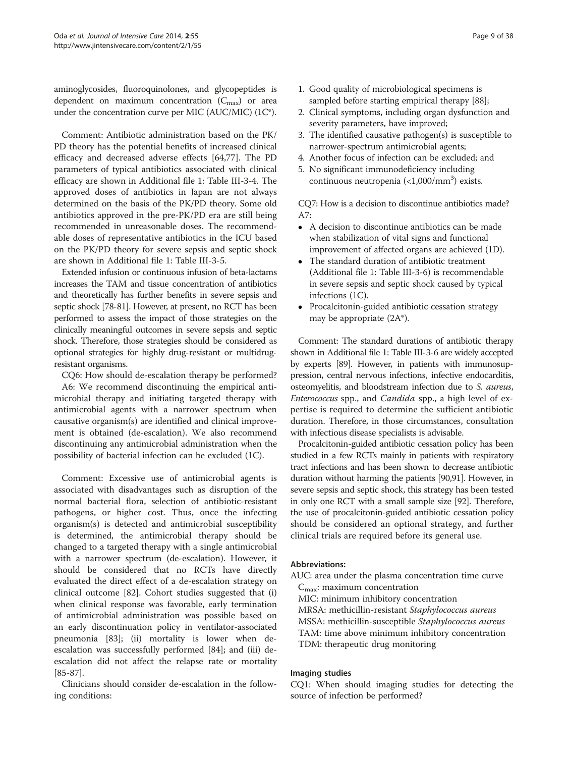aminoglycosides, fluoroquinolones, and glycopeptides is dependent on maximum concentration  $(C_{\text{max}})$  or area under the concentration curve per MIC (AUC/MIC) (1C\*).

Comment: Antibiotic administration based on the PK/ PD theory has the potential benefits of increased clinical efficacy and decreased adverse effects [\[64](#page-29-0)[,77](#page-30-0)]. The PD parameters of typical antibiotics associated with clinical efficacy are shown in Additional file [1](#page-27-0): Table III-3-4. The approved doses of antibiotics in Japan are not always determined on the basis of the PK/PD theory. Some old antibiotics approved in the pre-PK/PD era are still being recommended in unreasonable doses. The recommendable doses of representative antibiotics in the ICU based on the PK/PD theory for severe sepsis and septic shock are shown in Additional file [1:](#page-27-0) Table III-3-5.

Extended infusion or continuous infusion of beta-lactams increases the TAM and tissue concentration of antibiotics and theoretically has further benefits in severe sepsis and septic shock [\[78](#page-30-0)-[81](#page-30-0)]. However, at present, no RCT has been performed to assess the impact of those strategies on the clinically meaningful outcomes in severe sepsis and septic shock. Therefore, those strategies should be considered as optional strategies for highly drug-resistant or multidrugresistant organisms.

CQ6: How should de-escalation therapy be performed? A6: We recommend discontinuing the empirical antimicrobial therapy and initiating targeted therapy with antimicrobial agents with a narrower spectrum when causative organism(s) are identified and clinical improvement is obtained (de-escalation). We also recommend discontinuing any antimicrobial administration when the possibility of bacterial infection can be excluded (1C).

Comment: Excessive use of antimicrobial agents is associated with disadvantages such as disruption of the normal bacterial flora, selection of antibiotic-resistant pathogens, or higher cost. Thus, once the infecting organism(s) is detected and antimicrobial susceptibility is determined, the antimicrobial therapy should be changed to a targeted therapy with a single antimicrobial with a narrower spectrum (de-escalation). However, it should be considered that no RCTs have directly evaluated the direct effect of a de-escalation strategy on clinical outcome [[82\]](#page-30-0). Cohort studies suggested that (i) when clinical response was favorable, early termination of antimicrobial administration was possible based on an early discontinuation policy in ventilator-associated pneumonia [[83\]](#page-30-0); (ii) mortality is lower when deescalation was successfully performed [\[84](#page-30-0)]; and (iii) deescalation did not affect the relapse rate or mortality [[85-87](#page-30-0)].

Clinicians should consider de-escalation in the following conditions:

- 1. Good quality of microbiological specimens is sampled before starting empirical therapy [\[88\]](#page-30-0);
- 2. Clinical symptoms, including organ dysfunction and severity parameters, have improved;
- 3. The identified causative pathogen(s) is susceptible to narrower-spectrum antimicrobial agents;
- 4. Another focus of infection can be excluded; and
- 5. No significant immunodeficiency including continuous neutropenia (<1,000/mm<sup>3</sup>) exists.

CQ7: How is a decision to discontinue antibiotics made? A7:

- A decision to discontinue antibiotics can be made when stabilization of vital signs and functional improvement of affected organs are achieved (1D).
- The standard duration of antibiotic treatment (Additional file [1:](#page-27-0) Table III-3-6) is recommendable in severe sepsis and septic shock caused by typical infections (1C).
- Procalcitonin-guided antibiotic cessation strategy may be appropriate (2A\*).

Comment: The standard durations of antibiotic therapy shown in Additional file [1:](#page-27-0) Table III-3-6 are widely accepted by experts [\[89\]](#page-30-0). However, in patients with immunosuppression, central nervous infections, infective endocarditis, osteomyelitis, and bloodstream infection due to S. aureus, Enterococcus spp., and Candida spp., a high level of expertise is required to determine the sufficient antibiotic duration. Therefore, in those circumstances, consultation with infectious disease specialists is advisable.

Procalcitonin-guided antibiotic cessation policy has been studied in a few RCTs mainly in patients with respiratory tract infections and has been shown to decrease antibiotic duration without harming the patients [\[90,91](#page-30-0)]. However, in severe sepsis and septic shock, this strategy has been tested in only one RCT with a small sample size [[92](#page-30-0)]. Therefore, the use of procalcitonin-guided antibiotic cessation policy should be considered an optional strategy, and further clinical trials are required before its general use.

#### Abbreviations:

- AUC: area under the plasma concentration time curve  $C_{\text{max}}$ : maximum concentration
- MIC: minimum inhibitory concentration
- MRSA: methicillin-resistant Staphylococcus aureus
- MSSA: methicillin-susceptible Staphylococcus aureus
- TAM: time above minimum inhibitory concentration
- TDM: therapeutic drug monitoring

#### Imaging studies

CQ1: When should imaging studies for detecting the source of infection be performed?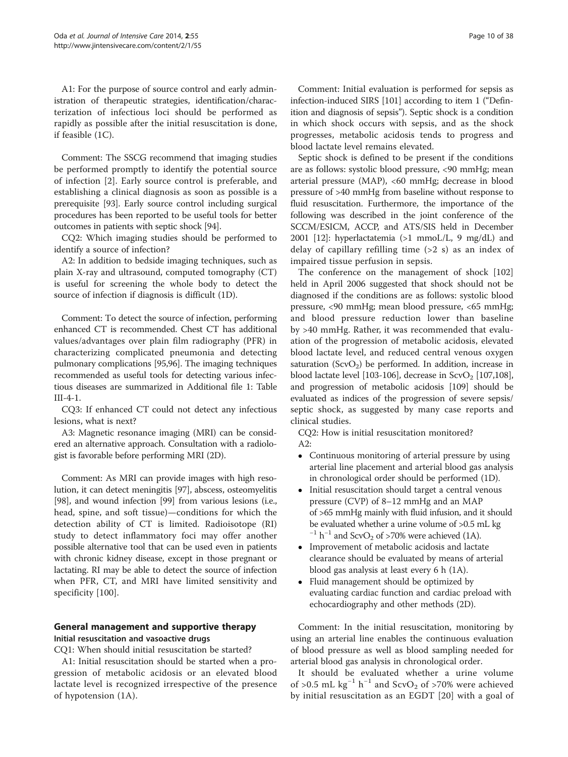A1: For the purpose of source control and early administration of therapeutic strategies, identification/characterization of infectious loci should be performed as rapidly as possible after the initial resuscitation is done, if feasible (1C).

Comment: The SSCG recommend that imaging studies be performed promptly to identify the potential source of infection [[2\]](#page-28-0). Early source control is preferable, and establishing a clinical diagnosis as soon as possible is a prerequisite [\[93\]](#page-30-0). Early source control including surgical procedures has been reported to be useful tools for better outcomes in patients with septic shock [\[94\]](#page-30-0).

CQ2: Which imaging studies should be performed to identify a source of infection?

A2: In addition to bedside imaging techniques, such as plain X-ray and ultrasound, computed tomography (CT) is useful for screening the whole body to detect the source of infection if diagnosis is difficult (1D).

Comment: To detect the source of infection, performing enhanced CT is recommended. Chest CT has additional values/advantages over plain film radiography (PFR) in characterizing complicated pneumonia and detecting pulmonary complications [[95,96\]](#page-30-0). The imaging techniques recommended as useful tools for detecting various infectious diseases are summarized in Additional file [1](#page-27-0): Table III-4-1.

CQ3: If enhanced CT could not detect any infectious lesions, what is next?

A3: Magnetic resonance imaging (MRI) can be considered an alternative approach. Consultation with a radiologist is favorable before performing MRI (2D).

Comment: As MRI can provide images with high resolution, it can detect meningitis [\[97\]](#page-30-0), abscess, osteomyelitis [[98](#page-30-0)], and wound infection [[99](#page-30-0)] from various lesions (i.e., head, spine, and soft tissue)—conditions for which the detection ability of CT is limited. Radioisotope (RI) study to detect inflammatory foci may offer another possible alternative tool that can be used even in patients with chronic kidney disease, except in those pregnant or lactating. RI may be able to detect the source of infection when PFR, CT, and MRI have limited sensitivity and specificity [\[100](#page-30-0)].

# General management and supportive therapy Initial resuscitation and vasoactive drugs

CQ1: When should initial resuscitation be started?

A1: Initial resuscitation should be started when a progression of metabolic acidosis or an elevated blood lactate level is recognized irrespective of the presence of hypotension (1A).

Comment: Initial evaluation is performed for sepsis as infection-induced SIRS [[101](#page-30-0)] according to item 1 ("Definition and diagnosis of sepsis"). Septic shock is a condition in which shock occurs with sepsis, and as the shock progresses, metabolic acidosis tends to progress and blood lactate level remains elevated.

Septic shock is defined to be present if the conditions are as follows: systolic blood pressure, <90 mmHg; mean arterial pressure (MAP), <60 mmHg; decrease in blood pressure of >40 mmHg from baseline without response to fluid resuscitation. Furthermore, the importance of the following was described in the joint conference of the SCCM/ESICM, ACCP, and ATS/SIS held in December 2001 [[12](#page-28-0)]: hyperlactatemia (>1 mmoL/L, 9 mg/dL) and delay of capillary refilling time (>2 s) as an index of impaired tissue perfusion in sepsis.

The conference on the management of shock [[102](#page-30-0)] held in April 2006 suggested that shock should not be diagnosed if the conditions are as follows: systolic blood pressure, <90 mmHg; mean blood pressure, <65 mmHg; and blood pressure reduction lower than baseline by >40 mmHg. Rather, it was recommended that evaluation of the progression of metabolic acidosis, elevated blood lactate level, and reduced central venous oxygen saturation  $(ScvO<sub>2</sub>)$  be performed. In addition, increase in blood lactate level [\[103-106\]](#page-30-0), decrease in ScvO<sub>2</sub> [\[107,108](#page-30-0)], and progression of metabolic acidosis [\[109](#page-30-0)] should be evaluated as indices of the progression of severe sepsis/ septic shock, as suggested by many case reports and clinical studies.

CQ2: How is initial resuscitation monitored? A2:

- Continuous monitoring of arterial pressure by using arterial line placement and arterial blood gas analysis in chronological order should be performed (1D).
- Initial resuscitation should target a central venous pressure (CVP) of 8–12 mmHg and an MAP of >65 mmHg mainly with fluid infusion, and it should be evaluated whether a urine volume of >0.5 mL kg  $^{-1}$  h<sup>-1</sup> and ScvO<sub>2</sub> of >70% were achieved (1A).
- Improvement of metabolic acidosis and lactate clearance should be evaluated by means of arterial blood gas analysis at least every 6 h (1A).
- Fluid management should be optimized by evaluating cardiac function and cardiac preload with echocardiography and other methods (2D).

Comment: In the initial resuscitation, monitoring by using an arterial line enables the continuous evaluation of blood pressure as well as blood sampling needed for arterial blood gas analysis in chronological order.

It should be evaluated whether a urine volume of >0.5 mL kg<sup>-1</sup> h<sup>-1</sup> and ScvO<sub>2</sub> of >70% were achieved by initial resuscitation as an EGDT [[20](#page-28-0)] with a goal of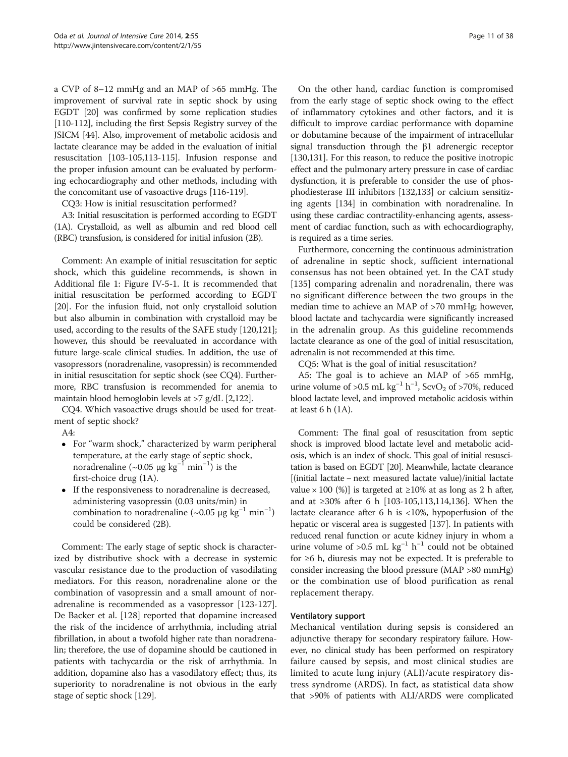a CVP of 8–12 mmHg and an MAP of >65 mmHg. The improvement of survival rate in septic shock by using EGDT [\[20\]](#page-28-0) was confirmed by some replication studies [[110](#page-30-0)-[112](#page-30-0)], including the first Sepsis Registry survey of the JSICM [[44](#page-29-0)]. Also, improvement of metabolic acidosis and lactate clearance may be added in the evaluation of initial resuscitation [[103](#page-30-0)-[105](#page-30-0)[,113-115\]](#page-31-0). Infusion response and the proper infusion amount can be evaluated by performing echocardiography and other methods, including with the concomitant use of vasoactive drugs [[116](#page-31-0)-[119](#page-31-0)].

CQ3: How is initial resuscitation performed?

A3: Initial resuscitation is performed according to EGDT (1A). Crystalloid, as well as albumin and red blood cell (RBC) transfusion, is considered for initial infusion (2B).

Comment: An example of initial resuscitation for septic shock, which this guideline recommends, is shown in Additional file [1](#page-27-0): Figure IV-5-1. It is recommended that initial resuscitation be performed according to EGDT [[20](#page-28-0)]. For the infusion fluid, not only crystalloid solution but also albumin in combination with crystalloid may be used, according to the results of the SAFE study [\[120,121](#page-31-0)]; however, this should be reevaluated in accordance with future large-scale clinical studies. In addition, the use of vasopressors (noradrenaline, vasopressin) is recommended in initial resuscitation for septic shock (see CQ4). Furthermore, RBC transfusion is recommended for anemia to maintain blood hemoglobin levels at >7 g/dL [\[2](#page-28-0)[,122\]](#page-31-0).

CQ4. Which vasoactive drugs should be used for treatment of septic shock?

A4:

- For "warm shock," characterized by warm peripheral temperature, at the early stage of septic shock, noradrenaline (~0.05 µg kg<sup>-1</sup> min<sup>-1</sup>) is the first-choice drug (1A).
- If the responsiveness to noradrenaline is decreased, administering vasopressin (0.03 units/min) in combination to noradrenaline (~0.05 μg kg<sup>-1</sup> min<sup>-1</sup>) could be considered (2B).

Comment: The early stage of septic shock is characterized by distributive shock with a decrease in systemic vascular resistance due to the production of vasodilating mediators. For this reason, noradrenaline alone or the combination of vasopressin and a small amount of noradrenaline is recommended as a vasopressor [\[123-127](#page-31-0)]. De Backer et al. [\[128](#page-31-0)] reported that dopamine increased the risk of the incidence of arrhythmia, including atrial fibrillation, in about a twofold higher rate than noradrenalin; therefore, the use of dopamine should be cautioned in patients with tachycardia or the risk of arrhythmia. In addition, dopamine also has a vasodilatory effect; thus, its superiority to noradrenaline is not obvious in the early stage of septic shock [\[129\]](#page-31-0).

On the other hand, cardiac function is compromised from the early stage of septic shock owing to the effect of inflammatory cytokines and other factors, and it is difficult to improve cardiac performance with dopamine or dobutamine because of the impairment of intracellular signal transduction through the β1 adrenergic receptor [[130,131\]](#page-31-0). For this reason, to reduce the positive inotropic effect and the pulmonary artery pressure in case of cardiac dysfunction, it is preferable to consider the use of phosphodiesterase III inhibitors [\[132,133](#page-31-0)] or calcium sensitizing agents [\[134\]](#page-31-0) in combination with noradrenaline. In using these cardiac contractility-enhancing agents, assessment of cardiac function, such as with echocardiography, is required as a time series.

Furthermore, concerning the continuous administration of adrenaline in septic shock, sufficient international consensus has not been obtained yet. In the CAT study [[135\]](#page-31-0) comparing adrenalin and noradrenalin, there was no significant difference between the two groups in the median time to achieve an MAP of >70 mmHg; however, blood lactate and tachycardia were significantly increased in the adrenalin group. As this guideline recommends lactate clearance as one of the goal of initial resuscitation, adrenalin is not recommended at this time.

CQ5: What is the goal of initial resuscitation?

A5: The goal is to achieve an MAP of >65 mmHg, urine volume of >0.5 mL  $\text{kg}^{-1}$  h<sup>-1</sup>, ScvO<sub>2</sub> of >70%, reduced blood lactate level, and improved metabolic acidosis within at least 6 h (1A).

Comment: The final goal of resuscitation from septic shock is improved blood lactate level and metabolic acidosis, which is an index of shock. This goal of initial resuscitation is based on EGDT [[20](#page-28-0)]. Meanwhile, lactate clearance [(initial lactate − next measured lactate value)/initial lactate value  $\times$  100 (%)] is targeted at  $\geq$ 10% at as long as 2 h after, and at ≥30% after 6 h [[103-105](#page-30-0)[,113,114,136](#page-31-0)]. When the lactate clearance after 6 h is <10%, hypoperfusion of the hepatic or visceral area is suggested [\[137](#page-31-0)]. In patients with reduced renal function or acute kidney injury in whom a urine volume of >0.5 mL kg<sup>-1</sup> h<sup>-1</sup> could not be obtained for ≥6 h, diuresis may not be expected. It is preferable to consider increasing the blood pressure (MAP >80 mmHg) or the combination use of blood purification as renal replacement therapy.

#### Ventilatory support

Mechanical ventilation during sepsis is considered an adjunctive therapy for secondary respiratory failure. However, no clinical study has been performed on respiratory failure caused by sepsis, and most clinical studies are limited to acute lung injury (ALI)/acute respiratory distress syndrome (ARDS). In fact, as statistical data show that >90% of patients with ALI/ARDS were complicated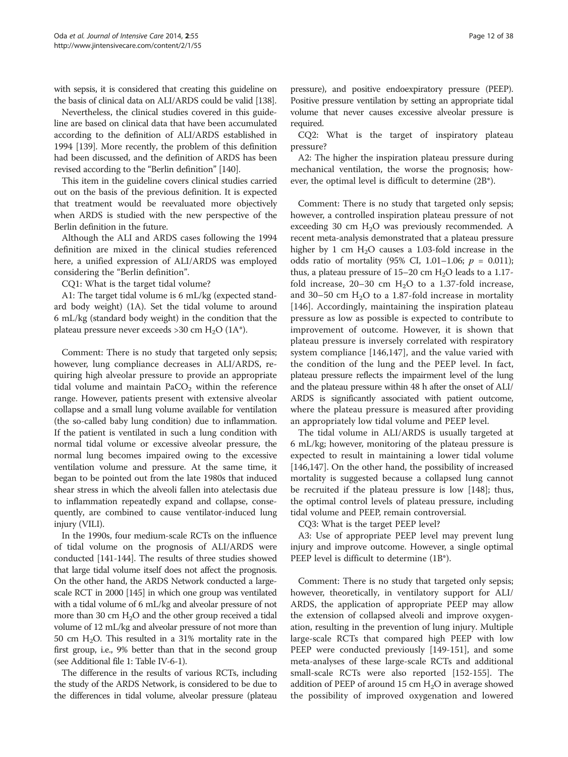with sepsis, it is considered that creating this guideline on the basis of clinical data on ALI/ARDS could be valid [\[138](#page-31-0)].

Nevertheless, the clinical studies covered in this guideline are based on clinical data that have been accumulated according to the definition of ALI/ARDS established in 1994 [[139](#page-31-0)]. More recently, the problem of this definition had been discussed, and the definition of ARDS has been revised according to the "Berlin definition" [[140](#page-31-0)].

This item in the guideline covers clinical studies carried out on the basis of the previous definition. It is expected that treatment would be reevaluated more objectively when ARDS is studied with the new perspective of the Berlin definition in the future.

Although the ALI and ARDS cases following the 1994 definition are mixed in the clinical studies referenced here, a unified expression of ALI/ARDS was employed considering the "Berlin definition".

CQ1: What is the target tidal volume?

A1: The target tidal volume is 6 mL/kg (expected standard body weight) (1A). Set the tidal volume to around 6 mL/kg (standard body weight) in the condition that the plateau pressure never exceeds >30 cm  $H_2O$  (1A\*).

Comment: There is no study that targeted only sepsis; however, lung compliance decreases in ALI/ARDS, requiring high alveolar pressure to provide an appropriate tidal volume and maintain  $PaCO<sub>2</sub>$  within the reference range. However, patients present with extensive alveolar collapse and a small lung volume available for ventilation (the so-called baby lung condition) due to inflammation. If the patient is ventilated in such a lung condition with normal tidal volume or excessive alveolar pressure, the normal lung becomes impaired owing to the excessive ventilation volume and pressure. At the same time, it began to be pointed out from the late 1980s that induced shear stress in which the alveoli fallen into atelectasis due to inflammation repeatedly expand and collapse, consequently, are combined to cause ventilator-induced lung injury (VILI).

In the 1990s, four medium-scale RCTs on the influence of tidal volume on the prognosis of ALI/ARDS were conducted [[141-144](#page-31-0)]. The results of three studies showed that large tidal volume itself does not affect the prognosis. On the other hand, the ARDS Network conducted a largescale RCT in 2000 [\[145](#page-31-0)] in which one group was ventilated with a tidal volume of 6 mL/kg and alveolar pressure of not more than 30 cm  $H_2O$  and the other group received a tidal volume of 12 mL/kg and alveolar pressure of not more than 50 cm  $H_2O$ . This resulted in a 31% mortality rate in the first group, i.e., 9% better than that in the second group (see Additional file [1](#page-27-0): Table IV-6-1).

The difference in the results of various RCTs, including the study of the ARDS Network, is considered to be due to the differences in tidal volume, alveolar pressure (plateau

pressure), and positive endoexpiratory pressure (PEEP). Positive pressure ventilation by setting an appropriate tidal volume that never causes excessive alveolar pressure is required.

CQ2: What is the target of inspiratory plateau pressure?

A2: The higher the inspiration plateau pressure during mechanical ventilation, the worse the prognosis; however, the optimal level is difficult to determine (2B\*).

Comment: There is no study that targeted only sepsis; however, a controlled inspiration plateau pressure of not exceeding 30 cm  $H_2O$  was previously recommended. A recent meta-analysis demonstrated that a plateau pressure higher by 1 cm  $H<sub>2</sub>O$  causes a 1.03-fold increase in the odds ratio of mortality (95% CI, 1.01–1.06;  $p = 0.011$ ); thus, a plateau pressure of  $15-20$  cm  $H<sub>2</sub>O$  leads to a 1.17fold increase,  $20-30$  cm H<sub>2</sub>O to a 1.37-fold increase, and 30–50 cm  $H<sub>2</sub>O$  to a 1.87-fold increase in mortality [[146\]](#page-31-0). Accordingly, maintaining the inspiration plateau pressure as low as possible is expected to contribute to improvement of outcome. However, it is shown that plateau pressure is inversely correlated with respiratory system compliance [\[146](#page-31-0),[147\]](#page-31-0), and the value varied with the condition of the lung and the PEEP level. In fact, plateau pressure reflects the impairment level of the lung and the plateau pressure within 48 h after the onset of ALI/ ARDS is significantly associated with patient outcome, where the plateau pressure is measured after providing an appropriately low tidal volume and PEEP level.

The tidal volume in ALI/ARDS is usually targeted at 6 mL/kg; however, monitoring of the plateau pressure is expected to result in maintaining a lower tidal volume [[146,147](#page-31-0)]. On the other hand, the possibility of increased mortality is suggested because a collapsed lung cannot be recruited if the plateau pressure is low [[148\]](#page-31-0); thus, the optimal control levels of plateau pressure, including tidal volume and PEEP, remain controversial.

CQ3: What is the target PEEP level?

A3: Use of appropriate PEEP level may prevent lung injury and improve outcome. However, a single optimal PEEP level is difficult to determine (1B\*).

Comment: There is no study that targeted only sepsis; however, theoretically, in ventilatory support for ALI/ ARDS, the application of appropriate PEEP may allow the extension of collapsed alveoli and improve oxygenation, resulting in the prevention of lung injury. Multiple large-scale RCTs that compared high PEEP with low PEEP were conducted previously [[149](#page-31-0)[-151\]](#page-32-0), and some meta-analyses of these large-scale RCTs and additional small-scale RCTs were also reported [[152](#page-32-0)-[155\]](#page-32-0). The addition of PEEP of around 15 cm  $H<sub>2</sub>O$  in average showed the possibility of improved oxygenation and lowered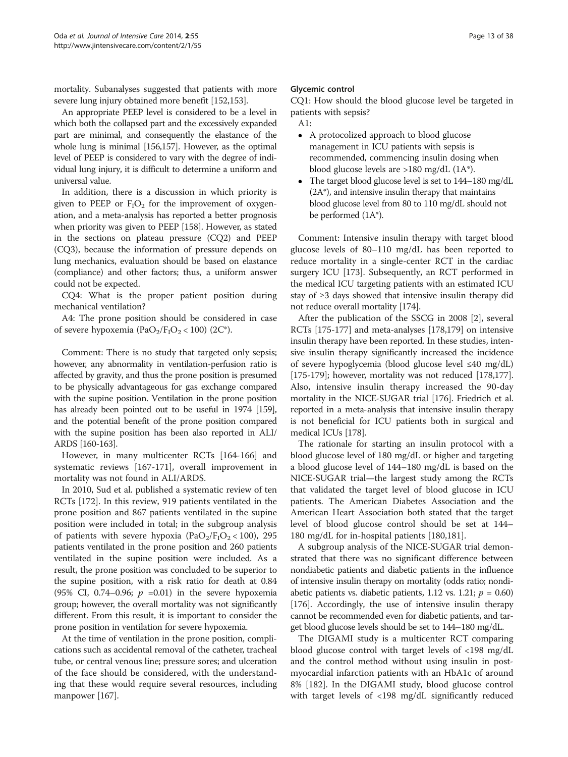mortality. Subanalyses suggested that patients with more severe lung injury obtained more benefit [\[152,153](#page-32-0)].

An appropriate PEEP level is considered to be a level in which both the collapsed part and the excessively expanded part are minimal, and consequently the elastance of the whole lung is minimal [[156,157\]](#page-32-0). However, as the optimal level of PEEP is considered to vary with the degree of individual lung injury, it is difficult to determine a uniform and universal value.

In addition, there is a discussion in which priority is given to PEEP or  $F_1O_2$  for the improvement of oxygenation, and a meta-analysis has reported a better prognosis when priority was given to PEEP [\[158](#page-32-0)]. However, as stated in the sections on plateau pressure (CQ2) and PEEP (CQ3), because the information of pressure depends on lung mechanics, evaluation should be based on elastance (compliance) and other factors; thus, a uniform answer could not be expected.

CQ4: What is the proper patient position during mechanical ventilation?

A4: The prone position should be considered in case of severe hypoxemia (PaO<sub>2</sub>/F<sub>I</sub>O<sub>2</sub> < 100) (2C<sup>\*</sup>).

Comment: There is no study that targeted only sepsis; however, any abnormality in ventilation-perfusion ratio is affected by gravity, and thus the prone position is presumed to be physically advantageous for gas exchange compared with the supine position. Ventilation in the prone position has already been pointed out to be useful in 1974 [\[159](#page-32-0)], and the potential benefit of the prone position compared with the supine position has been also reported in ALI/ ARDS [[160-163](#page-32-0)].

However, in many multicenter RCTs [[164-166\]](#page-32-0) and systematic reviews [\[167](#page-32-0)-[171](#page-32-0)], overall improvement in mortality was not found in ALI/ARDS.

In 2010, Sud et al. published a systematic review of ten RCTs [\[172](#page-32-0)]. In this review, 919 patients ventilated in the prone position and 867 patients ventilated in the supine position were included in total; in the subgroup analysis of patients with severe hypoxia (PaO<sub>2</sub>/F<sub>I</sub>O<sub>2</sub> < 100), 295 patients ventilated in the prone position and 260 patients ventilated in the supine position were included. As a result, the prone position was concluded to be superior to the supine position, with a risk ratio for death at 0.84 (95% CI, 0.74–0.96;  $p = 0.01$ ) in the severe hypoxemia group; however, the overall mortality was not significantly different. From this result, it is important to consider the prone position in ventilation for severe hypoxemia.

At the time of ventilation in the prone position, complications such as accidental removal of the catheter, tracheal tube, or central venous line; pressure sores; and ulceration of the face should be considered, with the understanding that these would require several resources, including manpower [\[167](#page-32-0)].

#### Glycemic control

CQ1: How should the blood glucose level be targeted in patients with sepsis?

A1:

- A protocolized approach to blood glucose management in ICU patients with sepsis is recommended, commencing insulin dosing when blood glucose levels are >180 mg/dL (1A\*).
- The target blood glucose level is set to 144–180 mg/dL (2A\*), and intensive insulin therapy that maintains blood glucose level from 80 to 110 mg/dL should not be performed (1A\*).

Comment: Intensive insulin therapy with target blood glucose levels of 80–110 mg/dL has been reported to reduce mortality in a single-center RCT in the cardiac surgery ICU [[173\]](#page-32-0). Subsequently, an RCT performed in the medical ICU targeting patients with an estimated ICU stay of ≥3 days showed that intensive insulin therapy did not reduce overall mortality [[174](#page-32-0)].

After the publication of the SSCG in 2008 [[2\]](#page-28-0), several RCTs [\[175-177\]](#page-32-0) and meta-analyses [\[178,179](#page-32-0)] on intensive insulin therapy have been reported. In these studies, intensive insulin therapy significantly increased the incidence of severe hypoglycemia (blood glucose level ≤40 mg/dL) [[175](#page-32-0)-[179](#page-32-0)]; however, mortality was not reduced [\[178,177](#page-32-0)]. Also, intensive insulin therapy increased the 90-day mortality in the NICE-SUGAR trial [\[176](#page-32-0)]. Friedrich et al. reported in a meta-analysis that intensive insulin therapy is not beneficial for ICU patients both in surgical and medical ICUs [[178](#page-32-0)].

The rationale for starting an insulin protocol with a blood glucose level of 180 mg/dL or higher and targeting a blood glucose level of 144–180 mg/dL is based on the NICE-SUGAR trial—the largest study among the RCTs that validated the target level of blood glucose in ICU patients. The American Diabetes Association and the American Heart Association both stated that the target level of blood glucose control should be set at 144– 180 mg/dL for in-hospital patients [\[180,181\]](#page-32-0).

A subgroup analysis of the NICE-SUGAR trial demonstrated that there was no significant difference between nondiabetic patients and diabetic patients in the influence of intensive insulin therapy on mortality (odds ratio; nondiabetic patients vs. diabetic patients, 1.12 vs. 1.21;  $p = 0.60$ ) [[176](#page-32-0)]. Accordingly, the use of intensive insulin therapy cannot be recommended even for diabetic patients, and target blood glucose levels should be set to 144–180 mg/dL.

The DIGAMI study is a multicenter RCT comparing blood glucose control with target levels of <198 mg/dL and the control method without using insulin in postmyocardial infarction patients with an HbA1c of around 8% [[182\]](#page-32-0). In the DIGAMI study, blood glucose control with target levels of <198 mg/dL significantly reduced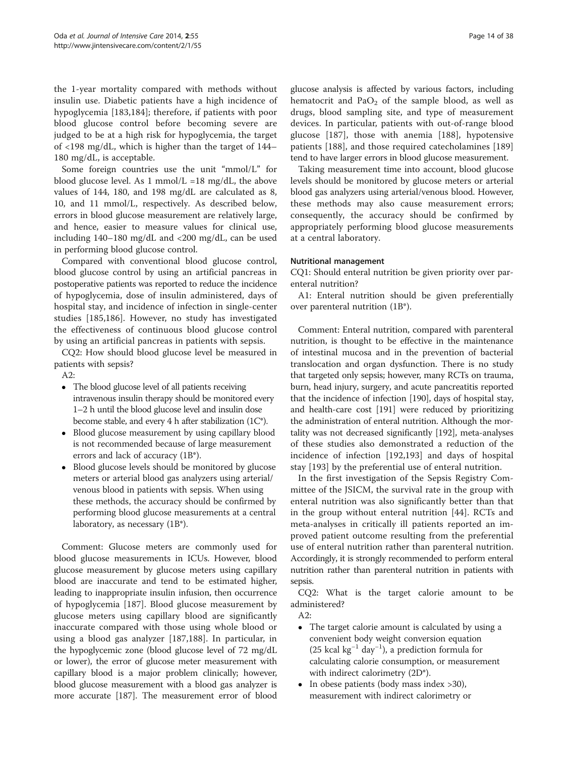the 1-year mortality compared with methods without insulin use. Diabetic patients have a high incidence of hypoglycemia [[183,184](#page-32-0)]; therefore, if patients with poor blood glucose control before becoming severe are judged to be at a high risk for hypoglycemia, the target of <198 mg/dL, which is higher than the target of 144– 180 mg/dL, is acceptable.

Some foreign countries use the unit "mmol/L" for blood glucose level. As 1 mmol/L =18 mg/dL, the above values of 144, 180, and 198 mg/dL are calculated as 8, 10, and 11 mmol/L, respectively. As described below, errors in blood glucose measurement are relatively large, and hence, easier to measure values for clinical use, including 140–180 mg/dL and <200 mg/dL, can be used in performing blood glucose control.

Compared with conventional blood glucose control, blood glucose control by using an artificial pancreas in postoperative patients was reported to reduce the incidence of hypoglycemia, dose of insulin administered, days of hospital stay, and incidence of infection in single-center studies [[185,186\]](#page-32-0). However, no study has investigated the effectiveness of continuous blood glucose control by using an artificial pancreas in patients with sepsis.

CQ2: How should blood glucose level be measured in patients with sepsis?

A2:

- The blood glucose level of all patients receiving intravenous insulin therapy should be monitored every 1–2 h until the blood glucose level and insulin dose become stable, and every 4 h after stabilization (1C\*).
- Blood glucose measurement by using capillary blood is not recommended because of large measurement errors and lack of accuracy (1B\*).
- Blood glucose levels should be monitored by glucose meters or arterial blood gas analyzers using arterial/ venous blood in patients with sepsis. When using these methods, the accuracy should be confirmed by performing blood glucose measurements at a central laboratory, as necessary (1B\*).

Comment: Glucose meters are commonly used for blood glucose measurements in ICUs. However, blood glucose measurement by glucose meters using capillary blood are inaccurate and tend to be estimated higher, leading to inappropriate insulin infusion, then occurrence of hypoglycemia [[187](#page-33-0)]. Blood glucose measurement by glucose meters using capillary blood are significantly inaccurate compared with those using whole blood or using a blood gas analyzer [\[187](#page-33-0),[188\]](#page-33-0). In particular, in the hypoglycemic zone (blood glucose level of 72 mg/dL or lower), the error of glucose meter measurement with capillary blood is a major problem clinically; however, blood glucose measurement with a blood gas analyzer is more accurate [\[187\]](#page-33-0). The measurement error of blood

glucose analysis is affected by various factors, including hematocrit and  $PaO<sub>2</sub>$  of the sample blood, as well as drugs, blood sampling site, and type of measurement devices. In particular, patients with out-of-range blood glucose [[187\]](#page-33-0), those with anemia [[188\]](#page-33-0), hypotensive patients [[188](#page-33-0)], and those required catecholamines [\[189](#page-33-0)] tend to have larger errors in blood glucose measurement.

Taking measurement time into account, blood glucose levels should be monitored by glucose meters or arterial blood gas analyzers using arterial/venous blood. However, these methods may also cause measurement errors; consequently, the accuracy should be confirmed by appropriately performing blood glucose measurements at a central laboratory.

#### Nutritional management

CQ1: Should enteral nutrition be given priority over parenteral nutrition?

A1: Enteral nutrition should be given preferentially over parenteral nutrition (1B\*).

Comment: Enteral nutrition, compared with parenteral nutrition, is thought to be effective in the maintenance of intestinal mucosa and in the prevention of bacterial translocation and organ dysfunction. There is no study that targeted only sepsis; however, many RCTs on trauma, burn, head injury, surgery, and acute pancreatitis reported that the incidence of infection [\[190\]](#page-33-0), days of hospital stay, and health-care cost [\[191](#page-33-0)] were reduced by prioritizing the administration of enteral nutrition. Although the mortality was not decreased significantly [[192](#page-33-0)], meta-analyses of these studies also demonstrated a reduction of the incidence of infection [[192,193](#page-33-0)] and days of hospital stay [[193](#page-33-0)] by the preferential use of enteral nutrition.

In the first investigation of the Sepsis Registry Committee of the JSICM, the survival rate in the group with enteral nutrition was also significantly better than that in the group without enteral nutrition [[44\]](#page-29-0). RCTs and meta-analyses in critically ill patients reported an improved patient outcome resulting from the preferential use of enteral nutrition rather than parenteral nutrition. Accordingly, it is strongly recommended to perform enteral nutrition rather than parenteral nutrition in patients with sepsis.

CQ2: What is the target calorie amount to be administered?

 $A2:$ 

- The target calorie amount is calculated by using a convenient body weight conversion equation (25 kcal kg−<sup>1</sup> day−<sup>1</sup> ), a prediction formula for calculating calorie consumption, or measurement with indirect calorimetry (2D\*).
- In obese patients (body mass index >30), measurement with indirect calorimetry or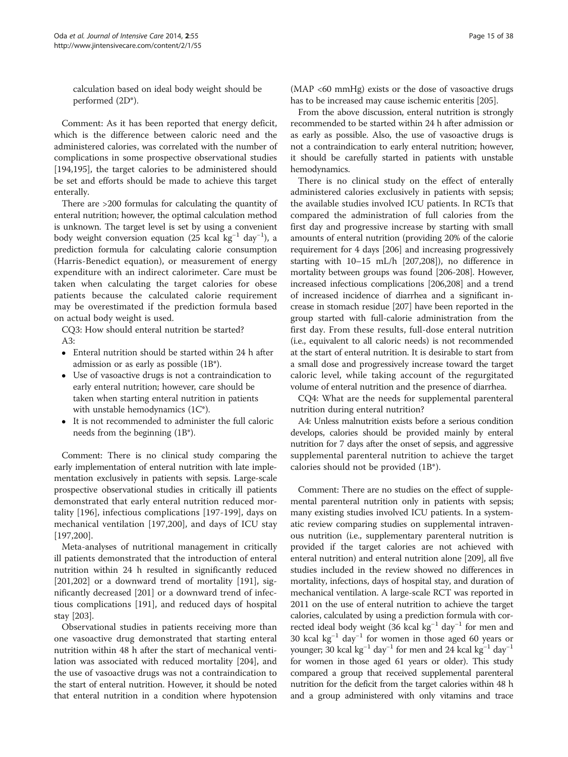calculation based on ideal body weight should be performed (2D\*).

Comment: As it has been reported that energy deficit, which is the difference between caloric need and the administered calories, was correlated with the number of complications in some prospective observational studies [[194,195](#page-33-0)], the target calories to be administered should be set and efforts should be made to achieve this target enterally.

There are >200 formulas for calculating the quantity of enteral nutrition; however, the optimal calculation method is unknown. The target level is set by using a convenient body weight conversion equation (25 kcal kg<sup>-1</sup> day<sup>-1</sup>), a prediction formula for calculating calorie consumption (Harris-Benedict equation), or measurement of energy expenditure with an indirect calorimeter. Care must be taken when calculating the target calories for obese patients because the calculated calorie requirement may be overestimated if the prediction formula based on actual body weight is used.

CQ3: How should enteral nutrition be started? A3:

- Enteral nutrition should be started within 24 h after admission or as early as possible (1B\*).
- Use of vasoactive drugs is not a contraindication to early enteral nutrition; however, care should be taken when starting enteral nutrition in patients with unstable hemodynamics (1C\*).
- It is not recommended to administer the full caloric needs from the beginning (1B\*).

Comment: There is no clinical study comparing the early implementation of enteral nutrition with late implementation exclusively in patients with sepsis. Large-scale prospective observational studies in critically ill patients demonstrated that early enteral nutrition reduced mortality [[196\]](#page-33-0), infectious complications [[197](#page-33-0)-[199\]](#page-33-0), days on mechanical ventilation [[197,200](#page-33-0)], and days of ICU stay [[197,200](#page-33-0)].

Meta-analyses of nutritional management in critically ill patients demonstrated that the introduction of enteral nutrition within 24 h resulted in significantly reduced [[201,202](#page-33-0)] or a downward trend of mortality [\[191](#page-33-0)], significantly decreased [\[201\]](#page-33-0) or a downward trend of infectious complications [[191](#page-33-0)], and reduced days of hospital stay [[203](#page-33-0)].

Observational studies in patients receiving more than one vasoactive drug demonstrated that starting enteral nutrition within 48 h after the start of mechanical ventilation was associated with reduced mortality [\[204](#page-33-0)], and the use of vasoactive drugs was not a contraindication to the start of enteral nutrition. However, it should be noted that enteral nutrition in a condition where hypotension

(MAP <60 mmHg) exists or the dose of vasoactive drugs has to be increased may cause ischemic enteritis [\[205](#page-33-0)].

From the above discussion, enteral nutrition is strongly recommended to be started within 24 h after admission or as early as possible. Also, the use of vasoactive drugs is not a contraindication to early enteral nutrition; however, it should be carefully started in patients with unstable hemodynamics.

There is no clinical study on the effect of enterally administered calories exclusively in patients with sepsis; the available studies involved ICU patients. In RCTs that compared the administration of full calories from the first day and progressive increase by starting with small amounts of enteral nutrition (providing 20% of the calorie requirement for 4 days [\[206\]](#page-33-0) and increasing progressively starting with 10–15 mL/h [\[207,208](#page-33-0)]), no difference in mortality between groups was found [\[206-208\]](#page-33-0). However, increased infectious complications [[206,208\]](#page-33-0) and a trend of increased incidence of diarrhea and a significant increase in stomach residue [\[207](#page-33-0)] have been reported in the group started with full-calorie administration from the first day. From these results, full-dose enteral nutrition (i.e., equivalent to all caloric needs) is not recommended at the start of enteral nutrition. It is desirable to start from a small dose and progressively increase toward the target caloric level, while taking account of the regurgitated volume of enteral nutrition and the presence of diarrhea.

CQ4: What are the needs for supplemental parenteral nutrition during enteral nutrition?

A4: Unless malnutrition exists before a serious condition develops, calories should be provided mainly by enteral nutrition for 7 days after the onset of sepsis, and aggressive supplemental parenteral nutrition to achieve the target calories should not be provided (1B\*).

Comment: There are no studies on the effect of supplemental parenteral nutrition only in patients with sepsis; many existing studies involved ICU patients. In a systematic review comparing studies on supplemental intravenous nutrition (i.e., supplementary parenteral nutrition is provided if the target calories are not achieved with enteral nutrition) and enteral nutrition alone [\[209\]](#page-33-0), all five studies included in the review showed no differences in mortality, infections, days of hospital stay, and duration of mechanical ventilation. A large-scale RCT was reported in 2011 on the use of enteral nutrition to achieve the target calories, calculated by using a prediction formula with corrected ideal body weight (36 kcal kg<sup>-1</sup> day<sup>-1</sup> for men and 30 kcal kg<sup>-1</sup> day<sup>-1</sup> for women in those aged 60 years or younger; 30 kcal kg<sup>-1</sup> day<sup>-1</sup> for men and 24 kcal kg<sup>-1</sup> day<sup>-1</sup> for women in those aged 61 years or older). This study compared a group that received supplemental parenteral nutrition for the deficit from the target calories within 48 h and a group administered with only vitamins and trace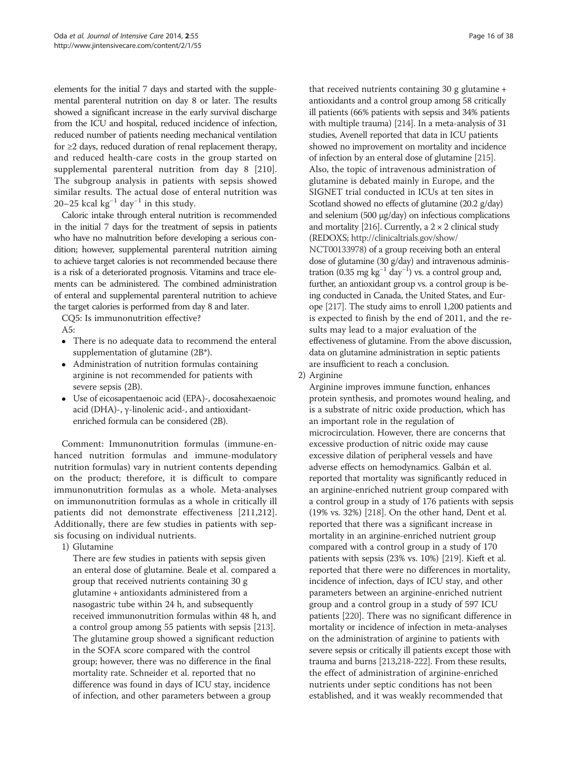elements for the initial 7 days and started with the supplemental parenteral nutrition on day 8 or later. The results showed a significant increase in the early survival discharge from the ICU and hospital, reduced incidence of infection, reduced number of patients needing mechanical ventilation for  $\geq$ 2 days, reduced duration of renal replacement therapy, and reduced health-care costs in the group started on supplemental parenteral nutrition from day 8 [[210](#page-33-0)]. The subgroup analysis in patients with sepsis showed similar results. The actual dose of enteral nutrition was 20–25 kcal kg<sup>-1</sup> day<sup>-1</sup> in this study.

Caloric intake through enteral nutrition is recommended in the initial 7 days for the treatment of sepsis in patients who have no malnutrition before developing a serious condition; however, supplemental parenteral nutrition aiming to achieve target calories is not recommended because there is a risk of a deteriorated prognosis. Vitamins and trace elements can be administered. The combined administration of enteral and supplemental parenteral nutrition to achieve the target calories is performed from day 8 and later.

CQ5: Is immunonutrition effective?

A5:

- There is no adequate data to recommend the enteral supplementation of glutamine (2B\*).
- Administration of nutrition formulas containing arginine is not recommended for patients with severe sepsis (2B).
- Use of eicosapentaenoic acid (EPA)-, docosahexaenoic acid (DHA)-, γ-linolenic acid-, and antioxidantenriched formula can be considered (2B).

Comment: Immunonutrition formulas (immune-enhanced nutrition formulas and immune-modulatory nutrition formulas) vary in nutrient contents depending on the product; therefore, it is difficult to compare immunonutrition formulas as a whole. Meta-analyses on immunonutrition formulas as a whole in critically ill patients did not demonstrate effectiveness [[211,212](#page-33-0)]. Additionally, there are few studies in patients with sepsis focusing on individual nutrients.

1) Glutamine

There are few studies in patients with sepsis given an enteral dose of glutamine. Beale et al. compared a group that received nutrients containing 30 g glutamine + antioxidants administered from a nasogastric tube within 24 h, and subsequently received immunonutrition formulas within 48 h, and a control group among 55 patients with sepsis [\[213\]](#page-33-0). The glutamine group showed a significant reduction in the SOFA score compared with the control group; however, there was no difference in the final mortality rate. Schneider et al. reported that no difference was found in days of ICU stay, incidence of infection, and other parameters between a group

that received nutrients containing 30 g glutamine + antioxidants and a control group among 58 critically ill patients (66% patients with sepsis and 34% patients with multiple trauma) [[214\]](#page-33-0). In a meta-analysis of 31 studies, Avenell reported that data in ICU patients showed no improvement on mortality and incidence of infection by an enteral dose of glutamine [[215\]](#page-33-0). Also, the topic of intravenous administration of glutamine is debated mainly in Europe, and the SIGNET trial conducted in ICUs at ten sites in Scotland showed no effects of glutamine (20.2 g/day) and selenium (500 μg/day) on infectious complications and mortality [[216\]](#page-33-0). Currently, a  $2 \times 2$  clinical study (REDOXS; [http://clinicaltrials.gov/show/](http://clinicaltrials.gov/show/NCT00133978) [NCT00133978\)](http://clinicaltrials.gov/show/NCT00133978) of a group receiving both an enteral dose of glutamine (30 g/day) and intravenous administration (0.35 mg kg<sup>-1</sup> day<sup>-1</sup>) vs. a control group and, further, an antioxidant group vs. a control group is being conducted in Canada, the United States, and Europe [\[217](#page-33-0)]. The study aims to enroll 1,200 patients and is expected to finish by the end of 2011, and the results may lead to a major evaluation of the effectiveness of glutamine. From the above discussion, data on glutamine administration in septic patients are insufficient to reach a conclusion.

2) Arginine

Arginine improves immune function, enhances protein synthesis, and promotes wound healing, and is a substrate of nitric oxide production, which has an important role in the regulation of microcirculation. However, there are concerns that excessive production of nitric oxide may cause excessive dilation of peripheral vessels and have adverse effects on hemodynamics. Galbán et al. reported that mortality was significantly reduced in an arginine-enriched nutrient group compared with a control group in a study of 176 patients with sepsis (19% vs. 32%) [[218\]](#page-33-0). On the other hand, Dent et al. reported that there was a significant increase in mortality in an arginine-enriched nutrient group compared with a control group in a study of 170 patients with sepsis (23% vs. 10%) [[219](#page-33-0)]. Kieft et al. reported that there were no differences in mortality, incidence of infection, days of ICU stay, and other parameters between an arginine-enriched nutrient group and a control group in a study of 597 ICU patients [\[220](#page-33-0)]. There was no significant difference in mortality or incidence of infection in meta-analyses on the administration of arginine to patients with severe sepsis or critically ill patients except those with trauma and burns [\[213,218-222](#page-33-0)]. From these results, the effect of administration of arginine-enriched nutrients under septic conditions has not been established, and it was weakly recommended that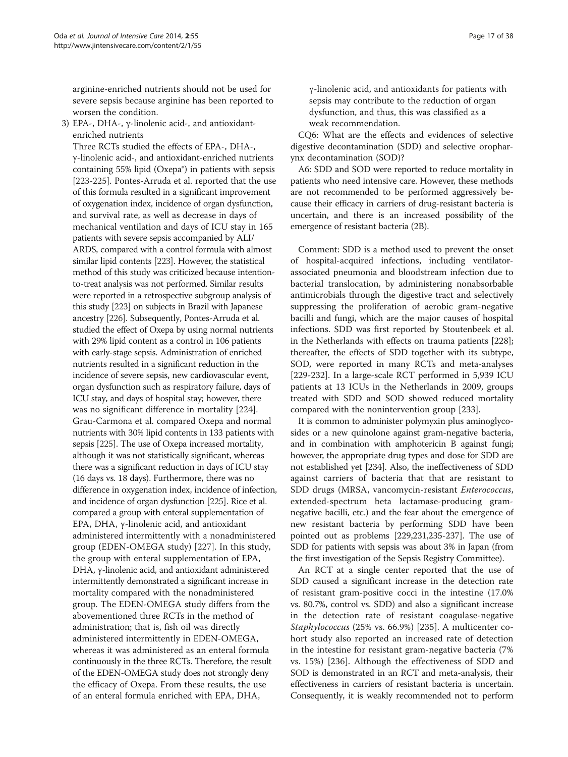arginine-enriched nutrients should not be used for severe sepsis because arginine has been reported to worsen the condition.

3) EPA-, DHA-, γ-linolenic acid-, and antioxidantenriched nutrients

Three RCTs studied the effects of EPA-, DHA-, γ-linolenic acid-, and antioxidant-enriched nutrients containing 55% lipid (Oxepa®) in patients with sepsis [\[223-225\]](#page-33-0). Pontes-Arruda et al. reported that the use of this formula resulted in a significant improvement of oxygenation index, incidence of organ dysfunction, and survival rate, as well as decrease in days of mechanical ventilation and days of ICU stay in 165 patients with severe sepsis accompanied by ALI/ ARDS, compared with a control formula with almost similar lipid contents [[223\]](#page-33-0). However, the statistical method of this study was criticized because intentionto-treat analysis was not performed. Similar results were reported in a retrospective subgroup analysis of this study [\[223](#page-33-0)] on subjects in Brazil with Japanese ancestry [[226\]](#page-34-0). Subsequently, Pontes-Arruda et al. studied the effect of Oxepa by using normal nutrients with 29% lipid content as a control in 106 patients with early-stage sepsis. Administration of enriched nutrients resulted in a significant reduction in the incidence of severe sepsis, new cardiovascular event, organ dysfunction such as respiratory failure, days of ICU stay, and days of hospital stay; however, there was no significant difference in mortality [[224](#page-33-0)]. Grau-Carmona et al. compared Oxepa and normal nutrients with 30% lipid contents in 133 patients with sepsis [\[225\]](#page-33-0). The use of Oxepa increased mortality, although it was not statistically significant, whereas there was a significant reduction in days of ICU stay (16 days vs. 18 days). Furthermore, there was no difference in oxygenation index, incidence of infection, and incidence of organ dysfunction [\[225](#page-33-0)]. Rice et al. compared a group with enteral supplementation of EPA, DHA, γ-linolenic acid, and antioxidant administered intermittently with a nonadministered group (EDEN-OMEGA study) [[227\]](#page-34-0). In this study, the group with enteral supplementation of EPA, DHA, γ-linolenic acid, and antioxidant administered intermittently demonstrated a significant increase in mortality compared with the nonadministered group. The EDEN-OMEGA study differs from the abovementioned three RCTs in the method of administration; that is, fish oil was directly administered intermittently in EDEN-OMEGA, whereas it was administered as an enteral formula continuously in the three RCTs. Therefore, the result of the EDEN-OMEGA study does not strongly deny the efficacy of Oxepa. From these results, the use of an enteral formula enriched with EPA, DHA,

γ-linolenic acid, and antioxidants for patients with sepsis may contribute to the reduction of organ dysfunction, and thus, this was classified as a weak recommendation.

CQ6: What are the effects and evidences of selective digestive decontamination (SDD) and selective oropharynx decontamination (SOD)?

A6: SDD and SOD were reported to reduce mortality in patients who need intensive care. However, these methods are not recommended to be performed aggressively because their efficacy in carriers of drug-resistant bacteria is uncertain, and there is an increased possibility of the emergence of resistant bacteria (2B).

Comment: SDD is a method used to prevent the onset of hospital-acquired infections, including ventilatorassociated pneumonia and bloodstream infection due to bacterial translocation, by administering nonabsorbable antimicrobials through the digestive tract and selectively suppressing the proliferation of aerobic gram-negative bacilli and fungi, which are the major causes of hospital infections. SDD was first reported by Stoutenbeek et al. in the Netherlands with effects on trauma patients [[228](#page-34-0)]; thereafter, the effects of SDD together with its subtype, SOD, were reported in many RCTs and meta-analyses [[229-232\]](#page-34-0). In a large-scale RCT performed in 5,939 ICU patients at 13 ICUs in the Netherlands in 2009, groups treated with SDD and SOD showed reduced mortality compared with the nonintervention group [\[233\]](#page-34-0).

It is common to administer polymyxin plus aminoglycosides or a new quinolone against gram-negative bacteria, and in combination with amphotericin B against fungi; however, the appropriate drug types and dose for SDD are not established yet [\[234](#page-34-0)]. Also, the ineffectiveness of SDD against carriers of bacteria that that are resistant to SDD drugs (MRSA, vancomycin-resistant Enterococcus, extended-spectrum beta lactamase-producing gramnegative bacilli, etc.) and the fear about the emergence of new resistant bacteria by performing SDD have been pointed out as problems [\[229,231,235-237\]](#page-34-0). The use of SDD for patients with sepsis was about 3% in Japan (from the first investigation of the Sepsis Registry Committee).

An RCT at a single center reported that the use of SDD caused a significant increase in the detection rate of resistant gram-positive cocci in the intestine (17.0% vs. 80.7%, control vs. SDD) and also a significant increase in the detection rate of resistant coagulase-negative Staphylococcus (25% vs. 66.9%) [\[235](#page-34-0)]. A multicenter cohort study also reported an increased rate of detection in the intestine for resistant gram-negative bacteria (7% vs. 15%) [[236\]](#page-34-0). Although the effectiveness of SDD and SOD is demonstrated in an RCT and meta-analysis, their effectiveness in carriers of resistant bacteria is uncertain. Consequently, it is weakly recommended not to perform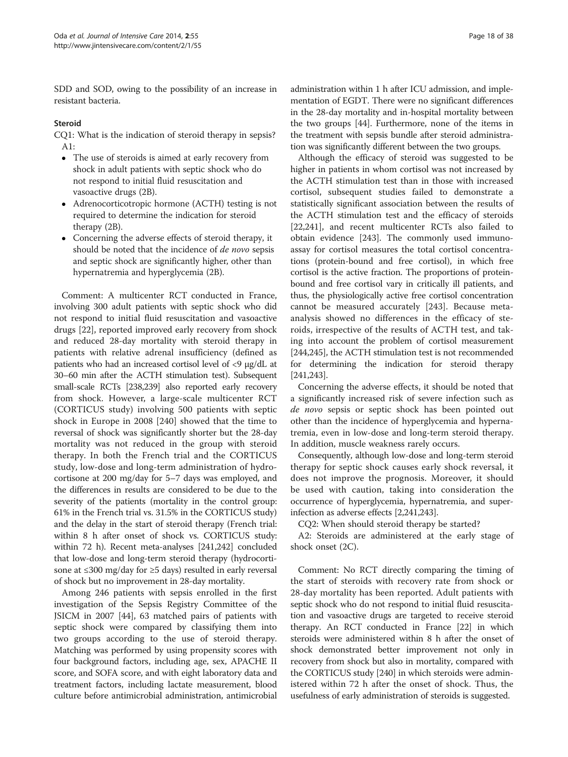SDD and SOD, owing to the possibility of an increase in resistant bacteria.

#### Steroid

CQ1: What is the indication of steroid therapy in sepsis? A1:

- The use of steroids is aimed at early recovery from shock in adult patients with septic shock who do not respond to initial fluid resuscitation and vasoactive drugs (2B).
- Adrenocorticotropic hormone (ACTH) testing is not required to determine the indication for steroid therapy (2B).
- Concerning the adverse effects of steroid therapy, it should be noted that the incidence of *de novo* sepsis and septic shock are significantly higher, other than hypernatremia and hyperglycemia (2B).

Comment: A multicenter RCT conducted in France, involving 300 adult patients with septic shock who did not respond to initial fluid resuscitation and vasoactive drugs [[22](#page-28-0)], reported improved early recovery from shock and reduced 28-day mortality with steroid therapy in patients with relative adrenal insufficiency (defined as patients who had an increased cortisol level of <9 μg/dL at 30–60 min after the ACTH stimulation test). Subsequent small-scale RCTs [\[238,239](#page-34-0)] also reported early recovery from shock. However, a large-scale multicenter RCT (CORTICUS study) involving 500 patients with septic shock in Europe in 2008 [\[240](#page-34-0)] showed that the time to reversal of shock was significantly shorter but the 28-day mortality was not reduced in the group with steroid therapy. In both the French trial and the CORTICUS study, low-dose and long-term administration of hydrocortisone at 200 mg/day for 5–7 days was employed, and the differences in results are considered to be due to the severity of the patients (mortality in the control group: 61% in the French trial vs. 31.5% in the CORTICUS study) and the delay in the start of steroid therapy (French trial: within 8 h after onset of shock vs. CORTICUS study: within 72 h). Recent meta-analyses [[241,242\]](#page-34-0) concluded that low-dose and long-term steroid therapy (hydrocortisone at ≤300 mg/day for ≥5 days) resulted in early reversal of shock but no improvement in 28-day mortality.

Among 246 patients with sepsis enrolled in the first investigation of the Sepsis Registry Committee of the JSICM in 2007 [\[44](#page-29-0)], 63 matched pairs of patients with septic shock were compared by classifying them into two groups according to the use of steroid therapy. Matching was performed by using propensity scores with four background factors, including age, sex, APACHE II score, and SOFA score, and with eight laboratory data and treatment factors, including lactate measurement, blood culture before antimicrobial administration, antimicrobial

administration within 1 h after ICU admission, and implementation of EGDT. There were no significant differences in the 28-day mortality and in-hospital mortality between the two groups [\[44\]](#page-29-0). Furthermore, none of the items in the treatment with sepsis bundle after steroid administration was significantly different between the two groups.

Although the efficacy of steroid was suggested to be higher in patients in whom cortisol was not increased by the ACTH stimulation test than in those with increased cortisol, subsequent studies failed to demonstrate a statistically significant association between the results of the ACTH stimulation test and the efficacy of steroids [[22,](#page-28-0)[241\]](#page-34-0), and recent multicenter RCTs also failed to obtain evidence [[243\]](#page-34-0). The commonly used immunoassay for cortisol measures the total cortisol concentrations (protein-bound and free cortisol), in which free cortisol is the active fraction. The proportions of proteinbound and free cortisol vary in critically ill patients, and thus, the physiologically active free cortisol concentration cannot be measured accurately [\[243](#page-34-0)]. Because metaanalysis showed no differences in the efficacy of steroids, irrespective of the results of ACTH test, and taking into account the problem of cortisol measurement [[244,245\]](#page-34-0), the ACTH stimulation test is not recommended for determining the indication for steroid therapy [[241,243\]](#page-34-0).

Concerning the adverse effects, it should be noted that a significantly increased risk of severe infection such as de novo sepsis or septic shock has been pointed out other than the incidence of hyperglycemia and hypernatremia, even in low-dose and long-term steroid therapy. In addition, muscle weakness rarely occurs.

Consequently, although low-dose and long-term steroid therapy for septic shock causes early shock reversal, it does not improve the prognosis. Moreover, it should be used with caution, taking into consideration the occurrence of hyperglycemia, hypernatremia, and superinfection as adverse effects [[2,](#page-28-0)[241,243\]](#page-34-0).

CQ2: When should steroid therapy be started?

A2: Steroids are administered at the early stage of shock onset (2C).

Comment: No RCT directly comparing the timing of the start of steroids with recovery rate from shock or 28-day mortality has been reported. Adult patients with septic shock who do not respond to initial fluid resuscitation and vasoactive drugs are targeted to receive steroid therapy. An RCT conducted in France [\[22\]](#page-28-0) in which steroids were administered within 8 h after the onset of shock demonstrated better improvement not only in recovery from shock but also in mortality, compared with the CORTICUS study [[240](#page-34-0)] in which steroids were administered within 72 h after the onset of shock. Thus, the usefulness of early administration of steroids is suggested.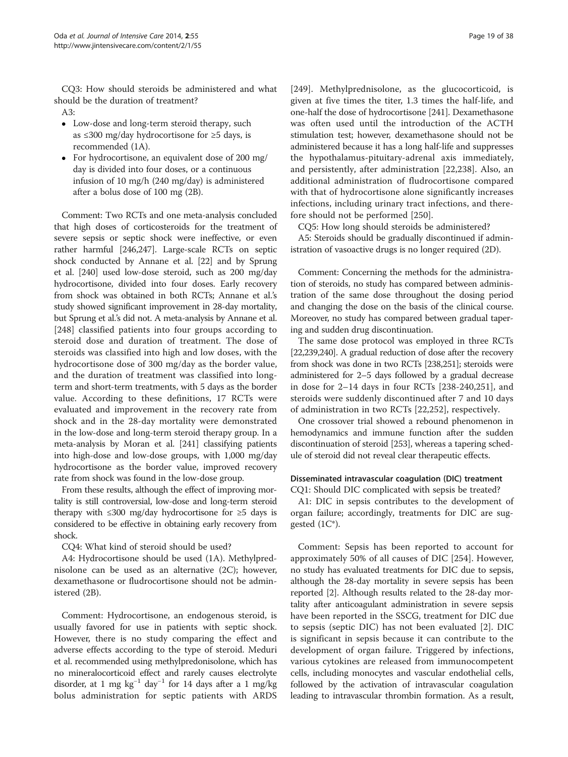CQ3: How should steroids be administered and what should be the duration of treatment?

A3:

- Low-dose and long-term steroid therapy, such as ≤300 mg/day hydrocortisone for ≥5 days, is recommended (1A).
- For hydrocortisone, an equivalent dose of 200 mg/ day is divided into four doses, or a continuous infusion of 10 mg/h (240 mg/day) is administered after a bolus dose of 100 mg (2B).

Comment: Two RCTs and one meta-analysis concluded that high doses of corticosteroids for the treatment of severe sepsis or septic shock were ineffective, or even rather harmful [\[246,247](#page-34-0)]. Large-scale RCTs on septic shock conducted by Annane et al. [\[22](#page-28-0)] and by Sprung et al. [\[240\]](#page-34-0) used low-dose steroid, such as 200 mg/day hydrocortisone, divided into four doses. Early recovery from shock was obtained in both RCTs; Annane et al.'s study showed significant improvement in 28-day mortality, but Sprung et al.'s did not. A meta-analysis by Annane et al. [[248\]](#page-34-0) classified patients into four groups according to steroid dose and duration of treatment. The dose of steroids was classified into high and low doses, with the hydrocortisone dose of 300 mg/day as the border value, and the duration of treatment was classified into longterm and short-term treatments, with 5 days as the border value. According to these definitions, 17 RCTs were evaluated and improvement in the recovery rate from shock and in the 28-day mortality were demonstrated in the low-dose and long-term steroid therapy group. In a meta-analysis by Moran et al. [\[241\]](#page-34-0) classifying patients into high-dose and low-dose groups, with 1,000 mg/day hydrocortisone as the border value, improved recovery rate from shock was found in the low-dose group.

From these results, although the effect of improving mortality is still controversial, low-dose and long-term steroid therapy with ≤300 mg/day hydrocortisone for ≥5 days is considered to be effective in obtaining early recovery from shock.

CQ4: What kind of steroid should be used?

A4: Hydrocortisone should be used (1A). Methylprednisolone can be used as an alternative (2C); however, dexamethasone or fludrocortisone should not be administered (2B).

Comment: Hydrocortisone, an endogenous steroid, is usually favored for use in patients with septic shock. However, there is no study comparing the effect and adverse effects according to the type of steroid. Meduri et al. recommended using methylpredonisolone, which has no mineralocorticoid effect and rarely causes electrolyte disorder, at 1 mg kg<sup>-1</sup> day<sup>-1</sup> for 14 days after a 1 mg/kg bolus administration for septic patients with ARDS [[249](#page-34-0)]. Methylprednisolone, as the glucocorticoid, is given at five times the titer, 1.3 times the half-life, and one-half the dose of hydrocortisone [\[241](#page-34-0)]. Dexamethasone was often used until the introduction of the ACTH stimulation test; however, dexamethasone should not be administered because it has a long half-life and suppresses the hypothalamus-pituitary-adrenal axis immediately, and persistently, after administration [[22,](#page-28-0)[238\]](#page-34-0). Also, an additional administration of fludrocortisone compared with that of hydrocortisone alone significantly increases

fore should not be performed [[250](#page-34-0)]. CQ5: How long should steroids be administered?

A5: Steroids should be gradually discontinued if administration of vasoactive drugs is no longer required (2D).

infections, including urinary tract infections, and there-

Comment: Concerning the methods for the administration of steroids, no study has compared between administration of the same dose throughout the dosing period and changing the dose on the basis of the clinical course. Moreover, no study has compared between gradual tapering and sudden drug discontinuation.

The same dose protocol was employed in three RCTs [[22](#page-28-0)[,239,240](#page-34-0)]. A gradual reduction of dose after the recovery from shock was done in two RCTs [\[238,251\]](#page-34-0); steroids were administered for 2–5 days followed by a gradual decrease in dose for 2–14 days in four RCTs [\[238](#page-34-0)-[240,251](#page-34-0)], and steroids were suddenly discontinued after 7 and 10 days of administration in two RCTs [[22](#page-28-0)[,252](#page-34-0)], respectively.

One crossover trial showed a rebound phenomenon in hemodynamics and immune function after the sudden discontinuation of steroid [[253](#page-34-0)], whereas a tapering schedule of steroid did not reveal clear therapeutic effects.

# Disseminated intravascular coagulation (DIC) treatment

CQ1: Should DIC complicated with sepsis be treated? A1: DIC in sepsis contributes to the development of organ failure; accordingly, treatments for DIC are suggested  $(1C^*)$ .

Comment: Sepsis has been reported to account for approximately 50% of all causes of DIC [\[254](#page-34-0)]. However, no study has evaluated treatments for DIC due to sepsis, although the 28-day mortality in severe sepsis has been reported [\[2](#page-28-0)]. Although results related to the 28-day mortality after anticoagulant administration in severe sepsis have been reported in the SSCG, treatment for DIC due to sepsis (septic DIC) has not been evaluated [[2\]](#page-28-0). DIC is significant in sepsis because it can contribute to the development of organ failure. Triggered by infections, various cytokines are released from immunocompetent cells, including monocytes and vascular endothelial cells, followed by the activation of intravascular coagulation leading to intravascular thrombin formation. As a result,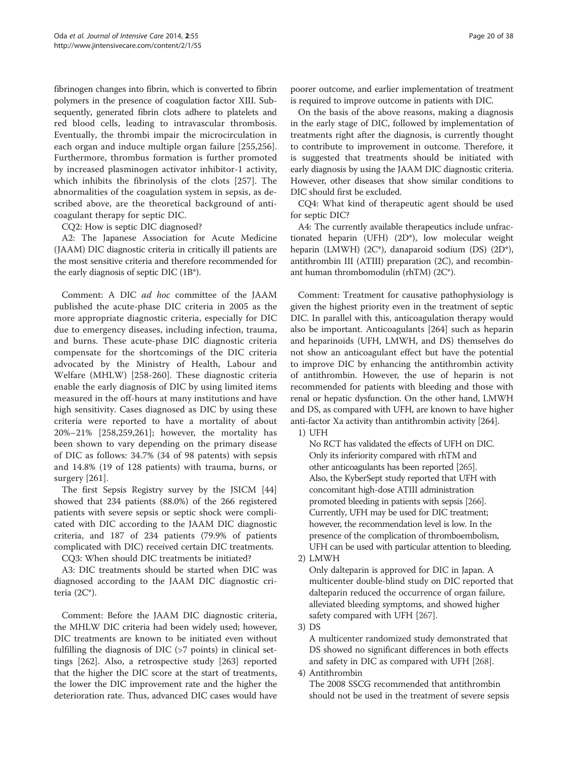fibrinogen changes into fibrin, which is converted to fibrin polymers in the presence of coagulation factor XIII. Subsequently, generated fibrin clots adhere to platelets and red blood cells, leading to intravascular thrombosis. Eventually, the thrombi impair the microcirculation in each organ and induce multiple organ failure [[255,256](#page-34-0)]. Furthermore, thrombus formation is further promoted by increased plasminogen activator inhibitor-1 activity, which inhibits the fibrinolysis of the clots [[257\]](#page-34-0). The abnormalities of the coagulation system in sepsis, as described above, are the theoretical background of anticoagulant therapy for septic DIC.

CQ2: How is septic DIC diagnosed?

A2: The Japanese Association for Acute Medicine (JAAM) DIC diagnostic criteria in critically ill patients are the most sensitive criteria and therefore recommended for the early diagnosis of septic DIC (1B\*).

Comment: A DIC ad hoc committee of the JAAM published the acute-phase DIC criteria in 2005 as the more appropriate diagnostic criteria, especially for DIC due to emergency diseases, including infection, trauma, and burns. These acute-phase DIC diagnostic criteria compensate for the shortcomings of the DIC criteria advocated by the Ministry of Health, Labour and Welfare (MHLW) [[258](#page-34-0)-[260\]](#page-34-0). These diagnostic criteria enable the early diagnosis of DIC by using limited items measured in the off-hours at many institutions and have high sensitivity. Cases diagnosed as DIC by using these criteria were reported to have a mortality of about 20%–21% [[258,259](#page-34-0)[,261](#page-35-0)]; however, the mortality has been shown to vary depending on the primary disease of DIC as follows: 34.7% (34 of 98 patents) with sepsis and 14.8% (19 of 128 patients) with trauma, burns, or surgery [\[261](#page-35-0)].

The first Sepsis Registry survey by the JSICM [[44](#page-29-0)] showed that 234 patients (88.0%) of the 266 registered patients with severe sepsis or septic shock were complicated with DIC according to the JAAM DIC diagnostic criteria, and 187 of 234 patients (79.9% of patients complicated with DIC) received certain DIC treatments.

CQ3: When should DIC treatments be initiated?

A3: DIC treatments should be started when DIC was diagnosed according to the JAAM DIC diagnostic criteria (2C\*).

Comment: Before the JAAM DIC diagnostic criteria, the MHLW DIC criteria had been widely used; however, DIC treatments are known to be initiated even without fulfilling the diagnosis of DIC (>7 points) in clinical settings [[262](#page-35-0)]. Also, a retrospective study [[263](#page-35-0)] reported that the higher the DIC score at the start of treatments, the lower the DIC improvement rate and the higher the deterioration rate. Thus, advanced DIC cases would have

poorer outcome, and earlier implementation of treatment is required to improve outcome in patients with DIC.

On the basis of the above reasons, making a diagnosis in the early stage of DIC, followed by implementation of treatments right after the diagnosis, is currently thought to contribute to improvement in outcome. Therefore, it is suggested that treatments should be initiated with early diagnosis by using the JAAM DIC diagnostic criteria. However, other diseases that show similar conditions to DIC should first be excluded.

CQ4: What kind of therapeutic agent should be used for septic DIC?

A4: The currently available therapeutics include unfractionated heparin (UFH) (2D\*), low molecular weight heparin (LMWH) (2C\*), danaparoid sodium (DS) (2D\*), antithrombin III (ATIII) preparation (2C), and recombinant human thrombomodulin (rhTM) (2C\*).

Comment: Treatment for causative pathophysiology is given the highest priority even in the treatment of septic DIC. In parallel with this, anticoagulation therapy would also be important. Anticoagulants [[264\]](#page-35-0) such as heparin and heparinoids (UFH, LMWH, and DS) themselves do not show an anticoagulant effect but have the potential to improve DIC by enhancing the antithrombin activity of antithrombin. However, the use of heparin is not recommended for patients with bleeding and those with renal or hepatic dysfunction. On the other hand, LMWH and DS, as compared with UFH, are known to have higher anti-factor Xa activity than antithrombin activity [\[264\]](#page-35-0).

1) UFH

No RCT has validated the effects of UFH on DIC. Only its inferiority compared with rhTM and other anticoagulants has been reported [\[265](#page-35-0)]. Also, the KyberSept study reported that UFH with concomitant high-dose ATIII administration promoted bleeding in patients with sepsis [\[266\]](#page-35-0). Currently, UFH may be used for DIC treatment; however, the recommendation level is low. In the presence of the complication of thromboembolism, UFH can be used with particular attention to bleeding.

2) LMWH

Only dalteparin is approved for DIC in Japan. A multicenter double-blind study on DIC reported that dalteparin reduced the occurrence of organ failure, alleviated bleeding symptoms, and showed higher safety compared with UFH [\[267\]](#page-35-0).

3) DS

A multicenter randomized study demonstrated that DS showed no significant differences in both effects and safety in DIC as compared with UFH [[268\]](#page-35-0).

4) Antithrombin

The 2008 SSCG recommended that antithrombin should not be used in the treatment of severe sepsis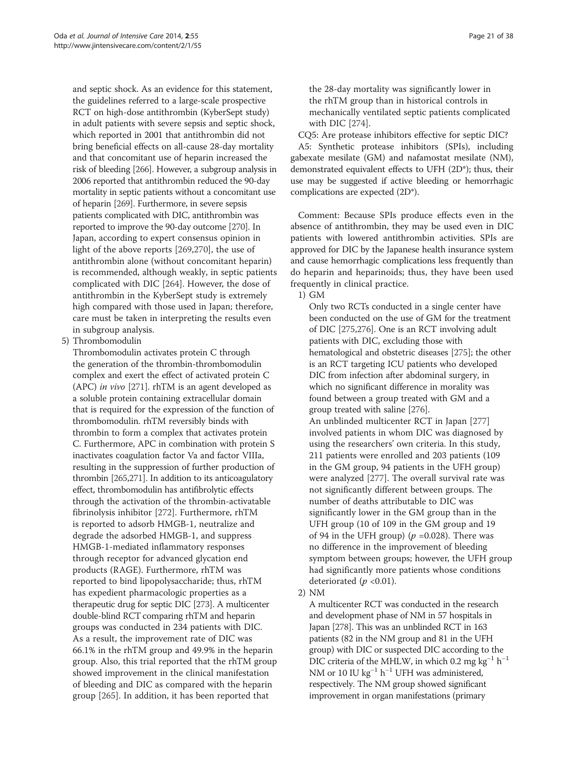and septic shock. As an evidence for this statement, the guidelines referred to a large-scale prospective RCT on high-dose antithrombin (KyberSept study) in adult patients with severe sepsis and septic shock, which reported in 2001 that antithrombin did not bring beneficial effects on all-cause 28-day mortality and that concomitant use of heparin increased the risk of bleeding [\[266](#page-35-0)]. However, a subgroup analysis in 2006 reported that antithrombin reduced the 90-day mortality in septic patients without a concomitant use of heparin [\[269](#page-35-0)]. Furthermore, in severe sepsis patients complicated with DIC, antithrombin was reported to improve the 90-day outcome [[270](#page-35-0)]. In Japan, according to expert consensus opinion in light of the above reports [[269](#page-35-0),[270](#page-35-0)], the use of antithrombin alone (without concomitant heparin) is recommended, although weakly, in septic patients complicated with DIC [\[264](#page-35-0)]. However, the dose of antithrombin in the KyberSept study is extremely high compared with those used in Japan; therefore, care must be taken in interpreting the results even in subgroup analysis.

5) Thrombomodulin

Thrombomodulin activates protein C through the generation of the thrombin-thrombomodulin complex and exert the effect of activated protein C (APC) in vivo [\[271\]](#page-35-0). rhTM is an agent developed as a soluble protein containing extracellular domain that is required for the expression of the function of thrombomodulin. rhTM reversibly binds with thrombin to form a complex that activates protein C. Furthermore, APC in combination with protein S inactivates coagulation factor Va and factor VIIIa, resulting in the suppression of further production of thrombin [\[265,271\]](#page-35-0). In addition to its anticoagulatory effect, thrombomodulin has antifibrolytic effects through the activation of the thrombin-activatable fibrinolysis inhibitor [[272](#page-35-0)]. Furthermore, rhTM is reported to adsorb HMGB-1, neutralize and degrade the adsorbed HMGB-1, and suppress HMGB-1-mediated inflammatory responses through receptor for advanced glycation end products (RAGE). Furthermore, rhTM was reported to bind lipopolysaccharide; thus, rhTM has expedient pharmacologic properties as a therapeutic drug for septic DIC [[273\]](#page-35-0). A multicenter double-blind RCT comparing rhTM and heparin groups was conducted in 234 patients with DIC. As a result, the improvement rate of DIC was 66.1% in the rhTM group and 49.9% in the heparin group. Also, this trial reported that the rhTM group showed improvement in the clinical manifestation of bleeding and DIC as compared with the heparin group [[265](#page-35-0)]. In addition, it has been reported that

the 28-day mortality was significantly lower in the rhTM group than in historical controls in mechanically ventilated septic patients complicated with DIC [[274](#page-35-0)].

CQ5: Are protease inhibitors effective for septic DIC?

A5: Synthetic protease inhibitors (SPIs), including gabexate mesilate (GM) and nafamostat mesilate (NM), demonstrated equivalent effects to UFH (2D\*); thus, their use may be suggested if active bleeding or hemorrhagic complications are expected (2D\*).

Comment: Because SPIs produce effects even in the absence of antithrombin, they may be used even in DIC patients with lowered antithrombin activities. SPIs are approved for DIC by the Japanese health insurance system and cause hemorrhagic complications less frequently than do heparin and heparinoids; thus, they have been used frequently in clinical practice.

1) GM

Only two RCTs conducted in a single center have been conducted on the use of GM for the treatment of DIC [[275](#page-35-0),[276](#page-35-0)]. One is an RCT involving adult patients with DIC, excluding those with hematological and obstetric diseases [\[275\]](#page-35-0); the other is an RCT targeting ICU patients who developed DIC from infection after abdominal surgery, in which no significant difference in morality was found between a group treated with GM and a group treated with saline [\[276\]](#page-35-0). An unblinded multicenter RCT in Japan [[277\]](#page-35-0) involved patients in whom DIC was diagnosed by using the researchers' own criteria. In this study, 211 patients were enrolled and 203 patients (109 in the GM group, 94 patients in the UFH group) were analyzed [\[277\]](#page-35-0). The overall survival rate was not significantly different between groups. The number of deaths attributable to DIC was significantly lower in the GM group than in the UFH group (10 of 109 in the GM group and 19 of 94 in the UFH group) ( $p = 0.028$ ). There was no difference in the improvement of bleeding symptom between groups; however, the UFH group had significantly more patients whose conditions deteriorated ( $p < 0.01$ ).

2) NM

A multicenter RCT was conducted in the research and development phase of NM in 57 hospitals in Japan [\[278\]](#page-35-0). This was an unblinded RCT in 163 patients (82 in the NM group and 81 in the UFH group) with DIC or suspected DIC according to the DIC criteria of the MHLW, in which 0.2 mg kg<sup>-1</sup> h<sup>-1</sup> NM or 10 IU kg<sup>-1</sup> h<sup>-1</sup> UFH was administered, respectively. The NM group showed significant improvement in organ manifestations (primary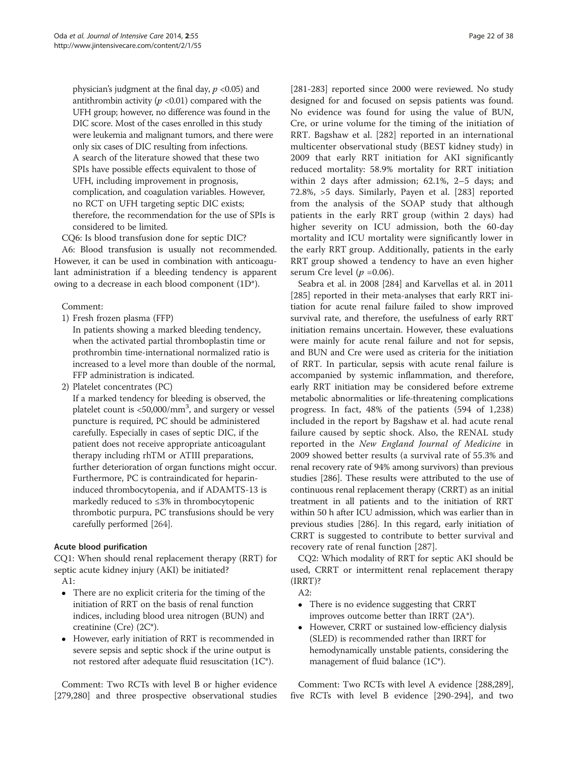physician's judgment at the final day,  $p < 0.05$ ) and antithrombin activity ( $p$  <0.01) compared with the UFH group; however, no difference was found in the DIC score. Most of the cases enrolled in this study were leukemia and malignant tumors, and there were only six cases of DIC resulting from infections. A search of the literature showed that these two SPIs have possible effects equivalent to those of UFH, including improvement in prognosis, complication, and coagulation variables. However, no RCT on UFH targeting septic DIC exists; therefore, the recommendation for the use of SPIs is considered to be limited.

CQ6: Is blood transfusion done for septic DIC? A6: Blood transfusion is usually not recommended. However, it can be used in combination with anticoagulant administration if a bleeding tendency is apparent owing to a decrease in each blood component (1D\*).

Comment:

- 1) Fresh frozen plasma (FFP)
	- In patients showing a marked bleeding tendency, when the activated partial thromboplastin time or prothrombin time-international normalized ratio is increased to a level more than double of the normal, FFP administration is indicated.
- 2) Platelet concentrates (PC)

If a marked tendency for bleeding is observed, the platelet count is  $<$ 50,000/mm<sup>3</sup>, and surgery or vessel puncture is required, PC should be administered carefully. Especially in cases of septic DIC, if the patient does not receive appropriate anticoagulant therapy including rhTM or ATIII preparations, further deterioration of organ functions might occur. Furthermore, PC is contraindicated for heparininduced thrombocytopenia, and if ADAMTS-13 is markedly reduced to ≤3% in thrombocytopenic thrombotic purpura, PC transfusions should be very carefully performed [\[264\]](#page-35-0).

#### Acute blood purification

CQ1: When should renal replacement therapy (RRT) for septic acute kidney injury (AKI) be initiated?

A1:

- There are no explicit criteria for the timing of the initiation of RRT on the basis of renal function indices, including blood urea nitrogen (BUN) and creatinine (Cre) (2C\*).
- However, early initiation of RRT is recommended in severe sepsis and septic shock if the urine output is not restored after adequate fluid resuscitation (1C\*).

Comment: Two RCTs with level B or higher evidence [[279,280](#page-35-0)] and three prospective observational studies

[[281-283\]](#page-35-0) reported since 2000 were reviewed. No study designed for and focused on sepsis patients was found. No evidence was found for using the value of BUN, Cre, or urine volume for the timing of the initiation of RRT. Bagshaw et al. [[282\]](#page-35-0) reported in an international multicenter observational study (BEST kidney study) in 2009 that early RRT initiation for AKI significantly reduced mortality: 58.9% mortality for RRT initiation within 2 days after admission; 62.1%, 2–5 days; and 72.8%, >5 days. Similarly, Payen et al. [[283\]](#page-35-0) reported from the analysis of the SOAP study that although patients in the early RRT group (within 2 days) had higher severity on ICU admission, both the 60-day mortality and ICU mortality were significantly lower in the early RRT group. Additionally, patients in the early RRT group showed a tendency to have an even higher serum Cre level ( $p = 0.06$ ).

Seabra et al. in 2008 [[284\]](#page-35-0) and Karvellas et al. in 2011 [[285\]](#page-35-0) reported in their meta-analyses that early RRT initiation for acute renal failure failed to show improved survival rate, and therefore, the usefulness of early RRT initiation remains uncertain. However, these evaluations were mainly for acute renal failure and not for sepsis, and BUN and Cre were used as criteria for the initiation of RRT. In particular, sepsis with acute renal failure is accompanied by systemic inflammation, and therefore, early RRT initiation may be considered before extreme metabolic abnormalities or life-threatening complications progress. In fact, 48% of the patients (594 of 1,238) included in the report by Bagshaw et al. had acute renal failure caused by septic shock. Also, the RENAL study reported in the New England Journal of Medicine in 2009 showed better results (a survival rate of 55.3% and renal recovery rate of 94% among survivors) than previous studies [\[286\]](#page-35-0). These results were attributed to the use of continuous renal replacement therapy (CRRT) as an initial treatment in all patients and to the initiation of RRT within 50 h after ICU admission, which was earlier than in previous studies [\[286\]](#page-35-0). In this regard, early initiation of CRRT is suggested to contribute to better survival and recovery rate of renal function [[287](#page-35-0)].

CQ2: Which modality of RRT for septic AKI should be used, CRRT or intermittent renal replacement therapy (IRRT)?

A2:

- There is no evidence suggesting that CRRT improves outcome better than IRRT (2A\*).
- However, CRRT or sustained low-efficiency dialysis (SLED) is recommended rather than IRRT for hemodynamically unstable patients, considering the management of fluid balance (1C\*).

Comment: Two RCTs with level A evidence [[288](#page-35-0),[289](#page-35-0)], five RCTs with level B evidence [\[290](#page-35-0)[-294](#page-36-0)], and two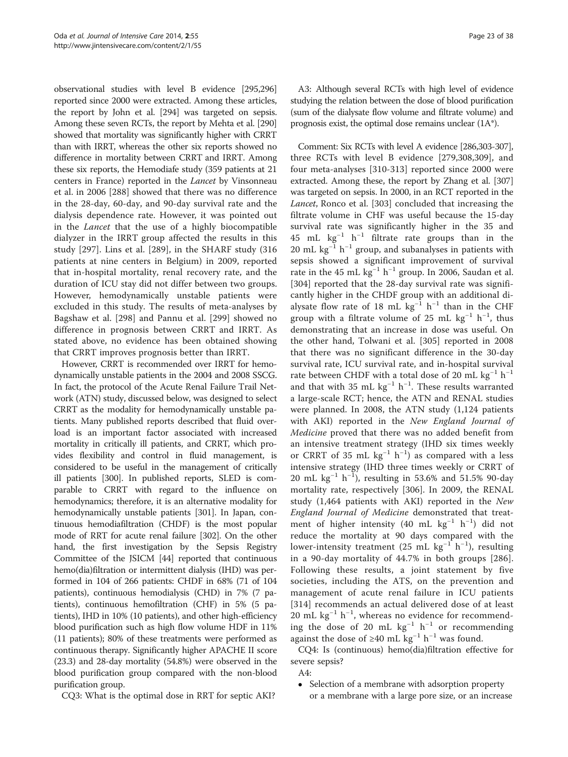observational studies with level B evidence [\[295,296](#page-36-0)] reported since 2000 were extracted. Among these articles, the report by John et al. [[294](#page-36-0)] was targeted on sepsis. Among these seven RCTs, the report by Mehta et al. [\[290](#page-35-0)] showed that mortality was significantly higher with CRRT than with IRRT, whereas the other six reports showed no difference in mortality between CRRT and IRRT. Among these six reports, the Hemodiafe study (359 patients at 21 centers in France) reported in the Lancet by Vinsonneau et al. in 2006 [[288\]](#page-35-0) showed that there was no difference in the 28-day, 60-day, and 90-day survival rate and the dialysis dependence rate. However, it was pointed out in the Lancet that the use of a highly biocompatible dialyzer in the IRRT group affected the results in this study [[297\]](#page-36-0). Lins et al. [[289\]](#page-35-0), in the SHARF study (316 patients at nine centers in Belgium) in 2009, reported that in-hospital mortality, renal recovery rate, and the duration of ICU stay did not differ between two groups. However, hemodynamically unstable patients were excluded in this study. The results of meta-analyses by Bagshaw et al. [[298](#page-36-0)] and Pannu et al. [[299](#page-36-0)] showed no difference in prognosis between CRRT and IRRT. As stated above, no evidence has been obtained showing that CRRT improves prognosis better than IRRT.

However, CRRT is recommended over IRRT for hemodynamically unstable patients in the 2004 and 2008 SSCG. In fact, the protocol of the Acute Renal Failure Trail Network (ATN) study, discussed below, was designed to select CRRT as the modality for hemodynamically unstable patients. Many published reports described that fluid overload is an important factor associated with increased mortality in critically ill patients, and CRRT, which provides flexibility and control in fluid management, is considered to be useful in the management of critically ill patients [[300](#page-36-0)]. In published reports, SLED is comparable to CRRT with regard to the influence on hemodynamics; therefore, it is an alternative modality for hemodynamically unstable patients [\[301\]](#page-36-0). In Japan, continuous hemodiafiltration (CHDF) is the most popular mode of RRT for acute renal failure [\[302](#page-36-0)]. On the other hand, the first investigation by the Sepsis Registry Committee of the JSICM [[44](#page-29-0)] reported that continuous hemo(dia)filtration or intermittent dialysis (IHD) was performed in 104 of 266 patients: CHDF in 68% (71 of 104 patients), continuous hemodialysis (CHD) in 7% (7 patients), continuous hemofiltration (CHF) in 5% (5 patients), IHD in 10% (10 patients), and other high-efficiency blood purification such as high flow volume HDF in 11% (11 patients); 80% of these treatments were performed as continuous therapy. Significantly higher APACHE II score (23.3) and 28-day mortality (54.8%) were observed in the blood purification group compared with the non-blood purification group.

CQ3: What is the optimal dose in RRT for septic AKI?

A3: Although several RCTs with high level of evidence studying the relation between the dose of blood purification (sum of the dialysate flow volume and filtrate volume) and prognosis exist, the optimal dose remains unclear (1A\*).

Comment: Six RCTs with level A evidence [[286,](#page-35-0)[303-307](#page-36-0)], three RCTs with level B evidence [[279](#page-35-0)[,308](#page-36-0),[309\]](#page-36-0), and four meta-analyses [[310-313](#page-36-0)] reported since 2000 were extracted. Among these, the report by Zhang et al. [\[307](#page-36-0)] was targeted on sepsis. In 2000, in an RCT reported in the Lancet, Ronco et al. [[303\]](#page-36-0) concluded that increasing the filtrate volume in CHF was useful because the 15-day survival rate was significantly higher in the 35 and 45 mL  $\text{kg}^{-1}$  h<sup>-1</sup> filtrate rate groups than in the 20 mL kg<sup>-1</sup> h<sup>-1</sup> group, and subanalyses in patients with sepsis showed a significant improvement of survival rate in the 45 mL kg<sup>-1</sup> h<sup>-1</sup> group. In 2006, Saudan et al. [[304\]](#page-36-0) reported that the 28-day survival rate was significantly higher in the CHDF group with an additional dialysate flow rate of 18 mL kg<sup>-1</sup> h<sup>-1</sup> than in the CHF group with a filtrate volume of 25 mL  $kg^{-1} h^{-1}$ , thus demonstrating that an increase in dose was useful. On the other hand, Tolwani et al. [\[305](#page-36-0)] reported in 2008 that there was no significant difference in the 30-day survival rate, ICU survival rate, and in-hospital survival rate between CHDF with a total dose of 20 mL kg<sup>-1</sup> h<sup>-1</sup> and that with 35 mL  $\text{kg}^{-1}$  h<sup>-1</sup>. These results warranted a large-scale RCT; hence, the ATN and RENAL studies were planned. In 2008, the ATN study (1,124 patients with AKI) reported in the New England Journal of Medicine proved that there was no added benefit from an intensive treatment strategy (IHD six times weekly or CRRT of 35 mL  $kg^{-1} h^{-1}$ ) as compared with a less intensive strategy (IHD three times weekly or CRRT of 20 mL kg<sup>-1</sup> h<sup>-1</sup>), resulting in 53.6% and 51.5% 90-day mortality rate, respectively [\[306](#page-36-0)]. In 2009, the RENAL study (1,464 patients with AKI) reported in the New England Journal of Medicine demonstrated that treatment of higher intensity (40 mL kg<sup>-1</sup> h<sup>-1</sup>) did not reduce the mortality at 90 days compared with the lower-intensity treatment (25 mL  $kg^{-1} h^{-1}$ ), resulting in a 90-day mortality of 44.7% in both groups [[286](#page-35-0)]. Following these results, a joint statement by five societies, including the ATS, on the prevention and management of acute renal failure in ICU patients [[314](#page-36-0)] recommends an actual delivered dose of at least 20 mL kg<sup>-1</sup> h<sup>-1</sup>, whereas no evidence for recommending the dose of 20 mL kg<sup>-1</sup> h<sup>-1</sup> or recommending against the dose of ≥40 mL  $\text{kg}^{-1}$  h<sup>-1</sup> was found.

CQ4: Is (continuous) hemo(dia)filtration effective for severe sepsis?

A4:

 Selection of a membrane with adsorption property or a membrane with a large pore size, or an increase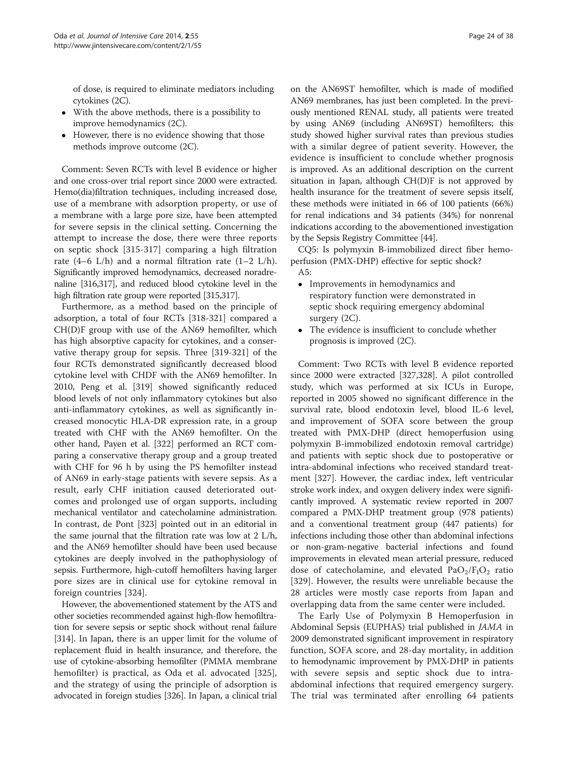of dose, is required to eliminate mediators including cytokines (2C).

- With the above methods, there is a possibility to improve hemodynamics (2C).
- However, there is no evidence showing that those methods improve outcome (2C).

Comment: Seven RCTs with level B evidence or higher and one cross-over trial report since 2000 were extracted. Hemo(dia)filtration techniques, including increased dose, use of a membrane with adsorption property, or use of a membrane with a large pore size, have been attempted for severe sepsis in the clinical setting. Concerning the attempt to increase the dose, there were three reports on septic shock [\[315](#page-36-0)-[317\]](#page-36-0) comparing a high filtration rate  $(4-6 \text{ L/h})$  and a normal filtration rate  $(1-2 \text{ L/h})$ . Significantly improved hemodynamics, decreased noradrenaline [\[316,317\]](#page-36-0), and reduced blood cytokine level in the high filtration rate group were reported [\[315,317](#page-36-0)].

Furthermore, as a method based on the principle of adsorption, a total of four RCTs [[318-321\]](#page-36-0) compared a CH(D)F group with use of the AN69 hemofilter, which has high absorptive capacity for cytokines, and a conservative therapy group for sepsis. Three [\[319-321\]](#page-36-0) of the four RCTs demonstrated significantly decreased blood cytokine level with CHDF with the AN69 hemofilter. In 2010, Peng et al. [\[319](#page-36-0)] showed significantly reduced blood levels of not only inflammatory cytokines but also anti-inflammatory cytokines, as well as significantly increased monocytic HLA-DR expression rate, in a group treated with CHF with the AN69 hemofilter. On the other hand, Payen et al. [[322](#page-36-0)] performed an RCT comparing a conservative therapy group and a group treated with CHF for 96 h by using the PS hemofilter instead of AN69 in early-stage patients with severe sepsis. As a result, early CHF initiation caused deteriorated outcomes and prolonged use of organ supports, including mechanical ventilator and catecholamine administration. In contrast, de Pont [\[323\]](#page-36-0) pointed out in an editorial in the same journal that the filtration rate was low at 2 L/h, and the AN69 hemofilter should have been used because cytokines are deeply involved in the pathophysiology of sepsis. Furthermore, high-cutoff hemofilters having larger pore sizes are in clinical use for cytokine removal in foreign countries [[324\]](#page-36-0).

However, the abovementioned statement by the ATS and other societies recommended against high-flow hemofiltration for severe sepsis or septic shock without renal failure [[314](#page-36-0)]. In Japan, there is an upper limit for the volume of replacement fluid in health insurance, and therefore, the use of cytokine-absorbing hemofilter (PMMA membrane hemofilter) is practical, as Oda et al. advocated [[325](#page-36-0)], and the strategy of using the principle of adsorption is advocated in foreign studies [\[326\]](#page-36-0). In Japan, a clinical trial

on the AN69ST hemofilter, which is made of modified AN69 membranes, has just been completed. In the previously mentioned RENAL study, all patients were treated by using AN69 (including AN69ST) hemofilters; this study showed higher survival rates than previous studies with a similar degree of patient severity. However, the evidence is insufficient to conclude whether prognosis is improved. As an additional description on the current situation in Japan, although CH(D)F is not approved by health insurance for the treatment of severe sepsis itself, these methods were initiated in 66 of 100 patients (66%) for renal indications and 34 patients (34%) for nonrenal indications according to the abovementioned investigation by the Sepsis Registry Committee [\[44\]](#page-29-0).

CQ5: Is polymyxin B-immobilized direct fiber hemoperfusion (PMX-DHP) effective for septic shock? A5:

- Improvements in hemodynamics and respiratory function were demonstrated in septic shock requiring emergency abdominal surgery (2C).
- The evidence is insufficient to conclude whether prognosis is improved (2C).

Comment: Two RCTs with level B evidence reported since 2000 were extracted [[327,328](#page-36-0)]. A pilot controlled study, which was performed at six ICUs in Europe, reported in 2005 showed no significant difference in the survival rate, blood endotoxin level, blood IL-6 level, and improvement of SOFA score between the group treated with PMX-DHP (direct hemoperfusion using polymyxin B-immobilized endotoxin removal cartridge) and patients with septic shock due to postoperative or intra-abdominal infections who received standard treatment [[327\]](#page-36-0). However, the cardiac index, left ventricular stroke work index, and oxygen delivery index were significantly improved. A systematic review reported in 2007 compared a PMX-DHP treatment group (978 patients) and a conventional treatment group (447 patients) for infections including those other than abdominal infections or non-gram-negative bacterial infections and found improvements in elevated mean arterial pressure, reduced dose of catecholamine, and elevated  $PaO<sub>2</sub>/F<sub>1</sub>O<sub>2</sub>$  ratio [[329\]](#page-36-0). However, the results were unreliable because the 28 articles were mostly case reports from Japan and overlapping data from the same center were included.

The Early Use of Polymyxin B Hemoperfusion in Abdominal Sepsis (EUPHAS) trial published in JAMA in 2009 demonstrated significant improvement in respiratory function, SOFA score, and 28-day mortality, in addition to hemodynamic improvement by PMX-DHP in patients with severe sepsis and septic shock due to intraabdominal infections that required emergency surgery. The trial was terminated after enrolling 64 patients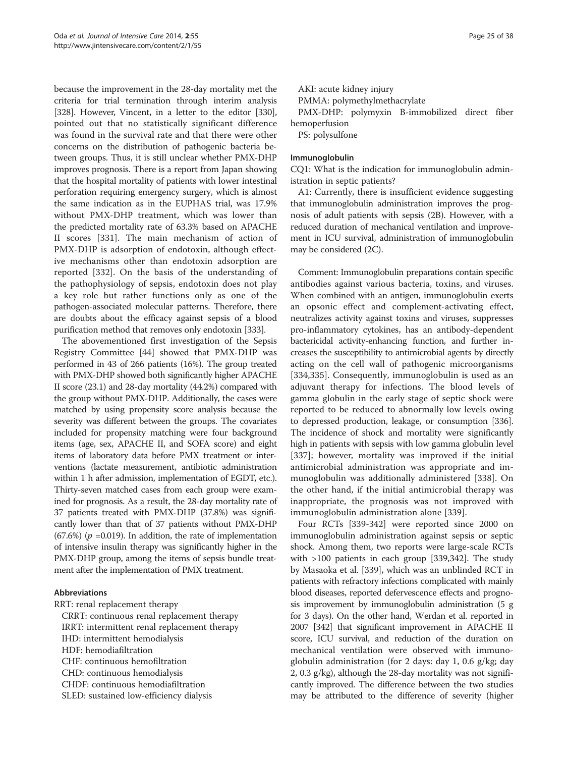because the improvement in the 28-day mortality met the criteria for trial termination through interim analysis [[328](#page-36-0)]. However, Vincent, in a letter to the editor [[330](#page-36-0)], pointed out that no statistically significant difference was found in the survival rate and that there were other concerns on the distribution of pathogenic bacteria between groups. Thus, it is still unclear whether PMX-DHP improves prognosis. There is a report from Japan showing that the hospital mortality of patients with lower intestinal perforation requiring emergency surgery, which is almost the same indication as in the EUPHAS trial, was 17.9% without PMX-DHP treatment, which was lower than the predicted mortality rate of 63.3% based on APACHE II scores [\[331](#page-36-0)]. The main mechanism of action of PMX-DHP is adsorption of endotoxin, although effective mechanisms other than endotoxin adsorption are reported [\[332](#page-37-0)]. On the basis of the understanding of the pathophysiology of sepsis, endotoxin does not play a key role but rather functions only as one of the pathogen-associated molecular patterns. Therefore, there are doubts about the efficacy against sepsis of a blood purification method that removes only endotoxin [\[333\]](#page-37-0).

The abovementioned first investigation of the Sepsis Registry Committee [\[44](#page-29-0)] showed that PMX-DHP was performed in 43 of 266 patients (16%). The group treated with PMX-DHP showed both significantly higher APACHE II score (23.1) and 28-day mortality (44.2%) compared with the group without PMX-DHP. Additionally, the cases were matched by using propensity score analysis because the severity was different between the groups. The covariates included for propensity matching were four background items (age, sex, APACHE II, and SOFA score) and eight items of laboratory data before PMX treatment or interventions (lactate measurement, antibiotic administration within 1 h after admission, implementation of EGDT, etc.). Thirty-seven matched cases from each group were examined for prognosis. As a result, the 28-day mortality rate of 37 patients treated with PMX-DHP (37.8%) was significantly lower than that of 37 patients without PMX-DHP (67.6%) ( $p = 0.019$ ). In addition, the rate of implementation of intensive insulin therapy was significantly higher in the PMX-DHP group, among the items of sepsis bundle treatment after the implementation of PMX treatment.

#### Abbreviations

RRT: renal replacement therapy CRRT: continuous renal replacement therapy

IRRT: intermittent renal replacement therapy

IHD: intermittent hemodialysis

HDF: hemodiafiltration

CHF: continuous hemofiltration

CHD: continuous hemodialysis

CHDF: continuous hemodiafiltration

SLED: sustained low-efficiency dialysis

AKI: acute kidney injury

PMMA: polymethylmethacrylate

PMX-DHP: polymyxin B-immobilized direct fiber hemoperfusion

PS: polysulfone

#### Immunoglobulin

CQ1: What is the indication for immunoglobulin administration in septic patients?

A1: Currently, there is insufficient evidence suggesting that immunoglobulin administration improves the prognosis of adult patients with sepsis (2B). However, with a reduced duration of mechanical ventilation and improvement in ICU survival, administration of immunoglobulin may be considered (2C).

Comment: Immunoglobulin preparations contain specific antibodies against various bacteria, toxins, and viruses. When combined with an antigen, immunoglobulin exerts an opsonic effect and complement-activating effect, neutralizes activity against toxins and viruses, suppresses pro-inflammatory cytokines, has an antibody-dependent bactericidal activity-enhancing function, and further increases the susceptibility to antimicrobial agents by directly acting on the cell wall of pathogenic microorganisms [[334,335](#page-37-0)]. Consequently, immunoglobulin is used as an adjuvant therapy for infections. The blood levels of gamma globulin in the early stage of septic shock were reported to be reduced to abnormally low levels owing to depressed production, leakage, or consumption [[336](#page-37-0)]. The incidence of shock and mortality were significantly high in patients with sepsis with low gamma globulin level [[337](#page-37-0)]; however, mortality was improved if the initial antimicrobial administration was appropriate and immunoglobulin was additionally administered [[338\]](#page-37-0). On the other hand, if the initial antimicrobial therapy was inappropriate, the prognosis was not improved with immunoglobulin administration alone [\[339](#page-37-0)].

Four RCTs [[339-342\]](#page-37-0) were reported since 2000 on immunoglobulin administration against sepsis or septic shock. Among them, two reports were large-scale RCTs with >100 patients in each group [[339,342](#page-37-0)]. The study by Masaoka et al. [\[339](#page-37-0)], which was an unblinded RCT in patients with refractory infections complicated with mainly blood diseases, reported defervescence effects and prognosis improvement by immunoglobulin administration (5 g for 3 days). On the other hand, Werdan et al. reported in 2007 [[342\]](#page-37-0) that significant improvement in APACHE II score, ICU survival, and reduction of the duration on mechanical ventilation were observed with immunoglobulin administration (for 2 days: day 1, 0.6 g/kg; day 2, 0.3 g/kg), although the 28-day mortality was not significantly improved. The difference between the two studies may be attributed to the difference of severity (higher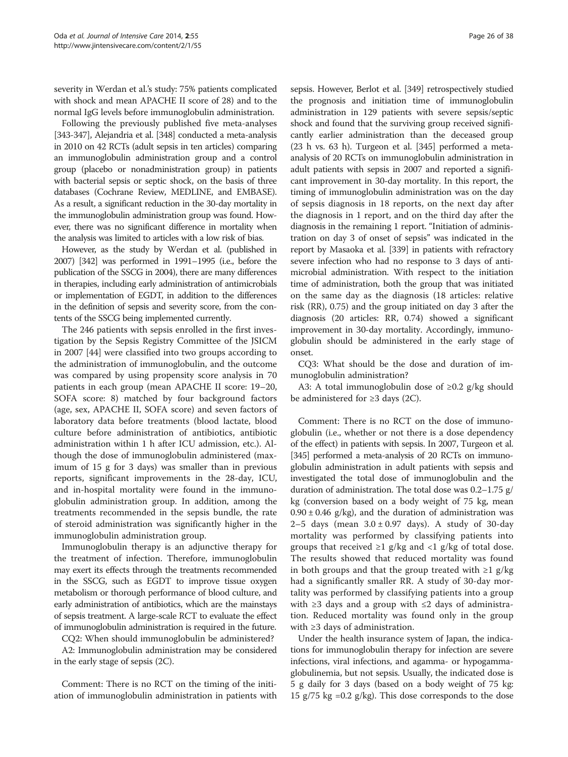severity in Werdan et al.'s study: 75% patients complicated with shock and mean APACHE II score of 28) and to the normal IgG levels before immunoglobulin administration.

Following the previously published five meta-analyses [[343-347](#page-37-0)], Alejandria et al. [[348\]](#page-37-0) conducted a meta-analysis in 2010 on 42 RCTs (adult sepsis in ten articles) comparing an immunoglobulin administration group and a control group (placebo or nonadministration group) in patients with bacterial sepsis or septic shock, on the basis of three databases (Cochrane Review, MEDLINE, and EMBASE). As a result, a significant reduction in the 30-day mortality in the immunoglobulin administration group was found. However, there was no significant difference in mortality when the analysis was limited to articles with a low risk of bias.

However, as the study by Werdan et al. (published in 2007) [[342\]](#page-37-0) was performed in 1991–1995 (i.e., before the publication of the SSCG in 2004), there are many differences in therapies, including early administration of antimicrobials or implementation of EGDT, in addition to the differences in the definition of sepsis and severity score, from the contents of the SSCG being implemented currently.

The 246 patients with sepsis enrolled in the first investigation by the Sepsis Registry Committee of the JSICM in 2007 [\[44](#page-29-0)] were classified into two groups according to the administration of immunoglobulin, and the outcome was compared by using propensity score analysis in 70 patients in each group (mean APACHE II score: 19–20, SOFA score: 8) matched by four background factors (age, sex, APACHE II, SOFA score) and seven factors of laboratory data before treatments (blood lactate, blood culture before administration of antibiotics, antibiotic administration within 1 h after ICU admission, etc.). Although the dose of immunoglobulin administered (maximum of 15 g for 3 days) was smaller than in previous reports, significant improvements in the 28-day, ICU, and in-hospital mortality were found in the immunoglobulin administration group. In addition, among the treatments recommended in the sepsis bundle, the rate of steroid administration was significantly higher in the immunoglobulin administration group.

Immunoglobulin therapy is an adjunctive therapy for the treatment of infection. Therefore, immunoglobulin may exert its effects through the treatments recommended in the SSCG, such as EGDT to improve tissue oxygen metabolism or thorough performance of blood culture, and early administration of antibiotics, which are the mainstays of sepsis treatment. A large-scale RCT to evaluate the effect of immunoglobulin administration is required in the future.

CQ2: When should immunoglobulin be administered?

A2: Immunoglobulin administration may be considered in the early stage of sepsis (2C).

Comment: There is no RCT on the timing of the initiation of immunoglobulin administration in patients with

sepsis. However, Berlot et al. [\[349\]](#page-37-0) retrospectively studied the prognosis and initiation time of immunoglobulin administration in 129 patients with severe sepsis/septic shock and found that the surviving group received significantly earlier administration than the deceased group (23 h vs. 63 h). Turgeon et al. [\[345\]](#page-37-0) performed a metaanalysis of 20 RCTs on immunoglobulin administration in adult patients with sepsis in 2007 and reported a significant improvement in 30-day mortality. In this report, the timing of immunoglobulin administration was on the day of sepsis diagnosis in 18 reports, on the next day after the diagnosis in 1 report, and on the third day after the diagnosis in the remaining 1 report. "Initiation of administration on day 3 of onset of sepsis" was indicated in the report by Masaoka et al. [\[339\]](#page-37-0) in patients with refractory severe infection who had no response to 3 days of antimicrobial administration. With respect to the initiation time of administration, both the group that was initiated on the same day as the diagnosis (18 articles: relative risk (RR), 0.75) and the group initiated on day 3 after the diagnosis (20 articles: RR, 0.74) showed a significant improvement in 30-day mortality. Accordingly, immunoglobulin should be administered in the early stage of onset.

CQ3: What should be the dose and duration of immunoglobulin administration?

A3: A total immunoglobulin dose of ≥0.2 g/kg should be administered for  $\geq$ 3 days (2C).

Comment: There is no RCT on the dose of immunoglobulin (i.e., whether or not there is a dose dependency of the effect) in patients with sepsis. In 2007, Turgeon et al. [[345\]](#page-37-0) performed a meta-analysis of 20 RCTs on immunoglobulin administration in adult patients with sepsis and investigated the total dose of immunoglobulin and the duration of administration. The total dose was 0.2–1.75 g/ kg (conversion based on a body weight of 75 kg, mean  $0.90 \pm 0.46$  g/kg), and the duration of administration was 2–5 days (mean  $3.0 \pm 0.97$  days). A study of 30-day mortality was performed by classifying patients into groups that received  $\geq 1$  g/kg and <1 g/kg of total dose. The results showed that reduced mortality was found in both groups and that the group treated with ≥1 g/kg had a significantly smaller RR. A study of 30-day mortality was performed by classifying patients into a group with ≥3 days and a group with ≤2 days of administration. Reduced mortality was found only in the group with ≥3 days of administration.

Under the health insurance system of Japan, the indications for immunoglobulin therapy for infection are severe infections, viral infections, and agamma- or hypogammaglobulinemia, but not sepsis. Usually, the indicated dose is 5 g daily for 3 days (based on a body weight of 75 kg: 15 g/75 kg =0.2 g/kg). This dose corresponds to the dose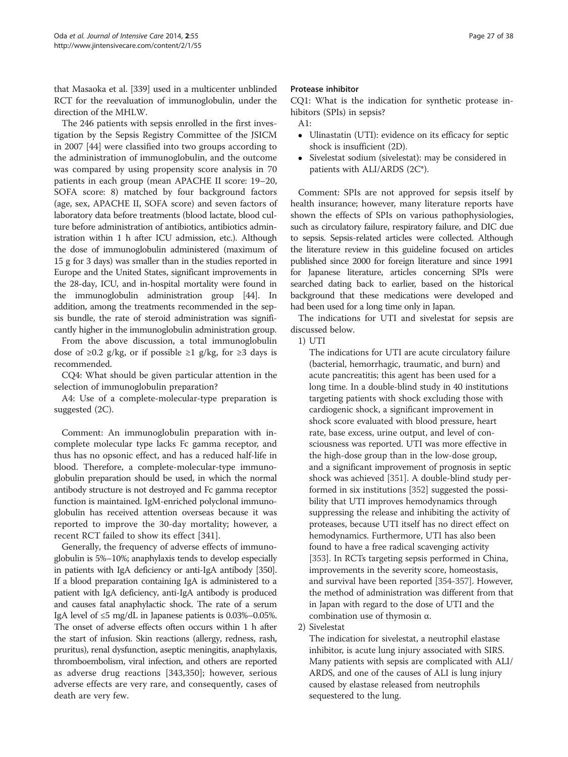that Masaoka et al. [\[339](#page-37-0)] used in a multicenter unblinded RCT for the reevaluation of immunoglobulin, under the direction of the MHLW.

The 246 patients with sepsis enrolled in the first investigation by the Sepsis Registry Committee of the JSICM in 2007 [\[44](#page-29-0)] were classified into two groups according to the administration of immunoglobulin, and the outcome was compared by using propensity score analysis in 70 patients in each group (mean APACHE II score: 19–20, SOFA score: 8) matched by four background factors (age, sex, APACHE II, SOFA score) and seven factors of laboratory data before treatments (blood lactate, blood culture before administration of antibiotics, antibiotics administration within 1 h after ICU admission, etc.). Although the dose of immunoglobulin administered (maximum of 15 g for 3 days) was smaller than in the studies reported in Europe and the United States, significant improvements in the 28-day, ICU, and in-hospital mortality were found in the immunoglobulin administration group [[44](#page-29-0)]. In addition, among the treatments recommended in the sepsis bundle, the rate of steroid administration was significantly higher in the immunoglobulin administration group.

From the above discussion, a total immunoglobulin dose of ≥0.2 g/kg, or if possible ≥1 g/kg, for ≥3 days is recommended.

CQ4: What should be given particular attention in the selection of immunoglobulin preparation?

A4: Use of a complete-molecular-type preparation is suggested (2C).

Comment: An immunoglobulin preparation with incomplete molecular type lacks Fc gamma receptor, and thus has no opsonic effect, and has a reduced half-life in blood. Therefore, a complete-molecular-type immunoglobulin preparation should be used, in which the normal antibody structure is not destroyed and Fc gamma receptor function is maintained. IgM-enriched polyclonal immunoglobulin has received attention overseas because it was reported to improve the 30-day mortality; however, a recent RCT failed to show its effect [[341\]](#page-37-0).

Generally, the frequency of adverse effects of immunoglobulin is 5%–10%; anaphylaxis tends to develop especially in patients with IgA deficiency or anti-IgA antibody [\[350](#page-37-0)]. If a blood preparation containing IgA is administered to a patient with IgA deficiency, anti-IgA antibody is produced and causes fatal anaphylactic shock. The rate of a serum IgA level of  $\leq$ 5 mg/dL in Japanese patients is 0.03%–0.05%. The onset of adverse effects often occurs within 1 h after the start of infusion. Skin reactions (allergy, redness, rash, pruritus), renal dysfunction, aseptic meningitis, anaphylaxis, thromboembolism, viral infection, and others are reported as adverse drug reactions [[343,350](#page-37-0)]; however, serious adverse effects are very rare, and consequently, cases of death are very few.

#### Protease inhibitor

CQ1: What is the indication for synthetic protease inhibitors (SPIs) in sepsis?

A1:

- Ulinastatin (UTI): evidence on its efficacy for septic shock is insufficient (2D).
- Sivelestat sodium (sivelestat): may be considered in patients with ALI/ARDS (2C\*).

Comment: SPIs are not approved for sepsis itself by health insurance; however, many literature reports have shown the effects of SPIs on various pathophysiologies, such as circulatory failure, respiratory failure, and DIC due to sepsis. Sepsis-related articles were collected. Although the literature review in this guideline focused on articles published since 2000 for foreign literature and since 1991 for Japanese literature, articles concerning SPIs were searched dating back to earlier, based on the historical background that these medications were developed and had been used for a long time only in Japan.

The indications for UTI and sivelestat for sepsis are discussed below.

1) UTI

The indications for UTI are acute circulatory failure (bacterial, hemorrhagic, traumatic, and burn) and acute pancreatitis; this agent has been used for a long time. In a double-blind study in 40 institutions targeting patients with shock excluding those with cardiogenic shock, a significant improvement in shock score evaluated with blood pressure, heart rate, base excess, urine output, and level of consciousness was reported. UTI was more effective in the high-dose group than in the low-dose group, and a significant improvement of prognosis in septic shock was achieved [\[351\]](#page-37-0). A double-blind study performed in six institutions [[352](#page-37-0)] suggested the possibility that UTI improves hemodynamics through suppressing the release and inhibiting the activity of proteases, because UTI itself has no direct effect on hemodynamics. Furthermore, UTI has also been found to have a free radical scavenging activity [[353\]](#page-37-0). In RCTs targeting sepsis performed in China, improvements in the severity score, homeostasis, and survival have been reported [\[354-357\]](#page-37-0). However, the method of administration was different from that in Japan with regard to the dose of UTI and the combination use of thymosin α.

2) Sivelestat

The indication for sivelestat, a neutrophil elastase inhibitor, is acute lung injury associated with SIRS. Many patients with sepsis are complicated with ALI/ ARDS, and one of the causes of ALI is lung injury caused by elastase released from neutrophils sequestered to the lung.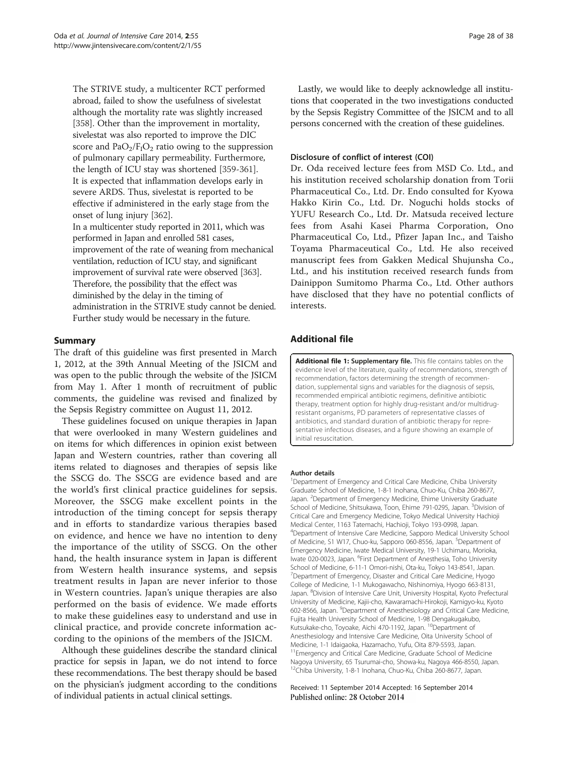<span id="page-27-0"></span>The STRIVE study, a multicenter RCT performed abroad, failed to show the usefulness of sivelestat although the mortality rate was slightly increased [\[358\]](#page-37-0). Other than the improvement in mortality, sivelestat was also reported to improve the DIC score and  $PaO<sub>2</sub>/F<sub>1</sub>O<sub>2</sub>$  ratio owing to the suppression of pulmonary capillary permeability. Furthermore, the length of ICU stay was shortened [\[359-361\]](#page-37-0). It is expected that inflammation develops early in severe ARDS. Thus, sivelestat is reported to be effective if administered in the early stage from the onset of lung injury [\[362\]](#page-37-0). In a multicenter study reported in 2011, which was

performed in Japan and enrolled 581 cases, improvement of the rate of weaning from mechanical ventilation, reduction of ICU stay, and significant improvement of survival rate were observed [\[363](#page-37-0)]. Therefore, the possibility that the effect was diminished by the delay in the timing of administration in the STRIVE study cannot be denied. Further study would be necessary in the future.

#### Summary

The draft of this guideline was first presented in March 1, 2012, at the 39th Annual Meeting of the JSICM and was open to the public through the website of the JSICM from May 1. After 1 month of recruitment of public comments, the guideline was revised and finalized by the Sepsis Registry committee on August 11, 2012.

These guidelines focused on unique therapies in Japan that were overlooked in many Western guidelines and on items for which differences in opinion exist between Japan and Western countries, rather than covering all items related to diagnoses and therapies of sepsis like the SSCG do. The SSCG are evidence based and are the world's first clinical practice guidelines for sepsis. Moreover, the SSCG make excellent points in the introduction of the timing concept for sepsis therapy and in efforts to standardize various therapies based on evidence, and hence we have no intention to deny the importance of the utility of SSCG. On the other hand, the health insurance system in Japan is different from Western health insurance systems, and sepsis treatment results in Japan are never inferior to those in Western countries. Japan's unique therapies are also performed on the basis of evidence. We made efforts to make these guidelines easy to understand and use in clinical practice, and provide concrete information according to the opinions of the members of the JSICM.

Although these guidelines describe the standard clinical practice for sepsis in Japan, we do not intend to force these recommendations. The best therapy should be based on the physician's judgment according to the conditions of individual patients in actual clinical settings.

Lastly, we would like to deeply acknowledge all institutions that cooperated in the two investigations conducted by the Sepsis Registry Committee of the JSICM and to all persons concerned with the creation of these guidelines.

#### Disclosure of conflict of interest (COI)

Dr. Oda received lecture fees from MSD Co. Ltd., and his institution received scholarship donation from Torii Pharmaceutical Co., Ltd. Dr. Endo consulted for Kyowa Hakko Kirin Co., Ltd. Dr. Noguchi holds stocks of YUFU Research Co., Ltd. Dr. Matsuda received lecture fees from Asahi Kasei Pharma Corporation, Ono Pharmaceutical Co, Ltd., Pfizer Japan Inc., and Taisho Toyama Pharmaceutical Co., Ltd. He also received manuscript fees from Gakken Medical Shujunsha Co., Ltd., and his institution received research funds from Dainippon Sumitomo Pharma Co., Ltd. Other authors have disclosed that they have no potential conflicts of interests.

#### Additional file

[Additional file 1:](http://www.jintensivecare.com/content/supplementary/s40560-014-0055-2-s1.docx) Supplementary file. This file contains tables on the evidence level of the literature, quality of recommendations, strength of recommendation, factors determining the strength of recommendation, supplemental signs and variables for the diagnosis of sepsis, recommended empirical antibiotic regimens, definitive antibiotic therapy, treatment option for highly drug-resistant and/or multidrugresistant organisms, PD parameters of representative classes of antibiotics, and standard duration of antibiotic therapy for representative infectious diseases, and a figure showing an example of initial resuscitation.

#### Author details

<sup>1</sup>Department of Emergency and Critical Care Medicine, Chiba University Graduate School of Medicine, 1-8-1 Inohana, Chuo-Ku, Chiba 260-8677, Japan. <sup>2</sup> Department of Emergency Medicine, Ehime University Graduate School of Medicine, Shitsukawa, Toon, Ehime 791-0295, Japan. <sup>3</sup>Division of Critical Care and Emergency Medicine, Tokyo Medical University Hachioji Medical Center, 1163 Tatemachi, Hachioji, Tokyo 193-0998, Japan. 4 Department of Intensive Care Medicine, Sapporo Medical University School of Medicine, S1 W17, Chuo-ku, Sapporo 060-8556, Japan. <sup>5</sup>Department of Emergency Medicine, Iwate Medical University, 19-1 Uchimaru, Morioka, Iwate 020-0023, Japan. <sup>6</sup>First Department of Anesthesia, Toho University School of Medicine, 6-11-1 Omori-nishi, Ota-ku, Tokyo 143-8541, Japan. <sup>7</sup>Department of Emergency, Disaster and Critical Care Medicine, Hyogo College of Medicine, 1-1 Mukogawacho, Nishinomiya, Hyogo 663-8131, Japan. <sup>8</sup> Division of Intensive Care Unit, University Hospital, Kyoto Prefectural University of Medicine, Kajii-cho, Kawaramachi-Hirokoji, Kamigyo-ku, Kyoto 602-8566, Japan. <sup>9</sup>Department of Anesthesiology and Critical Care Medicine Fujita Health University School of Medicine, 1-98 Dengakugakubo, Kutsukake-cho, Toyoake, Aichi 470-1192, Japan. <sup>10</sup>Department of Anesthesiology and Intensive Care Medicine, Oita University School of Medicine, 1-1 Idaigaoka, Hazamacho, Yufu, Oita 879-5593, Japan. <sup>11</sup>Emergency and Critical Care Medicine, Graduate School of Medicine Nagoya University, 65 Tsurumai-cho, Showa-ku, Nagoya 466-8550, Japan. 12Chiba University, 1-8-1 Inohana, Chuo-Ku, Chiba 260-8677, Japan.

Received: 11 September 2014 Accepted: 16 September 2014 Published online: 28 October 2014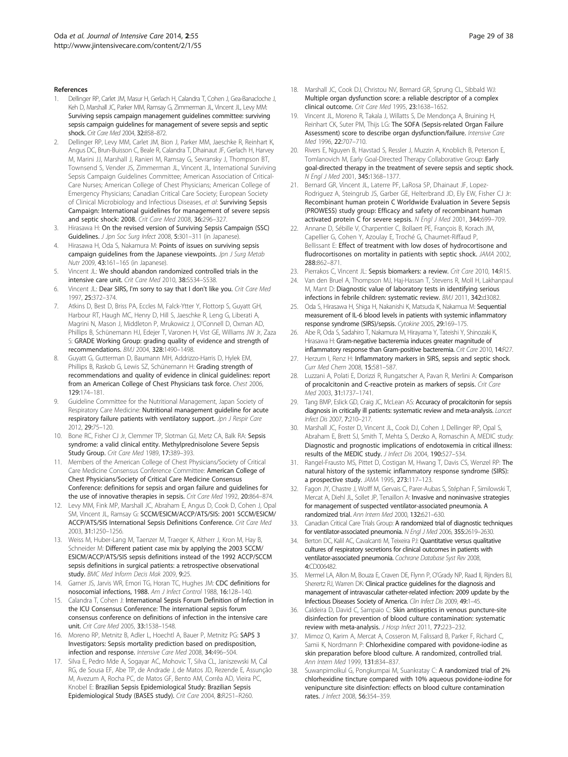#### <span id="page-28-0"></span>References

- 1. Dellinger RP, Carlet JM, Masur H, Gerlach H, Calandra T, Cohen J, Gea-Banacloche J, Keh D, Marshall JC, Parker MM, Ramsay G, Zimmerman JL, Vincent JL, Levy MM: Surviving sepsis campaign management guidelines committee: surviving sepsis campaign guidelines for management of severe sepsis and septic shock. Crit Care Med 2004, 32:858–872.
- 2. Dellinger RP, Levy MM, Carlet JM, Bion J, Parker MM, Jaeschke R, Reinhart K, Angus DC, Brun-Buisson C, Beale R, Calandra T, Dhainaut JF, Gerlach H, Harvey M, Marini JJ, Marshall J, Ranieri M, Ramsay G, Sevransky J, Thompson BT, Townsend S, Vender JS, Zimmerman JL, Vincent JL, International Surviving Sepsis Campaign Guidelines Committee; American Association of Critical-Care Nurses; American College of Chest Physicians; American College of Emergency Physicians; Canadian Critical Care Society; European Society of Clinical Microbiology and Infectious Diseases, et al: Surviving Sepsis Campaign: International guidelines for management of severe sepsis and septic shock: 2008. Crit Care Med 2008, 36:296–327.
- 3. Hirasawa H: On the revised version of Surviving Sepsis Campaign (SSC) Guidelines. J Jpn Soc Surg Infect 2008, 5:301-311 (in Japanese).
- 4. Hirasawa H, Oda S, Nakamura M: Points of issues on surviving sepsis campaign guidelines from the Japanese viewpoints. Jpn J Surg Metab Nutr 2009, 43:161–165 (in Japanese).
- 5. Vincent JL: We should abandon randomized controlled trials in the intensive care unit. Crit Care Med 2010, 38:S534–S538.
- 6. Vincent JL: Dear SIRS, I'm sorry to say that I don't like you. Crit Care Med 1997, 25:372–374.
- 7. Atkins D, Best D, Briss PA, Eccles M, Falck-Ytter Y, Flottorp S, Guyatt GH, Harbour RT, Haugh MC, Henry D, Hill S, Jaeschke R, Leng G, Liberati A, Magrini N, Mason J, Middleton P, Mrukowicz J, O'Connell D, Oxman AD, Phillips B, Schünemann HJ, Edejer T, Varonen H, Vist GE, Williams JW Jr, Zaza S: GRADE Working Group: grading quality of evidence and strength of recommendations. BMJ 2004, 328:1490–1498.
- Guyatt G, Gutterman D, Baumann MH, Addrizzo-Harris D, Hylek EM, Phillips B, Raskob G, Lewis SZ, Schünemann H: Grading strength of recommendations and quality of evidence in clinical guidelines: report from an American College of Chest Physicians task force. Chest 2006, 129:174–181.
- 9. Guideline Committee for the Nutritional Management, Japan Society of Respiratory Care Medicine: Nutritional management guideline for acute respiratory failure patients with ventilatory support. Jpn J Respir Care 2012, 29:75–120.
- 10. Bone RC, Fisher CJ Jr, Clemmer TP, Slotman GJ, Metz CA, Balk RA: Sepsis syndrome: a valid clinical entity. Methylprednisolone Severe Sepsis Study Group. Crit Care Med 1989, 17:389–393.
- 11. Members of the American College of Chest Physicians/Society of Critical Care Medicine Consensus Conference Committee: American College of Chest Physicians/Society of Critical Care Medicine Consensus Conference: definitions for sepsis and organ failure and guidelines for the use of innovative therapies in sepsis. Crit Care Med 1992, 20:864-874.
- 12. Levy MM, Fink MP, Marshall JC, Abraham E, Angus D, Cook D, Cohen J, Opal SM, Vincent JL, Ramsay G: SCCM/ESICM/ACCP/ATS/SIS: 2001 SCCM/ESICM/ ACCP/ATS/SIS International Sepsis Definitions Conference. Crit Care Med 2003, 31:1250–1256.
- 13. Weiss M, Huber-Lang M, Taenzer M, Traeger K, Altherr J, Kron M, Hay B, Schneider M: Different patient case mix by applying the 2003 SCCM/ ESICM/ACCP/ATS/SIS sepsis definitions instead of the 1992 ACCP/SCCM sepsis definitions in surgical patients: a retrospective observational study. BMC Med Inform Decis Mak 2009, 9:25.
- 14. Garner JS, Jarvis WR, Emori TG, Horan TC, Hughes JM: CDC definitions for nosocomial infections, 1988. Am J Infect Control 1988, 16:128–140.
- 15. Calandra T, Cohen J: International Sepsis Forum Definition of Infection in the ICU Consensus Conference: The international sepsis forum consensus conference on definitions of infection in the intensive care unit. Crit Care Med 2005, 33:1538–1548.
- 16. Moreno RP, Metnitz B, Adler L, Hoechtl A, Bauer P, Metnitz PG: SAPS 3 Investigators: Sepsis mortality prediction based on predisposition, infection and response. Intensive Care Med 2008, 34:496–504.
- 17. Silva E, Pedro Mde A, Sogayar AC, Mohovic T, Silva CL, Janiszewski M, Cal RG, de Sousa EF, Abe TP, de Andrade J, de Matos JD, Rezende E, Assunção M, Avezum A, Rocha PC, de Matos GF, Bento AM, Corrêa AD, Vieira PC, Knobel E: Brazilian Sepsis Epidemiological Study: Brazilian Sepsis Epidemiological Study (BASES study). Crit Care 2004, 8:R251–R260.
- 18. Marshall JC, Cook DJ, Christou NV, Bernard GR, Sprung CL, Sibbald WJ: Multiple organ dysfunction score: a reliable descriptor of a complex clinical outcome. Crit Care Med 1995, 23:1638–1652.
- 19. Vincent JL, Moreno R, Takala J, Willatts S, De Mendonça A, Bruining H, Reinhart CK, Suter PM, Thijs LG: The SOFA (Sepsis-related Organ Failure Assessment) score to describe organ dysfunction/failure. Intensive Care Med 1996, 22:707–710.
- 20. Rivers E, Nguyen B, Havstad S, Ressler J, Muzzin A, Knoblich B, Peterson E, Tomlanovich M, Early Goal-Directed Therapy Collaborative Group: Early goal-directed therapy in the treatment of severe sepsis and septic shock. N Fnal J Med 2001, 345:1368-1377.
- 21. Bernard GR, Vincent JL, Laterre PF, LaRosa SP, Dhainaut JF, Lopez-Rodriguez A, Steingrub JS, Garber GE, Helterbrand JD, Ely EW, Fisher CJ Jr: Recombinant human protein C Worldwide Evaluation in Severe Sepsis (PROWESS) study group: Efficacy and safety of recombinant human activated protein C for severe sepsis. N Engl J Med 2001, 344:699–709.
- 22. Annane D, Sébille V, Charpentier C, Bollaert PE, François B, Korach JM, Capellier G, Cohen Y, Azoulay E, Troché G, Chaumet-Riffaud P, Bellissant E: Effect of treatment with low doses of hydrocortisone and fludrocortisones on mortality in patients with septic shock. JAMA 2002, 288:862–871.
- 23. Pierrakos C, Vincent JL: Sepsis biomarkers: a review. Crit Care 2010, 14:R15.
- 24. Van den Bruel A, Thompson MJ, Haj-Hassan T, Stevens R, Moll H, Lakhanpaul M, Mant D: Diagnostic value of laboratory tests in identifying serious infections in febrile children: systematic review. BMJ 2011, 342:d3082.
- 25. Oda S, Hirasawa H, Shiga H, Nakanishi K, Matsuda K, Nakamua M: Sequential measurement of IL-6 blood levels in patients with systemic inflammatory response syndrome (SIRS)/sepsis. Cytokine 2005, 29:169–175.
- 26. Abe R, Oda S, Sadahiro T, Nakamura M, Hirayama Y, Tateishi Y, Shinozaki K, Hirasawa H: Gram-negative bacteremia induces greater magnitude of inflammatory response than Gram-positive bacteremia. Crit Care 2010, 14:R27.
- 27. Herzum I, Renz H: Inflammatory markers in SIRS, sepsis and septic shock. Curr Med Chem 2008, 15:581–587.
- 28. Luzzani A, Polati E, Dorizzi R, Rungatscher A, Pavan R, Merlini A: Comparison of procalcitonin and C-reactive protein as markers of sepsis. Crit Care Med 2003, 31:1737–1741.
- 29. Tang BMP, Eslick GD, Craig JC, McLean AS: Accuracy of procalcitonin for sepsis diagnosis in critically ill patients: systematic review and meta-analysis. Lancet Infect Dis 2007, 7:210–217.
- 30. Marshall JC, Foster D, Vincent JL, Cook DJ, Cohen J, Dellinger RP, Opal S, Abraham E, Brett SJ, Smith T, Mehta S, Derzko A, Romaschin A, MEDIC study: Diagnostic and prognostic implications of endotoxemia in critical illness: results of the MEDIC study. J Infect Dis 2004, 190:527–534.
- 31. Rangel-Frausto MS, Pittet D, Costigan M, Hwang T, Davis CS, Wenzel RP: The natural history of the systemic inflammatory response syndrome (SIRS): a prospective study. JAMA 1995, 273:117–123.
- 32. Fagon JY, Chastre J, Wolff M, Gervais C, Parer-Aubas S, Stéphan F, Similowski T, Mercat A, Diehl JL, Sollet JP, Tenaillon A: Invasive and noninvasive strategies for management of suspected ventilator-associated pneumonia. A randomized trial. Ann Intern Med 2000, 132:621–630.
- 33. Canadian Critical Care Trials Group: A randomized trial of diagnostic techniques for ventilator-associated pneumonia. N Engl J Med 2006, 355:2619–2630.
- 34. Berton DC, Kalil AC, Cavalcanti M, Teixeira PJ: Quantitative versus qualitative cultures of respiratory secretions for clinical outcomes in patients with ventilator-associated pneumonia. Cochrane Database Syst Rev 2008, 4:CD006482.
- 35. Mermel LA, Allon M, Bouza E, Craven DE, Flynn P, O'Grady NP, Raad II, Rijnders BJ, Sherertz RJ, Warren DK: Clinical practice guidelines for the diagnosis and management of intravascular catheter-related infection: 2009 update by the Infectious Diseases Society of America. Clin Infect Dis 2009, 49:1–45.
- 36. Caldeira D, David C, Sampaio C: Skin antiseptics in venous puncture-site disinfection for prevention of blood culture contamination: systematic review with meta-analysis. J Hosp Infect 2011, 77:223–232.
- 37. Mimoz O, Karim A, Mercat A, Cosseron M, Falissard B, Parker F, Richard C, Samii K, Nordmann P: Chlorhexidine compared with povidone-iodine as skin preparation before blood culture. A randomized, controlled trial. Ann Intern Med 1999, 131:834–837.
- Suwanpimolkul G, Pongkumpai M, Suankratay C: A randomized trial of 2% chlorhexidine tincture compared with 10% aqueous povidone-iodine for venipuncture site disinfection: effects on blood culture contamination rates. J Infect 2008, 56:354–359.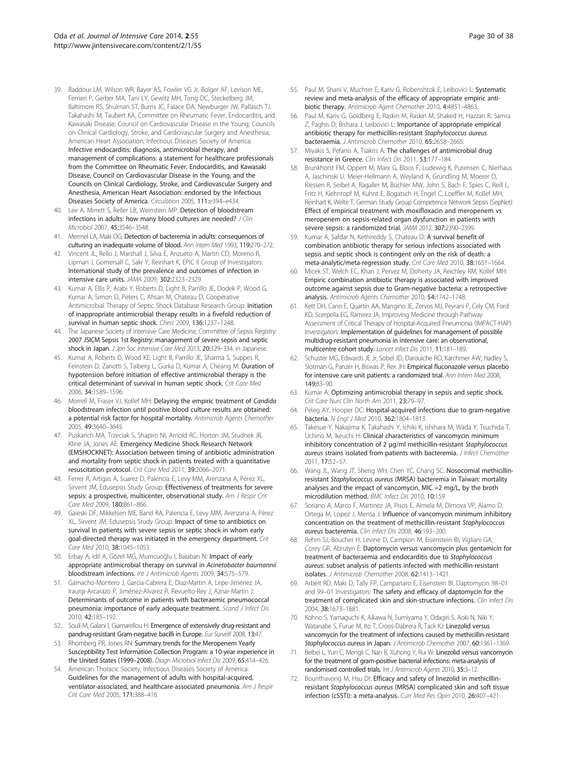- <span id="page-29-0"></span>39. Baddour LM, Wilson WR, Bayer AS, Fowler VG Jr, Bolger AF, Levison ME, Ferrieri P, Gerber MA, Tani LY, Gewitz MH, Tong DC, Steckelberg JM, Baltimore RS, Shulman ST, Burns JC, Falace DA, Newburger JW, Pallasch TJ, Takahashi M, Taubert KA, Committee on Rheumatic Fever, Endocarditis, and Kawasaki Disease; Council on Cardiovascular Disease in the Young; Councils on Clinical Cardiology, Stroke, and Cardiovascular Surgery and Anesthesia; American Heart Association; Infectious Diseases Society of America: Infective endocarditis: diagnosis, antimicrobial therapy, and management of complications: a statement for healthcare professionals from the Committee on Rheumatic Fever, Endocarditis, and Kawasaki Disease, Council on Cardiovascular Disease in the Young, and the Councils on Clinical Cardiology, Stroke, and Cardiovascular Surgery and Anesthesia, American Heart Association: endorsed by the Infectious Diseases Society of America. Circulation 2005, 111:e394–e434.
- 40. Lee A, Mirrett S, Reller LB, Weinstein MP: Detection of bloodstream infections in adults: how many blood cultures are needed? J Clin Microbiol 2007, 45:3546–3548.
- 41. Mermel LA, Maki DG: Detection of bacteremia in adults: consequences of culturing an inadequate volume of blood. Ann Intern Med 1993, 119:270–272.
- 42. Vincent JL, Rello J, Marshall J, Silva E, Anzueto A, Martin CD, Moreno R, Lipman J, Gomersall C, Sakr Y, Reinhart K, EPIC II Group of Investigators: International study of the prevalence and outcomes of infection in intensive care units. JAMA 2009, 302:2323–2329.
- 43. Kumar A, Ellis P, Arabi Y, Roberts D, Light B, Parrillo JE, Dodek P, Wood G, Kumar A, Simon D, Peters C, Ahsan M, Chateau D, Cooperative Antimicrobial Therapy of Septic Shock Database Research Group: Initiation of inappropriate antimicrobial therapy results in a fivefold reduction of survival in human septic shock. Chest 2009, 136:1237–1248.
- 44. The Japanese Society of Intensive Care Medicine, Committee of Sepsis Registry: 2007 JSICM Sepsis 1st Registry: management of severe sepsis and septic shock in Japan. J Jpn Soc Intensive Care Med 2013, 20:329-334. in Japanese.
- 45. Kumar A, Roberts D, Wood KE, Light B, Parrillo JE, Sharma S, Suppes R, Feinstein D, Zanotti S, Taiberg L, Gurka D, Kumar A, Cheang M: Duration of hypotension before initiation of effective antimicrobial therapy is the critical determinant of survival in human septic shock. Crit Care Med 2006, 34:1589–1596.
- 46. Morrell M, Fraser VJ, Kollef MH: Delaying the empiric treatment of Candida bloodstream infection until positive blood culture results are obtained: a potential risk factor for hospital mortality. Antimicrob Agents Chemother 2005, 49:3640–3645.
- 47. Puskarich MA, Trzeciak S, Shapiro NI, Arnold RC, Horton JM, Studnek JR, Kline JA, Jones AE: Emergency Medicine Shock Research Network (EMSHOCKNET): Association between timing of antibiotic administration and mortality from septic shock in patients treated with a quantitative resuscitation protocol. Crit Care Med 2011, 39:2066–2071.
- 48. Ferrer R, Artigas A, Suarez D, Palencia E, Levy MM, Arenzana A, Pérez XL, Sirvent JM, Edusepsis Study Group: Effectiveness of treatments for severe sepsis: a prospective, multicenter, observational study. Am J Respir Crit Care Med 2009, 180:861-866.
- 49. Gaieski DF, Mikkelsen ME, Band RA, Palencia E, Levy MM, Arenzana A, Pérez XL, Sirvent JM, Edusepsis Study Group: Impact of time to antibiotics on survival in patients with severe sepsis or septic shock in whom early goal-directed therapy was initiated in the emergency department. Crit Care Med 2010, 38:1045–1053.
- 50. Erbay A, Idil A, Gözel MG, Mumcuoğlu I, Balaban N: Impact of early appropriate antimicrobial therapy on survival in Acinetobacter baumannii bloodstream infections. Int J Antimicrob Agents 2009, 34:575–579.
- 51. Garnacho-Montero J, Garcia-Cabrera E, Diaz-Martin A, Lepe-Jiménez JA, Iraurgi-Arcarazo P, Jiménez-Alvarez R, Revuelto-Rey J, Aznar-Martín J: Determinants of outcome in patients with bacteraemic pneumococcal pneumonia: importance of early adequate treatment. Scand J Infect Dis 2010, 42:185–192.
- 52. Souli M, Galani I, Giamarellou H: Emergence of extensively drug-resistant and pandrug-resistant Gram-negative bacilli in Europe. Eur Surveill 2008, 13:47.
- 53. Rhomberg PR, Jones RN: Summary trends for the Meropenem Yearly Susceptibility Test Information Collection Program: a 10-year experience in the United States (1999–2008). Diagn Microbiol Infect Dis 2009, 65:414–426.
- 54. American Thoracic Society, Infectious Diseases Society of America: Guidelines for the management of adults with hospital-acquired, ventilator-associated, and healthcare-associated pneumonia. Am J Respir Crit Care Med 2005, 171:388–416.
- 55. Paul M, Shani V, Muchter E, Kariv G, Robenshtok E, Leibovici L: Systematic review and meta-analysis of the efficacy of appropriate empiric antibiotic therapy. Antimicrob Agent Chemother 2010, 4:4851–4863.
- 56. Paul M, Kariv G, Goldberg E, Raskin M, Raskin M, Shaked H, Hazzan R, Samra Z, Paghis D, Bishara J, Leibovici L: Importance of appropriate empirical antibiotic therapy for methicillin-resistant Staphylococcus aureus bacteraemia. J Antimicrob Chemother 2010, 65:2658–2665.
- 57. Miyakis S, Pefanis A, Tsakris A: The challenges of antimicrobial drug resistance in Greece. Clin Infect Dis 2011, 53:177–184.
- 58. Brunkhorst FM, Oppert M, Marx G, Bloos F, Ludewig K, Putensen C, Nierhaus A, Jaschinski U, Meier-Hellmann A, Weyland A, Gründling M, Moerer O, Riessen R, Seibel A, Ragaller M, Büchler MW, John S, Bach F, Spies C, Reill L, Fritz H, Kiehntopf M, Kuhnt E, Bogatsch H, Engel C, Loeffler M, Kollef MH, Reinhart K, Welte T, German Study Group Competence Network Sepsis (SepNet): Effect of empirical treatment with moxifloxacin and meropenem vs meropenem on sepsis-related organ dysfunction in patients with severe sepsis: a randomized trial. JAMA 2012, 307:2390–2399.
- 59. Kumar A, Safdar N, Kethireddy S, Chateau D: A survival benefit of combination antibiotic therapy for serious infections associated with sepsis and septic shock is contingent only on the risk of death: a meta-analytic/meta-regression study. Crit Care Med 2010, 38:1651–1664.
- 60. Micek ST, Welch EC, Khan J, Pervez M, Doherty JA, Reichley RM, Kollef MH: Empiric combination antibiotic therapy is associated with improved outcome against sepsis due to Gram-negative bacteria: a retrospective analysis. Antimicrob Agents Chemother 2010, 54:1742-1748.
- 61. Kett DH, Cano E, Quartin AA, Mangino JE, Zervos MJ, Peyrani P, Cely CM, Ford KD, Scerpella EG, Ramirez JA, Improving Medicine through Pathway Assessment of Critical Therapy of Hospital-Acquired Pneumonia (IMPACT-HAP) Investigators: Implementation of guidelines for management of possible multidrug-resistant pneumonia in intensive care: an observational, multicentre cohort study. Lancet Infect Dis 2011, 11:181–189.
- Schuster MG, Edwards JE Jr, Sobel JD, Darouiche RO, Karchmer AW, Hadley S, Slotman G, Panzer H, Biswas P, Rex JH: Empirical fluconazole versus placebo for intensive care unit patients: a randomized trial. Ann Intern Med 2008, 149:83–90.
- 63. Kumar A: Optimizing antimicrobial therapy in sepsis and septic shock. Crit Care Nurs Clin North Am 2011, 23:79–97.
- 64. Peleg AY, Hooper DC: Hospital-acquired infections due to gram-negative bacteria. N Engl J Med 2010, 362:1804–1813.
- 65. Takesue Y, Nakajima K, Takahashi Y, Ichiki K, Ishihara M, Wada Y, Tsuchida T, Uchino M, Ikeuchi H: Clinical characteristics of vancomycin minimum inhibitory concentration of 2 μg/ml methicillin-resistant Staphylococcus aureus strains isolated from patients with bacteremia. J Infect Chemother 2011, 17:52–57.
- 66. Wang JL, Wang JT, Sheng WH, Chen YC, Chang SC: Nosocomial methicillinresistant Staphylococcus aureus (MRSA) bacteremia in Taiwan: mortality analyses and the impact of vancomycin, MIC =2 mg/L, by the broth microdilution method. BMC Infect Dis 2010, 10:159.
- 67. Soriano A, Marco F, Martinez JA, Pisos E, Almela M, Dimova VP, Alamo D, Ortega M, Lopez J, Mensa J: Influence of vancomycin minimum inhibitory concentration on the treatment of methicillin-resistant Staphylococcus aureus bacteremia. Clin Infect Dis 2008, 46:193–200.
- Rehm SJ, Boucher H, Levine D, Campion M, Eisenstein BI, Vigliani GA, Corey GR, Abrutyn E: Daptomycin versus vancomycin plus gentamicin for treatment of bacteraemia and endocarditis due to Staphylococcus aureus: subset analysis of patients infected with methicillin-resistant isolates. J Antimicrob Chemother 2008, 62:1413–1421.
- 69. Arbeit RD, Maki D, Tally FP, Campanaro E, Eisenstein BI, Daptomycin 98–01 and 99–01 Investigators: The safety and efficacy of daptomycin for the treatment of complicated skin and skin-structure infections. Clin Infect Dis 2004, 38:1673–1681.
- 70. Kohno S, Yamaguchi K, Aikawa N, Sumiyama Y, Odagiri S, Aoki N, Niki Y, Watanabe S, Furue M, Ito T, Croos-Dabrera R, Tack KJ: Linezolid versus vancomycin for the treatment of infections caused by methicillin-resistant Staphylococcus aureus in Japan. J Antimicrob Chemother 2007, 60:1361-1369.
- 71. Beibei L, Yun C, Mengli C, Nan B, Xuhong Y, Rui W: Linezolid versus vancomycin for the treatment of gram-positive bacterial infections: meta-analysis of randomised controlled trials. Int J Antimicrob Agents 2010, 35:3–12.
- 72. Bounthavong M, Hsu DI: Efficacy and safety of linezolid in methicillinresistant Staphylococcus aureus (MRSA) complicated skin and soft tissue infection (cSSTI): a meta-analysis. Curr Med Res Opin 2010, 26:407–421.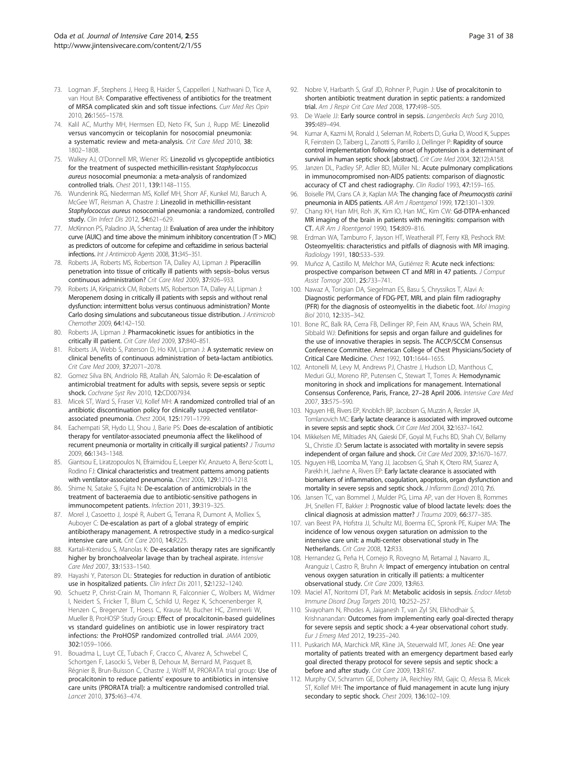- <span id="page-30-0"></span>73. Logman JF, Stephens J, Heeg B, Haider S, Cappelleri J, Nathwani D, Tice A, van Hout BA: Comparative effectiveness of antibiotics for the treatment of MRSA complicated skin and soft tissue infections. Curr Med Res Opin 2010, 26:1565–1578.
- 74. Kalil AC, Murthy MH, Hermsen ED, Neto FK, Sun J, Rupp ME: Linezolid versus vancomycin or teicoplanin for nosocomial pneumonia: a systematic review and meta-analysis. Crit Care Med 2010, 38: 1802–1808.
- 75. Walkey AJ, O'Donnell MR, Wiener RS: Linezolid vs glycopeptide antibiotics for the treatment of suspected methicillin-resistant Staphylococcus aureus nosocomial pneumonia: a meta-analysis of randomized controlled trials. Chest 2011, 139:1148–1155.
- 76. Wunderink RG, Niederman MS, Kollef MH, Shorr AF, Kunkel MJ, Baruch A, McGee WT, Reisman A, Chastre J: Linezolid in methicillin-resistant Staphylococcus aureus nosocomial pneumonia: a randomized, controlled study. Clin Infect Dis 2012, 54:621–629.
- 77. McKinnon PS, Paladino JA, Schentag JJ: Evaluation of area under the inhibitory curve (AUIC) and time above the minimum inhibitory concentration (T > MIC) as predictors of outcome for cefepime and ceftazidime in serious bacterial infections. Int J Antimicrob Agents 2008, 31:345–351.
- 78. Roberts JA, Roberts MS, Robertson TA, Dalley AJ, Lipman J: Piperacillin penetration into tissue of critically ill patients with sepsis–bolus versus continuous administration? Crit Care Med 2009, 37:926–933.
- 79. Roberts JA, Kirkpatrick CM, Roberts MS, Robertson TA, Dalley AJ, Lipman J: Meropenem dosing in critically ill patients with sepsis and without renal dysfunction: intermittent bolus versus continuous administration? Monte Carlo dosing simulations and subcutaneous tissue distribution. J Antimicrob Chemother 2009, 64:142–150.
- 80. Roberts JA, Lipman J: Pharmacokinetic issues for antibiotics in the critically ill patient. Crit Care Med 2009, 37:840–851.
- 81. Roberts JA, Webb S, Paterson D, Ho KM, Lipman J: A systematic review on clinical benefits of continuous administration of beta-lactam antibiotics. Crit Care Med 2009, 37:2071–2078.
- 82. Gomez Silva BN, Andriolo RB, Atallah ÁN, Salomão R: De-escalation of antimicrobial treatment for adults with sepsis, severe sepsis or septic shock. Cochrane Syst Rev 2010, 12:CD007934.
- 83. Micek ST, Ward S, Fraser VJ, Kollef MH: A randomized controlled trial of an antibiotic discontinuation policy for clinically suspected ventilatorassociated pneumonia. Chest 2004, 125:1791–1799.
- 84. Eachempati SR, Hydo LJ, Shou J, Barie PS: Does de-escalation of antibiotic therapy for ventilator-associated pneumonia affect the likelihood of recurrent pneumonia or mortality in critically ill surgical patients? J Trauma 2009, 66:1343–1348.
- 85. Giantsou E, Liratzopoulos N, Efraimidou E, Leeper KV, Anzueto A, Benz-Scott L, Rodino FJ: Clinical characteristics and treatment patterns among patients with ventilator-associated pneumonia. Chest 2006, 129:1210–1218.
- 86. Shime N, Satake S, Fujita N: De-escalation of antimicrobials in the treatment of bacteraemia due to antibiotic-sensitive pathogens in immunocompetent patients. Infection 2011, 39:319–325.
- 87. Morel J, Casoetto J, Jospé R, Aubert G, Terrana R, Dumont A, Molliex S, Auboyer C: De-escalation as part of a global strategy of empiric antibiotherapy management. A retrospective study in a medico-surgical intensive care unit. Crit Care 2010, 14:R225.
- 88. Kartali-Ktenidou S, Manolas K: De-escalation therapy rates are significantly higher by bronchoalveolar lavage than by tracheal aspirate. Intensive Care Med 2007, 33:1533–1540.
- 89. Hayashi Y, Paterson DL: Strategies for reduction in duration of antibiotic use in hospitalized patients. Clin Infect Dis 2011, 52:1232–1240.
- 90. Schuetz P, Christ-Crain M, Thomann R, Falconnier C, Wolbers M, Widmer I, Neidert S, Fricker T, Blum C, Schild U, Regez K, Schoenenberger R, Henzen C, Bregenzer T, Hoess C, Krause M, Bucher HC, Zimmerli W, Mueller B, ProHOSP Study Group: Effect of procalcitonin-based guidelines vs standard guidelines on antibiotic use in lower respiratory tract infections: the ProHOSP randomized controlled trial. JAMA 2009, 302:1059–1066.
- 91. Bouadma L, Luyt CE, Tubach F, Cracco C, Alvarez A, Schwebel C, Schortgen F, Lasocki S, Veber B, Dehoux M, Bernard M, Pasquet B, Régnier B, Brun-Buisson C, Chastre J, Wolff M, PRORATA trial group: Use of procalcitonin to reduce patients' exposure to antibiotics in intensive care units (PRORATA trial): a multicentre randomised controlled trial. Lancet 2010, 375:463–474.
- 92. Nobre V, Harbarth S, Graf JD, Rohner P, Pugin J: Use of procalcitonin to shorten antibiotic treatment duration in septic patients: a randomized trial. Am J Respir Crit Care Med 2008, 177:498–505.
- 93. De Waele JJ: Early source control in sepsis. Langenbecks Arch Surg 2010, 395:489–494.
- 94. Kumar A, Kazmi M, Ronald J, Seleman M, Roberts D, Gurka D, Wood K, Suppes R, Feinstein D, Taiberg L, Zanotti S, Parrillo J, Dellinger P: Rapidity of source control implementation following onset of hypotension is a determinant of survival in human septic shock [abstract]. Crit Care Med 2004, 32(12):A158.
- 95. Janzen DL, Padley SP, Adler BD, Müller NL: Acute pulmonary complications in immunocompromised non-AIDS patients: comparison of diagnostic accuracy of CT and chest radiography. Clin Radiol 1993, 47:159-165.
- 96. Boiselle PM, Crans CA Jr, Kaplan MA: The changing face of Pneumocystis carinii pneumonia in AIDS patients. AJR Am J Roentgenol 1999, 172:1301–1309.
- 97. Chang KH, Han MH, Roh JK, Kim IO, Han MC, Kim CW: Gd-DTPA-enhanced MR imaging of the brain in patients with meningitis: comparison with CT. AJR Am J Roentgenol 1990, 154:809–816.
- 98. Erdman WA, Tamburro F, Jayson HT, Weatherall PT, Ferry KB, Peshock RM: Osteomyelitis: characteristics and pitfalls of diagnosis with MR imaging. Radiology 1991, 180:533–539.
- 99. Muñoz A, Castillo M, Melchor MA, Gutiérrez R: Acute neck infections: prospective comparison between CT and MRI in 47 patients. J Comput Assist Tomogr 2001, 25:733–741.
- 100. Nawaz A, Torigian DA, Siegelman ES, Basu S, Chryssikos T, Alavi A: Diagnostic performance of FDG-PET, MRI, and plain film radiography (PFR) for the diagnosis of osteomyelitis in the diabetic foot. Mol Imaging Biol 2010, 12:335–342.
- 101. Bone RC, Balk RA, Cerra FB, Dellinger RP, Fein AM, Knaus WA, Schein RM, Sibbald WJ: Definitions for sepsis and organ failure and guidelines for the use of innovative therapies in sepsis. The ACCP/SCCM Consensus Conference Committee. American College of Chest Physicians/Society of Critical Care Medicine. Chest 1992, 101:1644–1655.
- 102. Antonelli M, Levy M, Andrews PJ, Chastre J, Hudson LD, Manthous C, Meduri GU, Moreno RP, Putensen C, Stewart T, Torres A: Hemodynamic monitoring in shock and implications for management. International Consensus Conference, Paris, France, 27–28 April 2006. Intensive Care Med 2007, 33:575–590.
- 103. Nguyen HB, Rivers EP, Knoblich BP, Jacobsen G, Muzzin A, Ressler JA, Tomlanovich MC: Early lactate clearance is associated with improved outcome in severe sepsis and septic shock. Crit Care Med 2004, 32:1637–1642.
- 104. Mikkelsen ME, Miltiades AN, Gaieski DF, Goyal M, Fuchs BD, Shah CV, Bellamy SL, Christie JD: Serum lactate is associated with mortality in severe sepsis independent of organ failure and shock. Crit Care Med 2009, 37:1670–1677.
- 105. Nguyen HB, Loomba M, Yang JJ, Jacobsen G, Shah K, Otero RM, Suarez A, Parekh H, Jaehne A, Rivers EP: Early lactate clearance is associated with biomarkers of inflammation, coagulation, apoptosis, organ dysfunction and mortality in severe sepsis and septic shock. J Inflamm (Lond) 2010, 7:6.
- 106. Jansen TC, van Bommel J, Mulder PG, Lima AP, van der Hoven B, Rommes JH, Snellen FT, Bakker J: Prognostic value of blood lactate levels: does the clinical diagnosis at admission matter? J Trauma 2009, 66:377-385.
- 107. van Beest PA, Hofstra JJ, Schultz MJ, Boerma EC, Spronk PE, Kuiper MA: The incidence of low venous oxygen saturation on admission to the intensive care unit: a multi-center observational study in The Netherlands. Crit Care 2008, 12:R33.
- 108. Hernandez G, Peña H, Cornejo R, Rovegno M, Retamal J, Navarro JL, Aranguiz I, Castro R, Bruhn A: Impact of emergency intubation on central venous oxygen saturation in critically ill patients: a multicenter observational study. Crit Care 2009, 13:R63.
- 109. Maciel AT, Noritomi DT, Park M: Metabolic acidosis in sepsis. Endocr Metab Immune Disord Drug Targets 2010, 10:252–257.
- 110. Sivayoham N, Rhodes A, Jaiganesh T, van Zyl SN, Elkhodhair S, Krishnanandan: Outcomes from implementing early goal-directed therapy for severe sepsis and septic shock: a 4-year observational cohort study. Eur J Emerg Med 2012, 19:235–240.
- 111. Puskarich MA, Marchick MR, Kline JA, Steuerwald MT, Jones AE: One year mortality of patients treated with an emergency department based early goal directed therapy protocol for severe sepsis and septic shock: a before and after study. Crit Care 2009, 13:R167.
- 112. Murphy CV, Schramm GE, Doherty JA, Reichley RM, Gajic O, Afessa B, Micek ST, Kollef MH: The importance of fluid management in acute lung injury secondary to septic shock. Chest 2009, 136:102–109.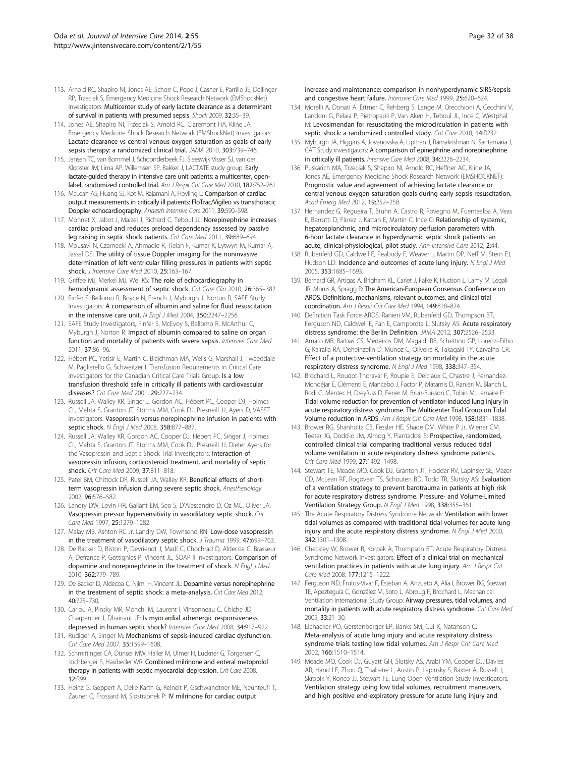- <span id="page-31-0"></span>113. Arnold RC, Shapiro NI, Jones AE, Schorr C, Pope J, Casner E, Parrillo JE, Dellinger RP, Trzeciak S, Emergency Medicine Shock Research Network (EMShockNet) Investigators: Multicenter study of early lactate clearance as a determinant of survival in patients with presumed sepsis. Shock 2009, 32:35–39.
- 114. Jones AE, Shapiro NI, Trzeciak S, Arnold RC, Claremont HA, Kline JA, Emergency Medicine Shock Research Network (EMShockNet) Investigators: Lactate clearance vs central venous oxygen saturation as goals of early sepsis therapy: a randomized clinical trial. JAMA 2010, 303:739–746.
- 115. Jansen TC, van Bommel J, Schoonderbeek FJ, Sleeswijk Visser SJ, van der Klooster JM, Lima AP, Willemsen SP, Bakker J, LACTATE study group: Early lactate-guided therapy in intensive care unit patients: a multicenter, openlabel, randomized controlled trial. Am J Respir Crit Care Med 2010, 182:752-761.
- 116. McLean AS, Huang SJ, Kot M, Rajamani A, Hoyling L: Comparison of cardiac output measurements in critically ill patients: FloTrac/Vigileo vs transthoracic Doppler echocardiography. Anaesth Intensive Care 2011, 39:590–598.
- 117. Monnet X, Jabot J, Maizel J, Richard C, Teboul JL: Norepinephrine increases cardiac preload and reduces preload dependency assessed by passive leg raising in septic shock patients. Crit Care Med 2011, 39:689–694.
- 118. Mousavi N, Czarnecki A, Ahmadie R, Tielan F, Kumar K, Lytwyn M, Kumar A, Jassal DS: The utility of tissue Doppler imaging for the noninvasive determination of left ventricular filling pressures in patients with septic shock. J Intensive Care Med 2010, 25:163-167.
- 119. Griffee MJ, Merkel MJ, Wei KS: The role of echocardiography in hemodynamic assessment of septic shock. Crit Care Clin 2010, 26:365-382.
- 120. Finfer S, Bellomo R, Boyce N, French J, Myburgh J, Norton R, SAFE Study Investigators: A comparison of albumin and saline for fluid resuscitation in the intensive care unit. N Engl J Med 2004, 350:2247–2256.
- 121. SAFE Study Investigators, Finfer S, McEvoy S, Bellomo R, McArthur C, Myburgh J, Norton R: Impact of albumin compared to saline on organ function and mortality of patients with severe sepsis. Intensive Care Med 2011, 37:86–96.
- 122. Hébert PC, Yetisir E, Martin C, Blajchman MA, Wells G, Marshall J, Tweeddale M, Pagliarello G, Schweitzer I, Transfusion Requirements in Critical Care Investigators for the Canadian Critical Care Trials Group: Is a low transfusion threshold safe in critically ill patients with cardiovascular diseases? Crit Care Med 2001, 29:227–234.
- 123. Russell JA, Walley KR, Singer J, Gordon AC, Hébert PC, Cooper DJ, Holmes CL, Mehta S, Granton JT, Storms MM, Cook DJ, Presneill JJ, Ayers D, VASST Investigators: Vasopressin versus norepinephrine infusion in patients with septic shock. N Engl J Med 2008, 358:877-887.
- 124. Russell JA, Walley KR, Gordon AC, Cooper DJ, Hébert PC, Singer J, Holmes CL, Mehta S, Granton JT, Storms MM, Cook DJ, Presneill JJ, Dieter Ayers for the Vasopressin and Septic Shock Trial Investigators: Interaction of vasopressin infusion, corticosteroid treatment, and mortality of septic shock. Crit Care Med 2009, 37:811–818.
- 125. Patel BM, Chittock DR, Russell JA, Walley KR: Beneficial effects of shortterm vasopressin infusion during severe septic shock. Anesthesiology 2002, 96:576–582.
- 126. Landry DW, Levin HR, Gallant EM, Seo S, D'Alessandro D, Oz MC, Oliver JA: Vasopressin pressor hypersensitivity in vasodilatory septic shock. Crit Care Med 1997, 25:1279–1282.
- 127. Malay MB, Ashton RC Jr, Landry DW, Townsend RN: Low-dose vasopressin in the treatment of vasodilatory septic shock. J Trauma 1999, 47:699-703.
- 128. De Backer D, Biston P, Devriendt J, Madl C, Chochrad D, Aldecoa C, Brasseur A, Defrance P, Gottignies P, Vincent JL, SOAP II Investigators: Comparison of dopamine and norepinephrine in the treatment of shock. N Engl J Med 2010, 362:779–789.
- 129. De Backer D, Aldecoa C, Njimi H, Vincent JL: Dopamine versus norepinephrine in the treatment of septic shock: a meta-analysis. Crit Care Med 2012, 40:725–730.
- 130. Cariou A, Pinsky MR, Monchi M, Laurent I, Vinsonneau C, Chiche JD, Charpentier J, Dhainaut JF: Is myocardial adrenergic responsiveness depressed in human septic shock? Intensive Care Med 2008, 34:917–922.
- 131. Rudiger A, Singer M: Mechanisms of sepsis-induced cardiac dysfunction. Crit Care Med 2007, 35:1599–1608.
- 132. Schmittinger CA, Dünser MW, Haller M, Ulmer H, Luckner G, Torgersen C, Jochberger S, Hasibeder WR: Combined milrinone and enteral metoprolol therapy in patients with septic myocardial depression. Crit Care 2008, 12:R99.
- 133. Heinz G, Geppert A, Delle Karth G, Reinelt P, Gschwandtner ME, Neunteufl T, Zauner C, Frossard M, Siostrzonek P: IV milrinone for cardiac output

increase and maintenance: comparison in nonhyperdynamic SIRS/sepsis and congestive heart failure. Intensive Care Med 1999, 25:620–624.

- 134. Morelli A, Donati A, Ertmer C, Rehberg S, Lange M, Orecchioni A, Cecchini V, Landoni G, Pelaia P, Pietropaoli P, Van Aken H, Teboul JL, Ince C, Westphal M: Levosimendan for resuscitating the microcirculation in patients with septic shock: a randomized controlled study. Crit Care 2010, 14:R232.
- 135. Myburgh JA, Higgins A, Jovanovska A, Lipman J, Ramakrishnan N, Santamaria J, CAT Study investigators: A comparison of epinephrine and norepinephrine in critically ill patients. Intensive Care Med 2008, 34:2226–2234.
- 136. Puskarich MA, Trzeciak S, Shapiro NI, Arnold RC, Heffner AC, Kline JA, Jones AE, Emergency Medicine Shock Research Network (EMSHOCKNET): Prognostic value and agreement of achieving lactate clearance or central venous oxygen saturation goals during early sepsis resuscitation. Acad Emerg Med 2012, 19:252–258.
- 137. Hernandez G, Regueira T, Bruhn A, Castro R, Rovegno M, Fuentealba A, Veas E, Berrutti D, Florez J, Kattan E, Martin C, Ince C: Relationship of systemic, hepatosplanchnic, and microcirculatory perfusion parameters with 6-hour lactate clearance in hyperdynamic septic shock patients: an acute, clinical-physiological, pilot study. Ann Intensive Care 2012, 2:44.
- 138. Rubenfeld GD, Caldwell E, Peabody E, Weaver J, Martin DP, Neff M, Stern EJ, Hudson LD: Incidence and outcomes of acute lung injury. N Engl J Med 2005, 353:1685–1693.
- 139. Bernard GR, Artigas A, Brigham KL, Carlet J, Falke K, Hudson L, Lamy M, Legall JR, Morris A, Spragg R: The American-European Consensus Conference on ARDS. Definitions, mechanisms, relevant outcomes, and clinical trial coordination. Am J Respir Crit Care Med 1994, 149:818-824.
- 140. Definition Task Force ARDS, Ranieri VM, Rubenfeld GD, Thompson BT, Ferguson ND, Caldwell E, Fan E, Camporota L, Slutsky AS: Acute respiratory distress syndrome: the Berlin Definition. JAMA 2012, 307:2526–2533.
- 141. Amato MB, Barbas CS, Medeiros DM, Magaldi RB, Schettino GP, Lorenzi-Filho G, Kairalla RA, Deheinzelin D, Munoz C, Oliveira R, Takagaki TY, Carvalho CR: Effect of a protective-ventilation strategy on mortality in the acute respiratory distress syndrome. N Engl J Med 1998, 338:347–354.
- 142. Brochard L, Roudot-Thoraval F, Roupie E, Delclaux C, Chastre J, Fernandez-Mondéjar E, Clémenti E, Mancebo J, Factor P, Matamis D, Ranieri M, Blanch L, Rodi G, Mentec H, Dreyfuss D, Ferrer M, Brun-Buisson C, Tobin M, Lemaire F: Tidal volume reduction for prevention of ventilator-induced lung injury in acute respiratory distress syndrome. The Multicenter Trial Group on Tidal Volume reduction in ARDS. Am J Respir Crit Care Med 1998, 158:1831-1838.
- 143. Brower RG, Shanholtz CB, Fessler HE, Shade DM, White P Jr, Wiener CM, Teeter JG, Dodd-o JM, Almog Y, Piantadosi S: Prospective, randomized, controlled clinical trial comparing traditional versus reduced tidal volume ventilation in acute respiratory distress syndrome patients. Crit Care Med 1999, 27:1492–1498.
- 144. Stewart TE, Meade MO, Cook DJ, Granton JT, Hodder RV, Lapinsky SE, Mazer CD, McLean RF, Rogovein TS, Schouten BD, Todd TR, Slutsky AS: Evaluation of a ventilation strategy to prevent barotrauma in patients at high risk for acute respiratory distress syndrome. Pressure- and Volume-Limited Ventilation Strategy Group. N Engl J Med 1998, 338:355–361.
- 145. The Acute Respiratory Distress Syndrome Network: Ventilation with lower tidal volumes as compared with traditional tidal volumes for acute lung injury and the acute respiratory distress syndrome. N Engl J Med 2000, 342:1301–1308.
- 146. Checkley W, Brower R, Korpak A, Thompson BT, Acute Respiratory Distress Syndrome Network Investigators: Effect of a clinical trial on mechanical ventilation practices in patients with acute lung injury. Am J Respr Crit Care Med 2008, 177:1215–1222.
- 147. Ferguson ND, Frutos-Vivar F, Esteban A, Anzueto A, Alía I, Brower RG, Stewart TE, Apezteguía C, González M, Soto L, Abroug F, Brochard L, Mechanical Ventilation International Study Group: Airway pressures, tidal volumes, and mortality in patients with acute respiratory distress syndrome. Crit Care Med 2005, 33:21–30.
- 148. Eichacker PQ, Gerstenberger EP, Banks SM, Cui X, Natanson C: Meta-analysis of acute lung injury and acute respiratory distress syndrome trials testing low tidal volumes. Am J Respr Crit Care Med 2002, 166:1510–1514.
- 149. Meade MO, Cook DJ, Guyatt GH, Slutsky AS, Arabi YM, Cooper DJ, Davies AR, Hand LE, Zhou Q, Thabane L, Austin P, Lapinsky S, Baxter A, Russell J, Skrobik Y, Ronco JJ, Stewart TE, Lung Open Ventilation Study Investigators: Ventilation strategy using low tidal volumes, recruitment maneuvers, and high positive end-expiratory pressure for acute lung injury and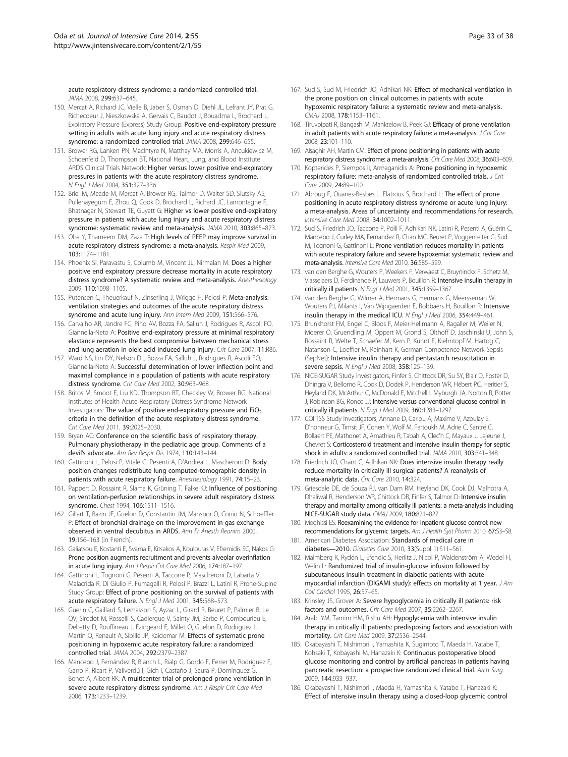<span id="page-32-0"></span>acute respiratory distress syndrome: a randomized controlled trial. JAMA 2008, 299:637–645.

- 150. Mercat A, Richard JC, Vielle B, Jaber S, Osman D, Diehl JL, Lefrant JY, Prat G, Richecoeur J, Nieszkowska A, Gervais C, Baudot J, Bouadma L, Brochard L, Expiratory Pressure (Express) Study Group: Positive end-expiratory pressure setting in adults with acute lung injury and acute respiratory distress syndrome: a randomized controlled trial. JAMA 2008, 299:646–655.
- 151. Brower RG, Lanken PN, MacIntyre N, Matthay MA, Morris A, Ancukiewicz M, Schoenfeld D, Thompson BT, National Heart, Lung, and Blood Institute ARDS Clinical Trials Network: Higher versus lower positive end-expiratory pressures in patients with the acute respiratory distress syndrome. N Engl J Med 2004, 351:327–336.
- 152. Briel M, Meade M, Mercat A, Brower RG, Talmor D, Walter SD, Slutsky AS, Pullenayegum E, Zhou Q, Cook D, Brochard L, Richard JC, Lamontagne F, Bhatnagar N, Stewart TE, Guyatt G: Higher vs lower positive end-expiratory pressure in patients with acute lung injury and acute respiratory distress syndrome: systematic review and meta-analysis. JAMA 2010, 303:865–873.
- 153. Oba Y, Thameem DM, Zaza T: High levels of PEEP may improve survival in acute respiratory distress syndrome: a meta-analysis. Respir Med 2009, 103:1174–1181.
- 154. Phoenix SI, Paravastu S, Columb M, Vincent JL, Nirmalan M: Does a higher positive end expiratory pressure decrease mortality in acute respiratory distress syndrome? A systematic review and meta-analysis. Anesthesiology 2009, 110:1098–1105.
- 155. Putensen C, Theuerkauf N, Zinserling J, Wrigge H, Pelosi P: Meta-analysis: ventilation strategies and outcomes of the acute respiratory distress syndrome and acute lung injury. Ann Intern Med 2009, 151:566–576.
- 156. Carvalho AR, Jandre FC, Pino AV, Bozza FA, Salluh J, Rodrigues R, Ascoli FO, Giannella-Neto A: Positive end-expiratory pressure at minimal respiratory elastance represents the best compromise between mechanical stress and lung aeration in oleic acid induced lung injury. Crit Care 2007, 11:R86.
- 157. Ward NS, Lin DY, Nelson DL, Bozza FA, Salluh J, Rodrigues R, Ascoli FO, Giannella-Neto A: Successful determination of lower inflection point and maximal compliance in a population of patients with acute respiratory distress syndrome. Crit Care Med 2002, 30:963–968.
- 158. Britos M, Smoot E, Liu KD, Thompson BT, Checkley W, Brower RG, National Institutes of Health Acute Respiratory Distress Syndrome Network Investigators: The value of positive end-expiratory pressure and  $FiO<sub>2</sub>$ criteria in the definition of the acute respiratory distress syndrome. Crit Care Med 2011, 39:2025–2030.
- 159. Bryan AC: Conference on the scientific basis of respiratory therapy. Pulmonary physiotherapy in the pediatric age group. Comments of a devil's advocate. Am Rev Respir Dis 1974, 110:143–144.
- 160. Gattinoni L, Pelosi P, Vitale G, Pesenti A, D'Andrea L, Mascheroni D: Body position changes redistribute lung computed-tomographic density in patients with acute respiratory failure. Anesthesiology 1991, 74:15–23.
- 161. Pappert D, Rossaint R, Slama K, Grüning T, Falke KJ: Influence of positioning on ventilation-perfusion relationships in severe adult respiratory distress syndrome. Chest 1994, 106:1511-1516.
- 162. Gillart T, Bazin JE, Guelon D, Constantin JM, Mansoor O, Conio N, Schoeffler P: Effect of bronchial drainage on the improvement in gas exchange observed in ventral decubitus in ARDS. Ann Fr Anesth Reanim 2000, 19:156–163 (in French).
- 163. Galiatsou E, Kostanti E, Svarna E, Kitsakos A, Koulouras V, Efremidis SC, Nakos G: Prone position augments recruitment and prevents alveolar overinflation in acute lung injury. Am J Respir Crit Care Med 2006, 174:187-197.
- 164. Gattinoni L, Tognoni G, Pesenti A, Taccone P, Mascheroni D, Labarta V, Malacrida R, Di Giulio P, Fumagalli R, Pelosi P, Brazzi L, Latini R, Prone-Supine Study Group: Effect of prone positioning on the survival of patients with acute respiratory failure. N Engl J Med 2001, 345:568–573.
- 165. Guerin C, Gaillard S, Lemasson S, Ayzac L, Girard R, Beuret P, Palmier B, Le QV, Sirodot M, Rosselli S, Cadiergue V, Sainty JM, Barbe P, Combourieu E, Debatty D, Rouffineau J, Ezingeard E, Millet O, Guelon D, Rodriguez L, Martin O, Renault A, Sibille JP, Kaidomar M: Effects of systematic prone positioning in hypoxemic acute respiratory failure: a randomized controlled trial. JAMA 2004, 292:2379–2387.
- 166. Mancebo J, Fernández R, Blanch L, Rialp G, Gordo F, Ferrer M, Rodríguez F, Garro P, Ricart P, Vallverdú I, Gich I, Castaño J, Saura P, Domínguez G, Bonet A, Albert RK: A multicenter trial of prolonged prone ventilation in severe acute respiratory distress syndrome. Am J Respir Crit Care Med 2006, 173:1233–1239.
- 167. Sud S, Sud M, Friedrich JO, Adhikari NK: Effect of mechanical ventilation in the prone position on clinical outcomes in patients with acute hypoxemic respiratory failure: a systematic review and meta-analysis. CMAJ 2008, 178:1153–1161.
- 168. Tiruvoipati R, Bangash M, Manktelow B, Peek GJ: Efficacy of prone ventilation in adult patients with acute respiratory failure: a meta-analysis. J Crit Care 2008, 23:101–110.
- 169. Alsaghir AH, Martin CM: Effect of prone positioning in patients with acute respiratory distress syndrome: a meta-analysis. Crit Care Med 2008, 36:603–609.
- 170. Kopterides P, Siempos II, Armaganidis A: Prone positioning in hypoxemic respiratory failure: meta-analysis of randomized controlled trials. J Crit Care 2009, 24:89–100.
- 171. Abroug F, Ouanes-Besbes L, Elatrous S, Brochard L: The effect of prone positioning in acute respiratory distress syndrome or acute lung injury: a meta-analysis. Areas of uncertainty and recommendations for research. Intensive Care Med 2008, 34:1002–1011.
- 172. Sud S, Friedrich JO, Taccone P, Polli F, Adhikari NK, Latini R, Pesenti A, Guérin C, Mancebo J, Curley MA, Fernandez R, Chan MC, Beuret P, Voggenreiter G, Sud M, Tognoni G, Gattinoni L: Prone ventilation reduces mortality in patients with acute respiratory failure and severe hypoxemia: systematic review and meta-analysis. Intensive Care Med 2010, 36:585–599.
- 173. van den Berghe G, Wouters P, Weekers F, Verwaest C, Bruyninckx F, Schetz M, Vlasselaers D, Ferdinande P, Lauwers P, Bouillon R: Intensive insulin therapy in critically ill patients. N Engl J Med 2001, 345:1359–1367.
- 174. van den Berghe G, Wilmer A, Hermans G, Hermans G, Meersseman W, Wouters PJ, Milants I, Van Wijngaerden E, Bobbaers H, Bouillon R: Intensive insulin therapy in the medical ICU. N Engl J Med 2006, 354:449–461.
- 175. Brunkhorst FM, Engel C, Bloos F, Meier-Hellmann A, Ragaller M, Weiler N, Moerer O, Gruendling M, Oppert M, Grond S, Olthoff D, Jaschinski U, John S, Rossaint R, Welte T, Schaefer M, Kern P, Kuhnt E, Kiehntopf M, Hartog C, Natanson C, Loeffler M, Reinhart K, German Competence Network Sepsis (SepNet): Intensive insulin therapy and pentastarch resuscitation in severe sepsis. N Engl J Med 2008, 358:125-139.
- 176. NICE-SUGAR Study Investigators, Finfer S, Chittock DR, Su SY, Blair D, Foster D, Dhingra V, Bellomo R, Cook D, Dodek P, Henderson WR, Hébert PC, Heritier S, Heyland DK, McArthur C, McDonald E, Mitchell I, Myburgh JA, Norton R, Potter J, Robinson BG, Ronco JJ: Intensive versus conventional glucose control in critically ill patients. N Engl J Med 2009, 360:1283–1297.
- 177. COIITSS Study Investigators, Annane D, Cariou A, Maxime V, Azoulay E, D'honneur G, Timsit JF, Cohen Y, Wolf M, Fartoukh M, Adrie C, Santré C, Bollaert PE, Mathonet A, Amathieu R, Tabah A, Clec'h C, Mayaux J, Lejeune J, Chevret S: Corticosteroid treatment and intensive insulin therapy for septic shock in adults: a randomized controlled trial. JAMA 2010, 303:341–348.
- 178. Friedrich JO, Chant C, Adhikari NK: Does intensive insulin therapy really reduce mortality in critically ill surgical patients? A reanalysis of meta-analytic data. Crit Care 2010, 14:324.
- 179. Griesdale DE, de Souza RJ, van Dam RM, Heyland DK, Cook DJ, Malhotra A, Dhaliwal R, Henderson WR, Chittock DR, Finfer S, Talmor D: Intensive insulin therapy and mortality among critically ill patients: a meta-analysis including NICE-SUGAR study data. CMAJ 2009, 180:821–827.
- 180. Moghissi ES: Reexamining the evidence for inpatient glucose control: new recommendations for glycemic targets. Am J Health Syst Pharm 2010, 67:S3-S8.
- 181. American Diabetes Association: Standards of medical care in diabetes—2010. Diabetes Care 2010, 33(Suppl 1):S11–S61.
- 182. Malmberg K, Rydén L, Efendic S, Herlitz J, Nicol P, Waldenström A, Wedel H, Welin L: Randomized trial of insulin-glucose infusion followed by subcutaneous insulin treatment in diabetic patients with acute myocardial infarction (DIGAMI study): effects on mortality at 1 year. J Am Coll Cardiol 1995, 26:57–65.
- 183. Krinsley JS, Grover A: Severe hypoglycemia in critically ill patients: risk factors and outcomes. Crit Care Med 2007, 35:2262–2267.
- 184. Arabi YM, Tamim HM, Rishu AH: Hypoglycemia with intensive insulin therapy in critically ill patients: predisposing factors and association with mortality. Crit Care Med 2009, 37:2536–2544.
- 185. Okabayashi T, Nishimori I, Yamashita K, Sugimoto T, Maeda H, Yatabe T, Kohsaki T, Kobayashi M, Hanazaki K: Continuous postoperative blood glucose monitoring and control by artificial pancreas in patients having pancreatic resection: a prospective randomized clinical trial. Arch Surg 2009, 144:933–937.
- 186. Okabayashi T, Nishimori I, Maeda H, Yamashita K, Yatabe T, Hanazaki K: Effect of intensive insulin therapy using a closed-loop glycemic control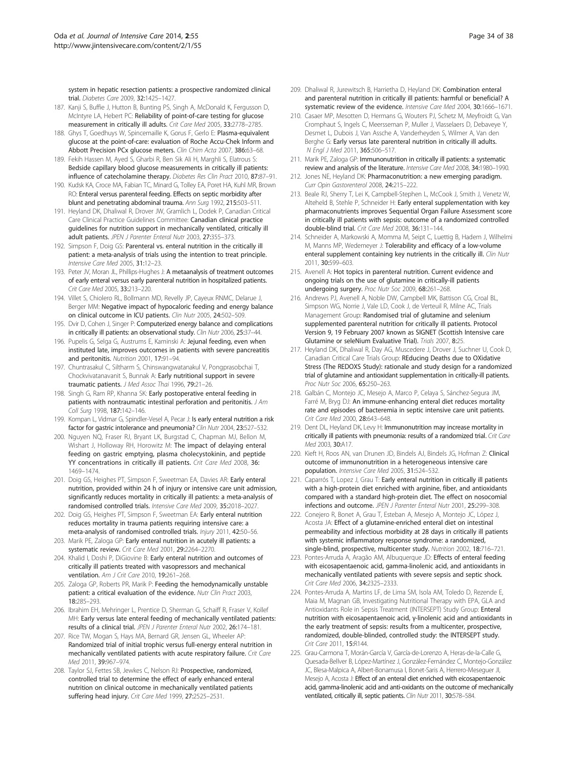<span id="page-33-0"></span>system in hepatic resection patients: a prospective randomized clinical trial. Diabetes Care 2009, 32:1425–1427.

- 187. Kanji S, Buffie J, Hutton B, Bunting PS, Singh A, McDonald K, Fergusson D, McIntyre LA, Hebert PC: Reliability of point-of-care testing for glucose measurement in critically ill adults. Crit Care Med 2005, 33:2778–2785.
- 188. Ghys T, Goedhuys W, Spincemaille K, Gorus F, Gerlo E: Plasma-equivalent glucose at the point-of-care: evaluation of Roche Accu-Chek Inform and Abbott Precision PCx glucose meters. Clin Chim Acta 2007, 386:63–68.
- 189. Fekih Hassen M, Ayed S, Gharbi R, Ben Sik Ali H, Marghli S, Elatrous S: Bedside capillary blood glucose measurements in critically ill patients: influence of catecholamine therapy. Diabetes Res Clin Pract 2010, 87:87-91.
- 190. Kudsk KA, Croce MA, Fabian TC, Minard G, Tolley EA, Poret HA, Kuhl MR, Brown RO: Enteral versus parenteral feeding. Effects on septic morbidity after blunt and penetrating abdominal trauma. Ann Surg 1992, 215:503–511.
- 191. Heyland DK, Dhaliwal R, Drover JW, Gramlich L, Dodek P, Canadian Critical Care Clinical Practice Guidelines Committee: Canadian clinical practice guidelines for nutrition support in mechanically ventilated, critically ill adult patients. JPEN J Parenter Enteral Nutr 2003, 27:355–373.
- 192. Simpson F, Doig GS: Parenteral vs. enteral nutrition in the critically ill patient: a meta-analysis of trials using the intention to treat principle. Intensive Care Med 2005, 31:12–23.
- 193. Peter JV, Moran JL, Phillips-Hughes J: A metaanalysis of treatment outcomes of early enteral versus early parenteral nutrition in hospitalized patients. Crit Care Med 2005, 33:213–220.
- 194. Villet S, Chiolero RL, Bollmann MD, Revelly JP, Cayeux RNMC, Delarue J, Berger MM: Negative impact of hypocaloric feeding and energy balance on clinical outcome in ICU patients. Clin Nutr 2005, 24:502–509.
- 195. Dvir D, Cohen J, Singer P: Computerized energy balance and complications in critically ill patients: an observational study. Clin Nutr 2006, 25:37-44.
- 196. Pupelis G, Selga G, Austrums E, Kaminski A: Jejunal feeding, even when instituted late, improves outcomes in patients with severe pancreatitis and peritonitis. Nutrition 2001, 17:91–94.
- 197. Chuntrasakul C, Siltharm S, Chinswangwatanakul V, Pongprasobchai T, Chockvivatanavanit S, Bunnak A: Early nutritional support in severe traumatic patients. J Med Assoc Thai 1996, 79:21–26.
- 198. Singh G, Ram RP, Khanna SK: Early postoperative enteral feeding in patients with nontraumatic intestinal perforation and peritonitis. J Am Coll Surg 1998, 187:142–146.
- 199. Kompan L, Vidmar G, Spindler-Vesel A, Pecar J: Is early enteral nutrition a risk factor for gastric intolerance and pneumonia? Clin Nutr 2004, 23:527-532.
- 200. Nguyen NQ, Fraser RJ, Bryant LK, Burgstad C, Chapman MJ, Bellon M, Wishart J, Holloway RH, Horowitz M: The impact of delaying enteral feeding on gastric emptying, plasma cholecystokinin, and peptide YY concentrations in critically ill patients. Crit Care Med 2008, 36: 1469–1474.
- 201. Doig GS, Heighes PT, Simpson F, Sweetman EA, Davies AR: Early enteral nutrition, provided within 24 h of injury or intensive care unit admission, significantly reduces mortality in critically ill patients: a meta-analysis of randomised controlled trials. Intensive Care Med 2009, 35:2018–2027.
- 202. Doig GS, Heighes PT, Simpson F, Sweetman EA: Early enteral nutrition reduces mortality in trauma patients requiring intensive care: a meta-analysis of randomised controlled trials. Injury 2011, 42:50–56.
- 203. Marik PE, Zaloga GP: Early enteral nutrition in acutely ill patients: a systematic review. Crit Care Med 2001, 29:2264–2270.
- 204. Khalid I, Doshi P, DiGiovine B: Early enteral nutrition and outcomes of critically ill patients treated with vasopressors and mechanical ventilation. Am J Crit Care 2010, 19:261-268.
- 205. Zaloga GP, Roberts PR, Marik P: Feeding the hemodynamically unstable patient: a critical evaluation of the evidence. Nutr Clin Pract 2003, 18:285–293.
- 206. Ibrahim EH, Mehringer L, Prentice D, Sherman G, Schaiff R, Fraser V, Kollef MH: Early versus late enteral feeding of mechanically ventilated patients: results of a clinical trial. JPEN J Parenter Enteral Nutr 2002, 26:174–181.
- 207. Rice TW, Mogan S, Hays MA, Bernard GR, Jensen GL, Wheeler AP: Randomized trial of initial trophic versus full-energy enteral nutrition in mechanically ventilated patients with acute respiratory failure. Crit Care Med 2011, 39:967–974.
- 208. Taylor SJ, Fettes SB, Jewkes C, Nelson RJ: Prospective, randomized, controlled trial to determine the effect of early enhanced enteral nutrition on clinical outcome in mechanically ventilated patients suffering head injury. Crit Care Med 1999, 27:2525–2531.
- 209. Dhaliwal R, Jurewitsch B, Harrietha D, Heyland DK: Combination enteral and parenteral nutrition in critically ill patients: harmful or beneficial? A systematic review of the evidence. Intensive Care Med 2004, 30:1666–1671.
- 210. Casaer MP, Mesotten D, Hermans G, Wouters PJ, Schetz M, Meyfroidt G, Van Cromphaut S, Ingels C, Meersseman P, Muller J, Vlasselaers D, Debaveye Y, Desmet L, Dubois J, Van Assche A, Vanderheyden S, Wilmer A, Van den Berghe G: Early versus late parenteral nutrition in critically ill adults. N Engl J Med 2011, 365:506–517.
- 211. Marik PE, Zaloga GP: Immunonutrition in critically ill patients: a systematic review and analysis of the literature. Intensive Care Med 2008, 34:1980–1990.
- 212. Jones NE, Heyland DK: Pharmaconutrition: a new emerging paradigm. Curr Opin Gastorenterol 2008, 24:215–222.
- 213. Beale RJ, Sherry T, Lei K, Campbell-Stephen L, McCook J, Smith J, Venetz W, Alteheld B, Stehle P, Schneider H: Early enteral supplementation with key pharmaconutrients improves Sequential Organ Failure Assessment score in critically ill patients with sepsis: outcome of a randomized controlled double-blind trial. Crit Care Med 2008, 36:131–144.
- 214. Schneider A, Markowski A, Momma M, Seipt C, Luettig B, Hadem J, Wilhelmi M, Manns MP, Wedemeyer J: Tolerability and efficacy of a low-volume enteral supplement containing key nutrients in the critically ill. Clin Nutr 2011, 30:599–603.
- 215. Avenell A: Hot topics in parenteral nutrition. Current evidence and ongoing trials on the use of glutamine in critically-ill patients undergoing surgery. Proc Nutr Soc 2009, 68:261–268.
- 216. Andrews PJ, Avenell A, Noble DW, Campbell MK, Battison CG, Croal BL, Simpson WG, Norrie J, Vale LD, Cook J, de Verteuil R, Milne AC, Trials Management Group: Randomised trial of glutamine and selenium supplemented parenteral nutrition for critically ill patients. Protocol Version 9, 19 February 2007 known as SIGNET (Scottish Intensive care Glutamine or seleNium Evaluative Trial). Trials 2007, 8:25.
- 217. Heyland DK, Dhaliwal R, Day AG, Muscedere J, Drover J, Suchner U, Cook D, Canadian Critical Care Trials Group: REducing Deaths due to OXidative Stress (The REDOXS Study): rationale and study design for a randomized trial of glutamine and antioxidant supplementation in critically-ill patients. Proc Nutr Soc 2006, 65:250–263.
- 218. Galbán C, Montejo JC, Mesejo A, Marco P, Celaya S, Sánchez-Segura JM, Farré M, Bryg DJ: An immune-enhancing enteral diet reduces mortality rate and episodes of bacteremia in septic intensive care unit patients. Crit Care Med 2000, 28:643–648.
- 219. Dent DL, Heyland DK, Levy H: Immunonutrition may increase mortality in critically ill patients with pneumonia: results of a randomized trial. Crit Care Med 2003, 30:A17.
- 220. Kieft H, Roos AN, van Drunen JD, Bindels AJ, Bindels JG, Hofman Z: Clinical outcome of immunonutrition in a heterogeneous intensive care population. Intensive Care Med 2005, 31:524–532.
- 221. Caparrós T, Lopez J, Grau T: Early enteral nutrition in critically ill patients with a high-protein diet enriched with arginine, fiber, and antioxidants compared with a standard high-protein diet. The effect on nosocomial infections and outcome. JPEN J Parenter Enteral Nutr 2001, 25:299-308.
- 222. Conejero R, Bonet A, Grau T, Esteban A, Mesejo A, Montejo JC, López J, Acosta JA: Effect of a glutamine-enriched enteral diet on intestinal permeability and infectious morbidity at 28 days in critically ill patients with systemic inflammatory response syndrome: a randomized, single-blind, prospective, multicenter study. Nutrition 2002, 18:716–721.
- 223. Pontes-Arruda A, Aragão AM, Albuquerque JD: Effects of enteral feeding with eicosapentaenoic acid, gamma-linolenic acid, and antioxidants in mechanically ventilated patients with severe sepsis and septic shock. Crit Care Med 2006, 34:2325–2333.
- 224. Pontes-Arruda A, Martins LF, de Lima SM, Isola AM, Toledo D, Rezende E, Maia M, Magnan GB, Investigating Nutritional Therapy with EPA, GLA and Antioxidants Role in Sepsis Treatment (INTERSEPT) Study Group: Enteral nutrition with eicosapentaenoic acid, γ-linolenic acid and antioxidants in the early treatment of sepsis: results from a multicenter, prospective, randomized, double-blinded, controlled study: the INTERSEPT study. Crit Care 2011, 15:R144.
- 225. Grau-Carmona T, Morán-García V, García-de-Lorenzo A, Heras-de-la-Calle G, Quesada-Bellver B, López-Martínez J, González-Fernández C, Montejo-González JC, Blesa-Malpica A, Albert-Bonamusa I, Bonet-Saris A, Herrero-Meseguer JI, Mesejo A, Acosta J: Effect of an enteral diet enriched with eicosapentaenoic acid, gamma-linolenic acid and anti-oxidants on the outcome of mechanically ventilated, critically ill, septic patients. Clin Nutr 2011, 30:578-584.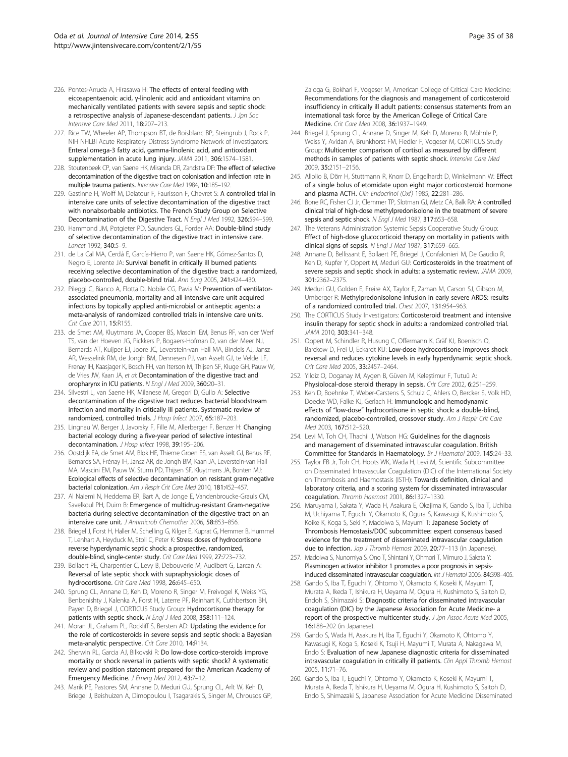- <span id="page-34-0"></span>226. Pontes-Arruda A, Hirasawa H: The effects of enteral feeding with eicosapentaenoic acid, γ-linolenic acid and antioxidant vitamins on mechanically ventilated patients with severe sepsis and septic shock: a retrospective analysis of Japanese-descendant patients. J Jpn Soc Intensive Care Med 2011, 18:207–213.
- 227. Rice TW, Wheeler AP, Thompson BT, de Boisblanc BP, Steingrub J, Rock P, NIH NHLBI Acute Respiratory Distress Syndrome Network of Investigators: Enteral omega-3 fatty acid, gamma-linolenic acid, and antioxidant supplementation in acute lung injury. JAMA 2011, 306:1574–1581.
- 228. Stoutenbeek CP, van Saene HK, Miranda DR, Zandstra DF: The effect of selective decontamination of the digestive tract on colonisation and infection rate in multiple trauma patients. Intensive Care Med 1984, 10:185–192.
- 229. Gastinne H, Wolff M, Delatour F, Faurisson F, Chevret S: A controlled trial in intensive care units of selective decontamination of the digestive tract with nonabsorbable antibiotics. The French Study Group on Selective Decontamination of the Digestive Tract. N Engl J Med 1992, 326:594–599.
- 230. Hammond JM, Potgieter PD, Saunders GL, Forder AA: Double-blind study of selective decontamination of the digestive tract in intensive care. Lancet 1992, 340:5–9.
- 231. de La Cal MA, Cerdá E, García-Hierro P, van Saene HK, Gómez-Santos D, Negro E, Lorente JA: Survival benefit in critically ill burned patients receiving selective decontamination of the digestive tract: a randomized, placebo-controlled, double-blind trial. Ann Surg 2005, 241:424–430.
- 232. Pileggi C, Bianco A, Flotta D, Nobile CG, Pavia M: Prevention of ventilatorassociated pneumonia, mortality and all intensive care unit acquired infections by topically applied anti-microbial or antiseptic agents: a meta-analysis of randomized controlled trials in intensive care units. Crit Care 2011, 15:R155.
- 233. de Smet AM, Kluytmans JA, Cooper BS, Mascini EM, Benus RF, van der Werf TS, van der Hoeven JG, Pickkers P, Bogaers-Hofman D, van der Meer NJ, Bernards AT, Kuijper EJ, Joore JC, Leverstein-van Hall MA, Bindels AJ, Jansz AR, Wesselink RM, de Jongh BM, Dennesen PJ, van Asselt GJ, te Velde LF, Frenay IH, Kaasjager K, Bosch FH, van Iterson M, Thijsen SF, Kluge GH, Pauw W, de Vries JW, Kaan JA, et al: Decontamination of the digestive tract and oropharynx in ICU patients. N Engl J Med 2009, 360:20–31.
- 234. Silvestri L, van Saene HK, Milanese M, Gregori D, Gullo A: Selective decontamination of the digestive tract reduces bacterial bloodstream infection and mortality in critically ill patients. Systematic review of randomized, controlled trials. J Hosp Infect 2007, 65:187–203.
- 235. Lingnau W, Berger J, Javorsky F, Fille M, Allerberger F, Benzer H: Changing bacterial ecology during a five-year period of selective intestinal decontamination. J Hosp Infect 1998, 39:195-206.
- 236. Oostdijk EA, de Smet AM, Blok HE, Thieme Groen ES, van Asselt GJ, Benus RF, Bernards SA, Frénay IH, Jansz AR, de Jongh BM, Kaan JA, Leverstein-van Hall MA, Mascini EM, Pauw W, Sturm PD, Thijsen SF, Kluytmans JA, Bonten MJ: Ecological effects of selective decontamination on resistant gram-negative bacterial colonization. Am J Respir Crit Care Med 2010, 181:452–457.
- 237. Al Naiemi N, Heddema ER, Bart A, de Jonge E, Vandenbroucke-Grauls CM, Savelkoul PH, Duim B: Emergence of multidrug-resistant Gram-negative bacteria during selective decontamination of the digestive tract on an intensive care unit. J Antimicrob Chemother 2006, 58:853–856.
- 238. Briegel J, Forst H, Haller M, Schelling G, Kilger E, Kuprat G, Hemmer B, Hummel T, Lenhart A, Heyduck M, Stoll C, Peter K: Stress doses of hydrocortisone reverse hyperdynamic septic shock: a prospective, randomized, double-blind, single-center study. Crit Care Med 1999, 27:723–732.
- 239. Bollaert PE, Charpentier C, Levy B, Debouverie M, Audibert G, Larcan A: Reversal of late septic shock with supraphysiologic doses of hydrocortisone. Crit Care Med 1998, 26:645–650.
- 240. Sprung CL, Annane D, Keh D, Moreno R, Singer M, Freivogel K, Weiss YG, Benbenishty J, Kalenka A, Forst H, Laterre PF, Reinhart K, Cuthbertson BH, Payen D, Briegel J, CORTICUS Study Group: Hydrocortisone therapy for patients with septic shock. N Engl J Med 2008, 358:111-124
- 241. Moran JL, Graham PL, Rockliff S, Bersten AD: Updating the evidence for the role of corticosteroids in severe sepsis and septic shock: a Bayesian meta-analytic perspective. Crit Care 2010, 14:R134.
- 242. Sherwin RL, Garcia AJ, Bilkovski R: Do low-dose cortico-steroids improve mortality or shock reversal in patients with septic shock? A systematic review and position statement prepared for the American Academy of Emergency Medicine. J Emerg Med 2012, 43:7-12.
- 243. Marik PE, Pastores SM, Annane D, Meduri GU, Sprung CL, Arlt W, Keh D, Briegel J, Beishuizen A, Dimopoulou I, Tsagarakis S, Singer M, Chrousos GP,

Zaloga G, Bokhari F, Vogeser M, American College of Critical Care Medicine: Recommendations for the diagnosis and management of corticosteroid insufficiency in critically ill adult patients: consensus statements from an international task force by the American College of Critical Care Medicine. Crit Care Med 2008, 36:1937–1949.

- 244. Briegel J, Sprung CL, Annane D, Singer M, Keh D, Moreno R, Möhnle P, Weiss Y, Avidan A, Brunkhorst FM, Fiedler F, Vogeser M, CORTICUS Study Group: Multicenter comparison of cortisol as measured by different methods in samples of patients with septic shock. Intensive Care Med 2009, 35:2151–2156.
- 245. Allolio B, Dörr H, Stuttmann R, Knorr D, Engelhardt D, Winkelmann W: Effect of a single bolus of etomidate upon eight major corticosteroid hormone and plasma ACTH. Clin Endocrinol (Oxf) 1985, 22:281–286.
- 246. Bone RC, Fisher CJ Jr, Clemmer TP, Slotman GJ, Metz CA, Balk RA: A controlled clinical trial of high-dose methylpredonisolone in the treatment of severe sepsis and septic shock. N Engl J Med 1987, 317:653–658.
- 247. The Veterans Administration Systemic Sepsis Cooperative Study Group: Effect of high-dose glucocorticoid therapy on mortality in patients with clinical signs of sepsis. N Engl J Med 1987, 317:659-665.
- 248. Annane D, Bellissant E, Bollaert PE, Briegel J, Confalonieri M, De Gaudio R, Keh D, Kupfer Y, Oppert M, Meduri GU: Corticosteroids in the treatment of severe sepsis and septic shock in adults: a systematic review. JAMA 2009, 301:2362–2375.
- 249. Meduri GU, Golden E, Freire AX, Taylor E, Zaman M, Carson SJ, Gibson M, Umberger R: Methylpredonisolone infusion in early severe ARDS: results of a randomized controlled trial. Chest 2007, 131:954–963.
- 250. The CORTICUS Study Investigators: Corticosteroid treatment and intensive insulin therapy for septic shock in adults: a randomized controlled trial. JAMA 2010, 303:341-348.
- 251. Oppert M, Schindler R, Husung C, Offermann K, Gräf KJ, Boenisch O, Barckow D, Frei U, Eckardt KU: Low-dose hydrocortisone improves shock reversal and reduces cytokine levels in early hyperdynamic septic shock. Crit Care Med 2005, 33:2457–2464.
- 252. Yildiz O, Doganay M, Aygen B, Güven M, Keleştimur F, Tutuû A: Physiolocal-dose steroid therapy in sepsis. Crit Care 2002, 6:251-259.
- 253. Keh D, Boehnke T, Weber-Carstens S, Schulz C, Ahlers O, Bercker S, Volk HD, Doecke WD, Falke KJ, Gerlach H: Immunologic and hemodynamic effects of "low-dose" hydrocortisone in septic shock: a double-blind, randomized, placebo-controlled, crossover study. Am J Respir Crit Care Med 2003, 167:512–520.
- 254. Levi M, Toh CH, Thachil J, Watson HG: Guidelines for the diagnosis and management of disseminated intravascular coagulation. British Committee for Standards in Haematology. Br J Haematol 2009, 145:24–33.
- 255. Taylor FB Jr, Toh CH, Hoots WK, Wada H, Levi M, Scientific Subcommittee on Disseminated Intravascular Coagulation (DIC) of the International Society on Thrombosis and Haemostasis (ISTH): Towards definition, clinical and laboratory criteria, and a scoring system for disseminated intravascular coagulation. Thromb Haemost 2001, 86:1327–1330.
- 256. Maruyama I, Sakata Y, Wada H, Asakura E, Okajima K, Gando S, Iba T, Uchiba M, Uchiyama T, Eguchi Y, Okamoto K, Ogura S, Kawasugi K, Kushimoto S, Koike K, Koga S, Seki Y, Madoiwa S, Mayumi T: Japanese Society of Thrombosis Hemostasis/DOC subcommittee: expert consensus based evidence for the treatment of disseminated intravascular coagulation due to infection. Jap J Thromb Hemost 2009, 20:77-113 (in Japanese).
- 257. Madoiwa S, Nunomiya S, Ono T, Shintani Y, Ohmori T, Mimuro J, Sakata Y: Plasminogen activator inhibitor 1 promotes a poor prognosis in sepsisinduced disseminated intravascular coagulation. Int J Hematol 2006, 84:398-405.
- 258. Gando S, Iba T, Eguchi Y, Ohtomo Y, Okamoto K, Koseki K, Mayumi T, Murata A, Ikeda T, Ishikura H, Ueyama M, Ogura H, Kushimoto S, Saitoh D, Endoh S, Shimazaki S: Diagnostic criteria for disseminated intravascular coagulation (DIC) by the Japanese Association for Acute Medicine- a report of the prospective multicenter study. J Jpn Assoc Acute Med 2005, 16:188–202 (in Japanese).
- 259. Gando S, Wada H, Asakura H, Iba T, Eguchi Y, Okamoto K, Ohtomo Y, Kawasugi K, Koga S, Koseki K, Tsuji H, Mayumi T, Murata A, Nakagawa M, Endo S: Evaluation of new Japanese diagnostic criteria for disseminated intravascular coagulation in critically ill patients. Clin Appl Thromb Hemost 2005, 11:71–76.
- 260. Gando S, Iba T, Eguchi Y, Ohtomo Y, Okamoto K, Koseki K, Mayumi T, Murata A, Ikeda T, Ishikura H, Ueyama M, Ogura H, Kushimoto S, Saitoh D, Endo S, Shimazaki S, Japanese Association for Acute Medicine Disseminated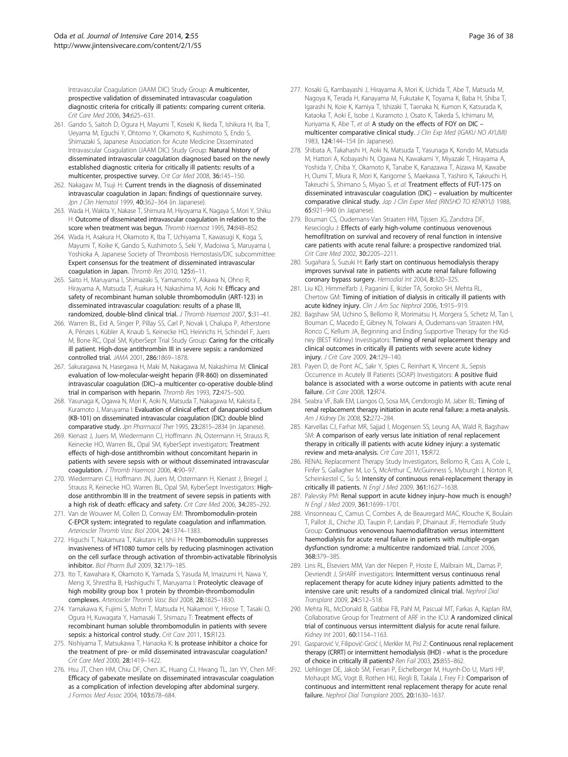<span id="page-35-0"></span>Intravascular Coagulation (JAAM DIC) Study Group: A multicenter, prospective validation of disseminated intravascular coagulation diagnostic criteria for critically ill patients: comparing current criteria. Crit Care Med 2006, 34:625–631.

- 261. Gando S, Saitoh D, Ogura H, Mayumi T, Koseki K, Ikeda T, Ishikura H, Iba T, Ueyama M, Eguchi Y, Ohtomo Y, Okamoto K, Kushimoto S, Endo S, Shimazaki S, Japanese Association for Acute Medicine Disseminated Intravascular Coagulation (JAAM DIC) Study Group: Natural history of disseminated intravascular coagulation diagnosed based on the newly established diagnostic criteria for critically ill patients: results of a multicenter, prospective survey. Crit Car Med 2008, 36:145–150.
- 262. Nakagaw M, Tsuji H: Current trends in the diagnosis of disseminated intravascular coagulation in Japan: findings of questionnaire survey. Jpn J Clin Hematol 1999, 40:362-364 (in Japanese).
- 263. Wada H, Wakita Y, Nakase T, Shimura M, Hiyoyama K, Nagaya S, Mori Y, Shiku H: Outcome of disseminated intravascular coagulation in relation to the score when treatment was begun. Thromb Haemost 1995, 74:848–852.
- 264. Wada H, Asakura H, Okamoto K, Iba T, Uchiyama T, Kawasugi K, Koga S, Mayumi T, Koike K, Gando S, Kushimoto S, Seki Y, Madoiwa S, Maruyama I, Yoshioka A, Japanese Society of Thrombosis Hemostasis/DIC subcommittee: Expert consensus for the treatment of disseminated intravascular coagulation in Japan. Thromb Res 2010, 125:6–11.
- 265. Saito H, Maruyama I, Shimazaki S, Yamamoto Y, Aikawa N, Ohno R, Hirayama A, Matsuda T, Asakura H, Nakashima M, Aoki N: Efficacy and safety of recombinant human soluble thrombomodulin (ART-123) in disseminated intravascular coagulation: results of a phase III, randomized, double-blind clinical trial. J Thromb Haemost 2007, 5:31–41.
- 266. Warren BL, Eid A, Singer P, Pillay SS, Carl P, Novak I, Chalupa P, Atherstone A, Pénzes I, Kübler A, Knaub S, Keinecke HO, Heinrichs H, Schindel F, Juers M, Bone RC, Opal SM, KyberSept Trial Study Group: Caring for the critically ill patient. High-dose antithrombin III in severe sepsis: a randomized controlled trial. JAMA 2001, 286:1869–1878.
- 267. Sakuragawa N, Hasegawa H, Maki M, Nakagawa M, Nakashima M: Clinical evaluation of low-molecular-weight heparin (FR-860) on disseminated intravascular coagulation (DIC)–a multicenter co-operative double-blind trial in comparison with heparin. Thromb Res 1993, 72:475–500.
- 268. Yasunaga K, Ogawa N, Mori K, Aoki N, Matsuda T, Nakagawa M, Kakisita E, Kuramoto J, Maruyama I: Evaluation of clinical effect of danaparoid sodium (KB-101) on disseminated intravascular coagulation (DIC): double blind comparative study. Jpn Pharmacol Ther 1995, 23:2815-2834 (in Japanese).
- 269. Kienast J, Juers M, Wiedermann CJ, Hoffmann JN, Ostermann H, Strauss R, Keinecke HO, Warren BL, Opal SM, KyberSept investigators: Treatment effects of high-dose antithrombin without concomitant heparin in patients with severe sepsis with or without disseminated intravascular coagulation. J Thromb Haemost 2006, 4:90–97.
- 270. Wiedermann CJ, Hoffmann JN, Juers M, Ostermann H, Kienast J, Briegel J, Strauss R, Keinecke HO, Warren BL, Opal SM, KyberSept Investigators: Highdose antithrombin III in the treatment of severe sepsis in patients with a high risk of death: efficacy and safety. Crit Care Med 2006, 34:285–292.
- 271. Van de Wouwer M, Collen D, Conway EM: Thrombomodulin-protein C-EPCR system: integrated to regulate coagulation and inflammation. Arterioscler Thromb Vasc Biol 2004, 24:1374–1383.
- 272. Higuchi T, Nakamura T, Kakutani H, Ishii H: Thrombomodulin suppresses invasiveness of HT1080 tumor cells by reducing plasminogen activation on the cell surface through activation of thrombin-activatable fibrinolysis inhibitor. Biol Pharm Bull 2009, 32:179–185.
- 273. Ito T, Kawahara K, Okamoto K, Yamada S, Yasuda M, Imaizumi H, Nawa Y, Meng X, Shrestha B, Hashiguchi T, Maruyama I: Proteolytic cleavage of high mobility group box 1 protein by thrombin-thrombomodulin complexes. Arterioscler Thromb Vasc Biol 2008, 28:1825–1830.
- 274. Yamakawa K, Fujimi S, Mohri T, Matsuda H, Nakamori Y, Hirose T, Tasaki O, Ogura H, Kuwagata Y, Hamasaki T, Shimazu T: Treatment effects of recombinant human soluble thrombomodulin in patients with severe sepsis: a historical control study. Crit Care 2011, 15:R123.
- 275. Nishiyama T, Matsukawa T, Hanaoka K: Is protease inhibitor a choice for the treatment of pre- or mild disseminated intravascular coagulation? Crit Care Med 2000, 28:1419–1422.
- 276. Hsu JT, Chen HM, Chiu DF, Chen JC, Huang CJ, Hwang TL, Jan YY, Chen MF: Efficacy of gabexate mesilate on disseminated intravascular coagulation as a complication of infection developing after abdominal surgery. J Formos Med Assoc 2004, 103:678–684.
- 277. Kosaki G, Kambayashi J, Hirayama A, Mori K, Uchida T, Abe T, Matsuda M, Nagoya K, Terada H, Kanayama M, Fukutake K, Toyama K, Baba H, Shiba T, Igarashi N, Koie K, Kamiya T, Ishizaki T, Taenaka N, Kumon K, Katsurada K, Kataoka T, Aoki E, Isobe J, Kuramoto J, Osato K, Takeda S, Ichimaru M, Kuriyama K, Abe T, et al: A study on the effects of FOY on DIC multicenter comparative clinical study. J Clin Exp Med (IGAKU NO AYUMI) 1983, 124:144–154 (in Japanese).
- 278. Shibata A, Takahashi H, Aoki N, Matsuda T, Yasunaga K, Kondo M, Matsuda M, Hattori A, Kobayashi N, Ogawa N, Kawakami Y, Miyazaki T, Hirayama A, Yoshida Y, Chiba Y, Okamoto K, Tanabe K, Kanazawa T, Aizawa M, Kawabe H, Oumi T, Miura R, Mori K, Karigome S, Maekawa T, Yashiro K, Takeuchi H, Takeuchi S, Shimano S, Miyao S, et al: Treatment effects of FUT-175 on disseminated intravascular coagulation (DIC) – evaluation by multicenter comparative clinical study. Jap J Clin Exper Med (RINSHO TO KENKYU) 1988, 65:921–940 (in Japanese).
- 279. Bouman CS, Oudemans-Van Straaten HM, Tijssen JG, Zandstra DF, Kesecioglu J: Effects of early high-volume continuous venovenous hemofiltration on survival and recovery of renal function in intensive care patients with acute renal failure: a prospective randomized trial. Crit Care Med 2002, 30:2205–2211.
- 280. Sugahara S, Suzuki H: Early start on continuous hemodialysis therapy improves survival rate in patients with acute renal failure following coronary bypass surgery. Hemodial Int 2004, 8:320–325.
- 281. Liu KD, Himmelfarb J, Paganini E, Ikizler TA, Soroko SH, Mehta RL, Chertow GM: Timing of initiation of dialysis in critically ill patients with acute kidney injury. Clin J Am Soc Nephrol 2006, 1:915–919.
- 282. Bagshaw SM, Uchino S, Bellomo R, Morimatsu H, Morgera S, Schetz M, Tan I, Bouman C, Macedo E, Gibney N, Tolwani A, Oudemans-van Straaten HM, Ronco C, Kellum JA, Beginning and Ending Supportive Therapy for the Kidney (BEST Kidney) Investigators: Timing of renal replacement therapy and clinical outcomes in critically ill patients with severe acute kidney injury. J Crit Care 2009, 24:129–140.
- 283. Payen D, de Pont AC, Sakr Y, Spies C, Reinhart K, Vincent JL, Sepsis Occurrence in Acutely Ill Patients (SOAP) Investigators: A positive fluid balance is associated with a worse outcome in patients with acute renal failure. Crit Care 2008, 12:R74.
- 284. Seabra VF, Balk EM, Liangos O, Sosa MA, Cendoroglo M, Jaber BL: Timing of renal replacement therapy initiation in acute renal failure: a meta-analysis. Am J Kidney Dis 2008, 52:272-284.
- 285. Karvellas CJ, Farhat MR, Sajjad I, Mogensen SS, Leung AA, Wald R, Bagshaw SM: A comparison of early versus late initiation of renal replacement therapy in critically ill patients with acute kidney injury: a systematic review and meta-analysis. Crit Care 2011, 15:R72.
- 286. RENAL Replacement Therapy Study Investigators, Bellomo R, Cass A, Cole L, Finfer S, Gallagher M, Lo S, McArthur C, McGuinness S, Myburgh J, Norton R, Scheinkestel C, Su S: Intensity of continuous renal-replacement therapy in critically ill patients. N Engl J Med 2009, 361:1627–1638.
- 287. Palevsky PM: Renal support in acute kidney injury-how much is enough? N Engl J Med 2009, 361:1699–1701.
- 288. Vinsonneau C, Camus C, Combes A, de Beauregard MAC, Klouche K, Boulain T, Pallot JL, Chiche JD, Taupin P, Landais P, Dhainaut JF, Hemodiafe Study Group: Continuous venovenous haemodiafiltration versus intermittent haemodialysis for acute renal failure in patients with multiple-organ dysfunction syndrome: a multicentre randomized trial. Lancet 2006, 368:379–385.
- 289. Lins RL, Elseviers MM, Van der Niepen P, Hoste E, Malbrain ML, Damas P, Devriendt J, SHARF investigators: Intermittent versus continuous renal replacement therapy for acute kidney injury patients admitted to the intensive care unit: results of a randomized clinical trial. Nephrol Dial Transplant 2009, 24:512–518.
- 290. Mehta RL, McDonald B, Gabbai FB, Pahl M, Pascual MT, Farkas A, Kaplan RM, Collaborative Group for Treatment of ARF in the ICU: A randomized clinical trial of continuous versus intermittent dialysis for acute renal failure. Kidney Int 2001, 60:1154–1163.
- 291. Gasparović V, Filipović-Grcić I, Merkler M, Pisl Z: Continuous renal replacement therapy (CRRT) or intermittent hemodialysis (IHD) - what is the procedure of choice in critically ill patients? Ren Fail 2003, 25:855–862.
- 292. Uehlinger DE, Jakob SM, Ferrari P, Eichelberger M, Huynh-Do U, Marti HP, Mohaupt MG, Vogt B, Rothen HU, Regli B, Takala J, Frey FJ: Comparison of continuous and intermittent renal replacement therapy for acute renal failure. Nephrol Dial Transplant 2005, 20:1630–1637.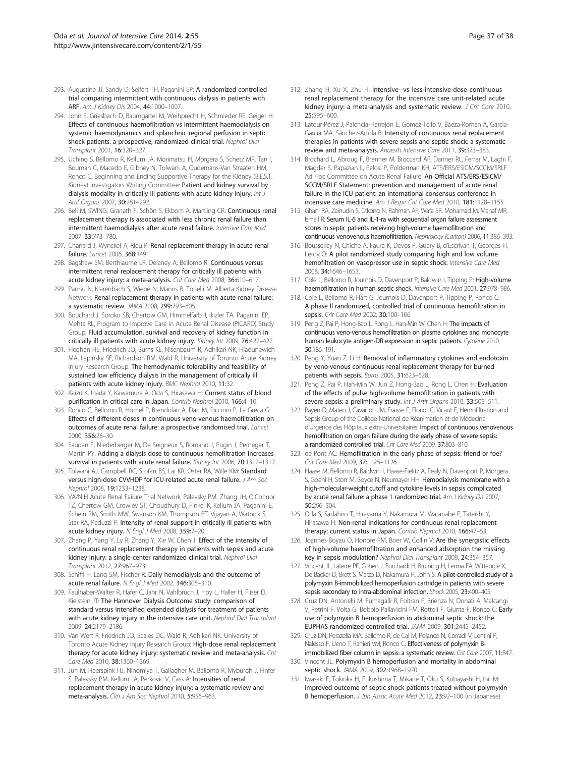- <span id="page-36-0"></span>293. Augustine JJ, Sandy D, Seifert TH, Paganini EP: A randomized controlled trial comparing intermittent with continuous dialysis in patients with ARF. Am J Kidney Dis 2004, 44:1000–1007.
- 294. John S, Griesbach D, Baumgärtel M, Weihprecht H, Schmieder RE, Geiger H: Effects of continuous haemofiltration vs intermittent haemodialysis on systemic haemodynamics and splanchnic regional perfusion in septic shock patients: a prospective, randomized clinical trial. Nephrol Dial Transplant 2001, 16:320–327.
- 295. Uchino S, Bellomo R, Kellum JA, Morimatsu H, Morgera S, Schetz MR, Tan I, Bouman C, Macedo E, Gibney N, Tolwani A, Oudemans-Van Straaten HM, Ronco C, Beginning and Ending Supportive Therapy for the Kidney (B.E.S.T. Kidney) Investigators Writing Committee: Patient and kidney survival by dialysis modality in critically ill patients with acute kidney injury. Int J Artif Organs 2007, 30:281–292.
- 296. Bell M, SWING, Granath F, Schön S, Ekbom A, Martling CR: Continuous renal replacement therapy is associated with less chronic renal failure than intermittent haemodialysis after acute renal failure. Intensive Care Med 2007, 33:773–780.
- 297. Chanard J, Wynckel A, Rieu P: Renal replacement therapy in acute renal failure. Lancet 2006, 368:1491.
- 298. Bagshaw SM, Berthiaume LR, Delaney A, Bellomo R: Continuous versus intermittent renal replacement therapy for critically ill patients with acute kidney injury: a meta-analysis. Crit Care Med 2008, 36:610–617.
- 299. Pannu N, Klarenbach S, Wiebe N, Manns B, Tonelli M, Alberta Kidney Disease Network: Renal replacement therapy in patients with acute renal failure: a systematic review. JAMA 2008, 299:793–805.
- 300. Bouchard J, Soroko SB, Chertow GM, Himmelfarb J, Ikizler TA, Paganini EP, Mehta RL, Program to Improve Care in Acute Renal Disease (PICARD) Study Group: Fluid accumulation, survival and recovery of kidney function in critically ill patients with acute kidney injury. Kidney Int 2009, 76:422–427.
- 301. Fieghen HE, Friedrich JO, Burns KE, Nisenbaum R, Adhikari NK, Hladunewich MA, Lapinsky SE, Richardson RM, Wald R, University of Toronto Acute Kidney Injury Research Group: The hemodynamic tolerability and feasibility of sustained low efficiency dialysis in the management of critically ill patients with acute kidney injury. BMC Nephrol 2010, 11:32.
- 302. Kaizu K, Inada Y, Kawamura A, Oda S, Hirasawa H: Current status of blood purification in critical care in Japan. Contrib Nephrol 2010, 166:4-10.
- 303. Ronco C, Bellomo R, Homel P, Brendolan A, Dan M, Piccinni P, La Greca G: Effects of different doses in continuous veno-venous haemofiltration on outcomes of acute renal failure: a prospective randomised trial. Lancet 2000, 356:26–30.
- 304. Saudan P, Niederberger M, De Seigneux S, Romand J, Pugin J, Perneger T, Martin PY: Adding a dialysis dose to continuous hemofiltration increases survival in patients with acute renal failure. Kidney Int 2006, 70:1312–1317.
- 305. Tolwani AJ, Campbell RC, Stofan BS, Lai KR, Oster RA, Wille KM: Standard versus high-dose CVVHDF for ICU-related acute renal failure. J Am Soc Nephrol 2008, 19:1233–1238.
- 306. VA/NIH Acute Renal Failure Trial Network, Palevsky PM, Zhang JH, O'Connor TZ, Chertow GM, Crowley ST, Choudhury D, Finkel K, Kellum JA, Paganini E, Schein RM, Smith MW, Swanson KM, Thompson BT, Vijayan A, Watnick S, Star RA, Peduzzi P: Intensity of renal support in critically ill patients with acute kidney injury. N Engl J Med 2008, 359:7-20.
- 307. Zhang P, Yang Y, Lv R, Zhang Y, Xie W, Chen J: Effect of the intensity of continuous renal replacement therapy in patients with sepsis and acute kidney injury: a single-center randomized clinical trial. Nephrol Dial Transplant 2012, 27:967–973.
- 308. Schiffl H, Lang SM, Fischer R: Daily hemodialysis and the outcome of acute renal failure. N Engl J Med 2002, 346:305–310.
- 309. Faulhaber-Walter R, Hafer C, Jahr N, Vahlbruch J, Hoy L, Haller H, Fliser D, Kielstein JT: The Hannover Dialysis Outcome study: comparison of standard versus intensified extended dialysis for treatment of patients with acute kidney injury in the intensive care unit. Nephrol Dial Transplant 2009, 24:2179–2186.
- 310. Van Wert R, Friedrich JO, Scales DC, Wald R, Adhikari NK, University of Toronto Acute Kidney Injury Research Group: High-dose renal replacement therapy for acute kidney injury: systematic review and meta-analysis. Crit Care Med 2010, 38:1360–1369.
- 311. Jun M, Heerspink HJ, Ninomiya T, Gallagher M, Bellomo R, Myburgh J, Finfer S, Palevsky PM, Kellum JA, Perkovic V, Cass A: Intensities of renal replacement therapy in acute kidney injury: a systematic review and meta-analysis. Clin J Am Soc Nephrol 2010, 5:956–963.
- 312. Zhang H, Xu X, Zhu H: Intensive- vs less-intensive-dose continuous renal replacement therapy for the intensive care unit-related acute kidney injury: a meta-analysis and systematic review. J Crit Care 2010, 25:595–600.
- 313. Latour-Pérez J, Palencia-Herrejón E, Gómez-Tello V, Baeza-Román A, García-García MA, Sánchez-Artola B: Intensity of continuous renal replacement therapies in patients with severe sepsis and septic shock: a systematic review and meta-analysis. Anaesth Intensive Care 2011, 39:373–383.
- 314. Brochard L, Abroug F, Brenner M, Broccard AF, Danner RL, Ferrer M, Laghi F, Magder S, Papazian L, Pelosi P, Polderman KH, ATS/ERS/ESICM/SCCM/SRLF Ad Hoc Committee on Acute Renal Failure: An Official ATS/ERS/ESICM/ SCCM/SRLF Statement: prevention and management of acute renal failure in the ICU patient: an international consensus conference in intensive care medicine. Am J Respir Crit Care Med 2010, 181:1128–1155.
- 315. Ghani RA, Zainudin S, Ctkong N, Rahman AF, Wafa SR, Mohamad M, Manaf MR, Ismail R: Serum IL-6 and IL-1-ra with sequential organ failure assessment scores in septic patients receiving high-volume haemofiltration and continuous venovenous haemofiltration. Nephrology (Carlton) 2006, 11:386–393.
- 316. Boussekey N, Chiche A, Faure K, Devos P, Guery B, d'Escrivan T, Georges H, Leroy O: A pilot randomized study comparing high and low volume hemofiltration on vasopressor use in septic shock. Intensive Care Med 2008, 34:1646–1653.
- 317. Cole L, Bellomo R, Journois D, Davenport P, Baldwin I, Tipping P: High-volume haemofiltration in human septic shock. Intensive Care Med 2001, 27:978–986.
- 318. Cole L, Bellomo R, Hart G, Journois D, Davenport P, Tipping P, Ronco C: A phase II randomized, controlled trial of continuous hemofiltration in sepsis. Crit Care Med 2002, 30:100-106.
- 319. Peng Z, Pai P, Hong-Bao L, Rong L, Han-Min W, Chen H: The impacts of continuous veno-venous hemofiltration on plasma cytokines and monocyte human leukocyte antigen-DR expression in septic patients. Cytokine 2010, 50:186–191.
- 320. Peng Y, Yuan Z, Li H: Removal of inflammatory cytokines and endotoxin by veno-venous continuous renal replacement therapy for burned patients with sepsis. Burns 2005, 31:623–628.
- 321. Peng Z, Pai P, Han-Min W, Jun Z, Hong-Bao L, Rong L, Chen H: Evaluation of the effects of pulse high-volume hemofiltration in patients with severe sepsis: a preliminary study. Int J Artif Organs 2010, 33:505-511.
- 322. Payen D, Mateo J, Cavaillon JM, Fraisse F, Floriot C, Vicaut E, Hemofiltration and Sepsis Group of the Collège National de Réanimation et de Médecine d'Urgence des Hôpitaux extra-Universitaires: Impact of continuous venovenous hemofiltration on organ failure during the early phase of severe sepsis: a randomized controlled trial. Crit Care Med 2009, 37:803–810.
- 323. de Pont AC: Hemofiltration in the early phase of sepsis: friend or foe? Crit Care Med 2009, 37:1125–1126.
- 324. Haase M, Bellomo R, Baldwin I, Haase-Fielitz A, Fealy N, Davenport P, Morgera S, Goehl H, Storr M, Boyce N, Neumayer HH: Hemodialysis membrane with a high-molecular-weight cutoff and cytokine levels in sepsis complicated by acute renal failure: a phase 1 randomized trial. Am J Kidney Dis 2007, 50:296–304.
- 325. Oda S, Sadahiro T, Hirayama Y, Nakamura M, Watanabe E, Tateishi Y, Hirasawa H: Non-renal indications for continuous renal replacement therapy: current status in Japan. Contrib Nephrol 2010, 166:47-53
- 326. Joannes-Boyau O, Honore PM, Boer W, Collin V: Are the synergistic effects of high-volume haemofiltration and enhanced adsorption the missing key in sepsis modulation? Nephrol Dial Transplant 2009, 24:354–357.
- 327. Vincent JL, Laterre PF, Cohen J, Burchardi H, Bruining H, Lerma FA, Wittebole X, De Backer D, Brett S, Marzo D, Nakamura H, John S: A pilot-controlled study of a polymyxin B-immobilized hemoperfusion cartridge in patients with severe sepsis secondary to intra-abdominal infection. Shock 2005, 23:400–405.
- 328. Cruz DN, Antonelli M, Fumagalli R, Foltran F, Brienza N, Donati A, Malcangi V, Petrini F, Volta G, Bobbio Pallavicini FM, Rottoli F, Giunta F, Ronco C: Early use of polymyxin B hemoperfusion in abdominal septic shock: the EUPHAS randomized controlled trial. JAMA 2009, 301:2445–2452.
- 329. Cruz DN, Perazella MA, Bellomo R, de Cal M, Polanco N, Corradi V, Lentini P, Nalesso F, Ueno T, Ranieri VM, Ronco C: Effectiveness of polymyxin Bimmobilized fiber column in sepsis: a systematic review. Crit Care 2007, 11:R47.
- 330. Vincent JL: Polymyxin B hemoperfusion and mortality in abdominal septic shock. JAMA 2009, 302:1968–1970.
- 331. Iwasaki E, Tokioka H, Fukushima T, Mikane T, Oku S, Kobayashi H, Ihii M: Improved outcome of septic shock patients treated without polymyxin B hemoperfusion. J Jpn Assoc Acute Med 2012, 23:92–100 (in Japanese).